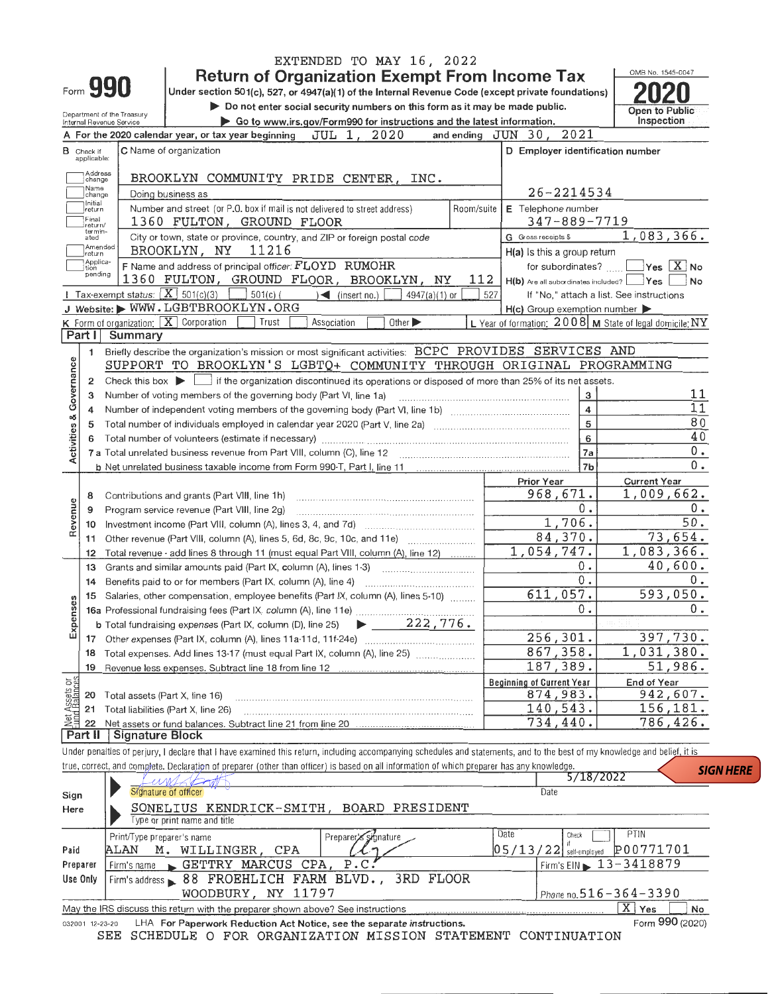|                            |                                  |                                                        |                                                                                                                                                                            | EXTENDED TO MAY 16, 2022                   |                |                                                                                     | OMB No. 1545-0047                |  |  |  |  |
|----------------------------|----------------------------------|--------------------------------------------------------|----------------------------------------------------------------------------------------------------------------------------------------------------------------------------|--------------------------------------------|----------------|-------------------------------------------------------------------------------------|----------------------------------|--|--|--|--|
|                            |                                  | Form 990                                               | <b>Return of Organization Exempt From Income Tax</b><br>Under section 501(c), 527, or 4947(a)(1) of the Internal Revenue Code (except private foundations)                 |                                            |                |                                                                                     |                                  |  |  |  |  |
|                            |                                  |                                                        | Do not enter social security numbers on this form as it may be made public.                                                                                                |                                            | Open to Public |                                                                                     |                                  |  |  |  |  |
|                            |                                  | Department of the Treasury<br>Internal Revenue Service | Go to www.irs.gov/Form990 for instructions and the latest information.                                                                                                     |                                            | Inspection     |                                                                                     |                                  |  |  |  |  |
|                            |                                  |                                                        | A For the 2020 calendar year, or tax year beginning                                                                                                                        | JUL 1, 2020                                |                | and ending JUN 30, 2021                                                             |                                  |  |  |  |  |
|                            | <b>B</b> Chack if<br>applicable: |                                                        | C Name of organization                                                                                                                                                     |                                            |                | D Employer identification number                                                    |                                  |  |  |  |  |
|                            | Address<br>change                |                                                        | BROOKLYN COMMUNITY PRIDE CENTER, INC.                                                                                                                                      |                                            |                |                                                                                     |                                  |  |  |  |  |
|                            | Name<br>change<br>Initial        |                                                        | Doing business as                                                                                                                                                          |                                            |                | 26-2214534                                                                          |                                  |  |  |  |  |
|                            | return<br>Final<br>return/       |                                                        | Number and street (or P.O. box if mail is not delivered to street address)<br>1360 FULTON, GROUND FLOOR                                                                    |                                            | Room/suite     | E Telephone number<br>$347 - 889 - 7719$                                            |                                  |  |  |  |  |
|                            | termin-<br>ated                  |                                                        | City or town, state or province, country, and ZIP or foreign postal code                                                                                                   |                                            |                | G Gross receipts \$                                                                 | 1,083,366.                       |  |  |  |  |
|                            | Amendad<br>!return               |                                                        | BROOKLYN, NY 11216                                                                                                                                                         |                                            |                | H(a) Is this a group return                                                         |                                  |  |  |  |  |
|                            | Applica-<br>tion<br>pending      |                                                        | F Name and address of principal officer: FLOYD RUMOHR                                                                                                                      |                                            |                | for subordinates?                                                                   | $Yes$ $X$ No                     |  |  |  |  |
|                            |                                  | Tax-exempt status:                                     | 1360 FULTON, GROUND FLOOR, BROOKLYN, NY<br>$X$ 501(c)(3)<br>$501(c)$ (                                                                                                     | $\leq$ (insert no.)<br>4947(a)(1) or       | 112<br>527     | H(b) Are all subordinates included? Ves<br>If "No," attach a list. See instructions | No                               |  |  |  |  |
|                            |                                  |                                                        | J Website: WWW.LGBTBROOKLYN.ORG                                                                                                                                            |                                            |                | $H(c)$ Group exemption number $\blacktriangleright$                                 |                                  |  |  |  |  |
|                            |                                  |                                                        | <b>K</b> Form of organization: $\boxed{\mathbf{X}}$ Corporation<br>Trust                                                                                                   | Association<br>Other $\blacktriangleright$ |                | L Year of formation: $2008$ M State of legal domicile: NY                           |                                  |  |  |  |  |
|                            | Part I                           | Summary                                                |                                                                                                                                                                            |                                            |                |                                                                                     |                                  |  |  |  |  |
|                            | 1                                |                                                        | Briefly describe the organization's mission or most significant activities: BCPC PROVIDES SERVICES AND                                                                     |                                            |                |                                                                                     |                                  |  |  |  |  |
| Governance                 |                                  |                                                        | SUPPORT TO BROOKLYN'S LGBTQ+ COMMUNITY THROUGH ORIGINAL PROGRAMMING                                                                                                        |                                            |                |                                                                                     |                                  |  |  |  |  |
|                            | 2                                |                                                        | Check this box $\blacktriangleright$ $\Box$ if the organization discontinued its operations or disposed of more than 25% of its net assets.                                |                                            |                |                                                                                     | 11                               |  |  |  |  |
|                            | 3<br>4                           |                                                        | Number of voting members of the governing body (Part VI, line 1a)                                                                                                          |                                            |                | 3<br>4                                                                              | 11                               |  |  |  |  |
|                            | 5                                |                                                        | Total number of individuals employed in calendar year 2020 (Part V, line 2a) manufacture of individuals employed in calendar year 2020 (Part V, line 2a)                   |                                            |                | 5                                                                                   | 80                               |  |  |  |  |
|                            | 6                                |                                                        |                                                                                                                                                                            |                                            |                | 6                                                                                   | 40                               |  |  |  |  |
| Activities &               |                                  |                                                        |                                                                                                                                                                            |                                            |                | 7a                                                                                  | $0$ .                            |  |  |  |  |
|                            |                                  |                                                        |                                                                                                                                                                            |                                            |                | 7 <sub>b</sub>                                                                      | 0.                               |  |  |  |  |
|                            |                                  |                                                        |                                                                                                                                                                            |                                            |                | Prior Year                                                                          | <b>Current Year</b>              |  |  |  |  |
|                            | 8                                |                                                        | Contributions and grants (Part VIII, line 1h)                                                                                                                              | 968,671.                                   | 1,009,662.     |                                                                                     |                                  |  |  |  |  |
| Revenue                    | 9                                |                                                        | Program service revenue (Part VIII, line 2g)                                                                                                                               |                                            |                | $0$ .<br>1,706.                                                                     | $0$ .<br>50.                     |  |  |  |  |
|                            | 10                               |                                                        |                                                                                                                                                                            |                                            |                | 84,370.                                                                             | 73,654.                          |  |  |  |  |
|                            | 11<br>12                         |                                                        | Other revenue (Part VIII, column (A), lines 5, 6d, 8c, 9c, 10c, and 11e)<br>Total revenue - add lines 8 through 11 (must equal Part VIII, column (A), line 12)             |                                            |                | 1,054,747.                                                                          | 1,083,366.                       |  |  |  |  |
|                            | 13                               |                                                        | Grants and similar amounts paid (Part IX, column (A), lines 1-3)                                                                                                           |                                            |                | ο.                                                                                  | 40,600.                          |  |  |  |  |
|                            | 14                               |                                                        | Benefits paid to or for members (Part IX, column (A), line 4)                                                                                                              |                                            |                | $0$ .                                                                               | $0$ .                            |  |  |  |  |
|                            | 15                               |                                                        | Salaries, other compensation, employee benefits (Part IX, column (A), lines 5-10)                                                                                          |                                            |                | 611,057.                                                                            | 593,050.                         |  |  |  |  |
| ses                        |                                  |                                                        | 16a Professional fundraising fees (Part IX, column (A), line 11e)                                                                                                          |                                            |                | 0.                                                                                  | 0.                               |  |  |  |  |
| Expen                      |                                  |                                                        | <b>b</b> Total fundraising expenses (Part IX, column (D), line 25)                                                                                                         | 222,776.<br>$\blacktriangleright$ $\perp$  |                |                                                                                     |                                  |  |  |  |  |
|                            | 17                               |                                                        |                                                                                                                                                                            |                                            |                | 256,301.                                                                            | 397,730.                         |  |  |  |  |
|                            | 18                               |                                                        | Total expenses. Add lines 13-17 (must equal Part IX, column (A), line 25)                                                                                                  |                                            |                | 867,358.<br>187,389.                                                                | 1,031,380.<br>51,986.            |  |  |  |  |
|                            | 19                               |                                                        | Revenue less expenses. Subtract line 18 from line 12                                                                                                                       |                                            |                | <b>Beginning of Current Year</b>                                                    | End of Year                      |  |  |  |  |
| t Assets or<br>id Balances | 20                               | Total assets (Part X, line 16)                         |                                                                                                                                                                            |                                            |                | 874,983.                                                                            | 942,607.                         |  |  |  |  |
|                            | 21                               |                                                        | Total liabilities (Part X. line 26)                                                                                                                                        |                                            |                | 140,543.                                                                            | 156, 181.                        |  |  |  |  |
| 鲳                          | 22                               |                                                        | Net assets or fund balances. Subtract line 21 from line 20                                                                                                                 |                                            |                | 734,440.                                                                            | 786,426.                         |  |  |  |  |
|                            | Part II                          | <b>Signature Block</b>                                 |                                                                                                                                                                            |                                            |                |                                                                                     |                                  |  |  |  |  |
|                            |                                  |                                                        | Under penalties of perjury, I declare that I have examined this return, including accompanying schedules and statements, and to the best of my knowledge and belief, it is |                                            |                |                                                                                     |                                  |  |  |  |  |
|                            |                                  |                                                        | true, correct, and complete. Declaration of preparer (other than officer) is based on all information of which preparer has any knowledge.                                 |                                            |                | 5/18/2022                                                                           | <b>SIGN HERE</b>                 |  |  |  |  |
|                            |                                  |                                                        | e s NV l<br>Signature of officer                                                                                                                                           |                                            |                | Date                                                                                |                                  |  |  |  |  |
| Sign<br>Here               |                                  |                                                        | SONELIUS KENDRICK-SMITH, BOARD PRESIDENT                                                                                                                                   |                                            |                |                                                                                     |                                  |  |  |  |  |
|                            |                                  |                                                        | Type or print name and title                                                                                                                                               |                                            |                |                                                                                     |                                  |  |  |  |  |
|                            |                                  | Print/Type preparer's name                             |                                                                                                                                                                            | Preparer's signature                       |                | Date<br>Check                                                                       | PTIN                             |  |  |  |  |
| Paid                       |                                  | ALAN                                                   | M. WILLINGER, CPA                                                                                                                                                          |                                            |                | $05/13/22$ $\frac{1}{5}$ self-employed                                              | P00771701                        |  |  |  |  |
| Preparer                   |                                  | Firm's name                                            | GETTRY MARCUS CPA,                                                                                                                                                         | P.C.                                       |                | Firm's EIN 13-3418879                                                               |                                  |  |  |  |  |
| Use Only                   |                                  |                                                        | Firm's address > 88 FROEHLICH FARM BLVD., 3RD FLOOR                                                                                                                        |                                            |                |                                                                                     |                                  |  |  |  |  |
|                            |                                  |                                                        | WOODBURY, NY 11797                                                                                                                                                         |                                            |                | Phone no. 516 - 364 - 3390                                                          |                                  |  |  |  |  |
|                            |                                  |                                                        | May the IRS discuss this return with the preparer shown above? See instructions                                                                                            |                                            |                |                                                                                     | $X$ Yes<br>No<br>Form 990 (2020) |  |  |  |  |
|                            | 032001 12-23-20                  |                                                        | LHA For Paperwork Reduction Act Notice, see the separate instructions.<br>SEE SCHEDULE O FOR ORGANIZATION MISSION STATEMENT CONTINUATION                                   |                                            |                |                                                                                     |                                  |  |  |  |  |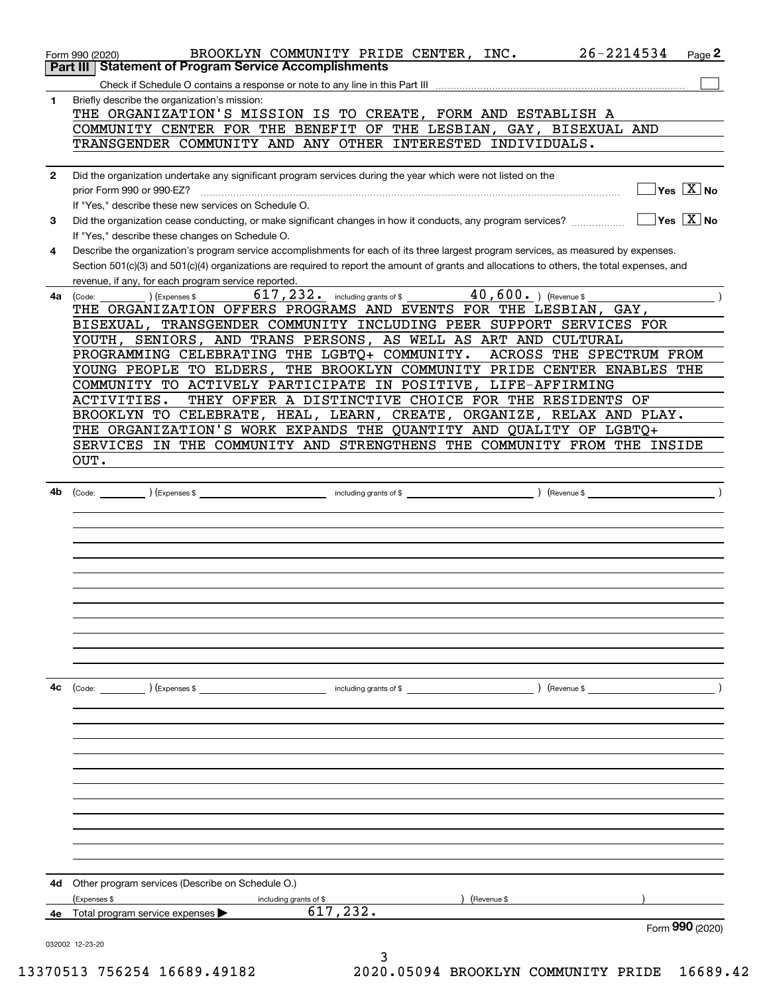|              | 26-2214534<br>BROOKLYN COMMUNITY PRIDE CENTER, INC.<br>Page 2<br>Form 990 (2020)<br>Part III   Statement of Program Service Accomplishments                                                               |
|--------------|-----------------------------------------------------------------------------------------------------------------------------------------------------------------------------------------------------------|
|              |                                                                                                                                                                                                           |
| 1            | Briefly describe the organization's mission:                                                                                                                                                              |
|              | THE ORGANIZATION'S MISSION IS TO CREATE, FORM AND ESTABLISH A                                                                                                                                             |
|              | COMMUNITY CENTER FOR THE BENEFIT OF THE LESBIAN, GAY, BISEXUAL AND                                                                                                                                        |
|              | TRANSGENDER COMMUNITY AND ANY OTHER INTERESTED INDIVIDUALS.                                                                                                                                               |
|              |                                                                                                                                                                                                           |
| $\mathbf{2}$ | Did the organization undertake any significant program services during the year which were not listed on the<br>$Yes \ \boxed{X}$ No<br>prior Form 990 or 990-EZ?                                         |
|              | If "Yes," describe these new services on Schedule O.                                                                                                                                                      |
| 3            | $\sqrt{}$ Yes $\sqrt{}$ X $\sqrt{}$ No<br>Did the organization cease conducting, or make significant changes in how it conducts, any program services?<br>If "Yes," describe these changes on Schedule O. |
| 4            | Describe the organization's program service accomplishments for each of its three largest program services, as measured by expenses.                                                                      |
|              | Section 501(c)(3) and 501(c)(4) organizations are required to report the amount of grants and allocations to others, the total expenses, and<br>revenue, if any, for each program service reported.       |
| 4a l         | 617, 232. including grants of \$ 40, 600. ) (Revenue \$<br>(Code:<br>) (Expenses \$                                                                                                                       |
|              | THE ORGANIZATION OFFERS PROGRAMS AND EVENTS FOR THE LESBIAN, GAY,                                                                                                                                         |
|              | BISEXUAL, TRANSGENDER COMMUNITY INCLUDING PEER SUPPORT SERVICES FOR                                                                                                                                       |
|              | YOUTH, SENIORS, AND TRANS PERSONS, AS WELL AS ART AND CULTURAL                                                                                                                                            |
|              | PROGRAMMING CELEBRATING THE LGBTQ+ COMMUNITY.<br>ACROSS THE SPECTRUM FROM                                                                                                                                 |
|              | YOUNG PEOPLE TO ELDERS, THE BROOKLYN COMMUNITY PRIDE CENTER ENABLES THE                                                                                                                                   |
|              | COMMUNITY TO ACTIVELY PARTICIPATE IN POSITIVE, LIFE-AFFIRMING                                                                                                                                             |
|              | THEY OFFER A DISTINCTIVE CHOICE FOR THE RESIDENTS OF<br>ACTIVITIES.                                                                                                                                       |
|              | BROOKLYN TO CELEBRATE, HEAL, LEARN, CREATE, ORGANIZE, RELAX AND PLAY.                                                                                                                                     |
|              | THE ORGANIZATION'S WORK EXPANDS THE QUANTITY AND QUALITY OF LGBTQ+                                                                                                                                        |
|              | SERVICES IN THE COMMUNITY AND STRENGTHENS THE COMMUNITY FROM THE INSIDE                                                                                                                                   |
|              |                                                                                                                                                                                                           |
|              | OUT.                                                                                                                                                                                                      |
|              |                                                                                                                                                                                                           |
| 4b           |                                                                                                                                                                                                           |
|              |                                                                                                                                                                                                           |
|              |                                                                                                                                                                                                           |
|              |                                                                                                                                                                                                           |
|              |                                                                                                                                                                                                           |
|              |                                                                                                                                                                                                           |
|              |                                                                                                                                                                                                           |
|              |                                                                                                                                                                                                           |
|              |                                                                                                                                                                                                           |
|              |                                                                                                                                                                                                           |
|              |                                                                                                                                                                                                           |
|              |                                                                                                                                                                                                           |
|              |                                                                                                                                                                                                           |
| 4c           |                                                                                                                                                                                                           |
|              |                                                                                                                                                                                                           |
|              |                                                                                                                                                                                                           |
|              |                                                                                                                                                                                                           |
|              |                                                                                                                                                                                                           |
|              |                                                                                                                                                                                                           |
|              |                                                                                                                                                                                                           |
|              |                                                                                                                                                                                                           |
|              |                                                                                                                                                                                                           |
|              |                                                                                                                                                                                                           |
|              |                                                                                                                                                                                                           |
|              |                                                                                                                                                                                                           |
|              |                                                                                                                                                                                                           |
| 4d           | Other program services (Describe on Schedule O.)                                                                                                                                                          |
|              |                                                                                                                                                                                                           |
|              | (Expenses \$<br>Revenue \$<br>including grants of \$<br>617,232.                                                                                                                                          |
| 4е           | Total program service expenses<br>Form 990 (2020)                                                                                                                                                         |
|              |                                                                                                                                                                                                           |
|              | 032002 12-23-20<br>3                                                                                                                                                                                      |

13370513 756254 16689.49182 2020.05094 BROOKLYN COMMUNITY PRIDE 16689.42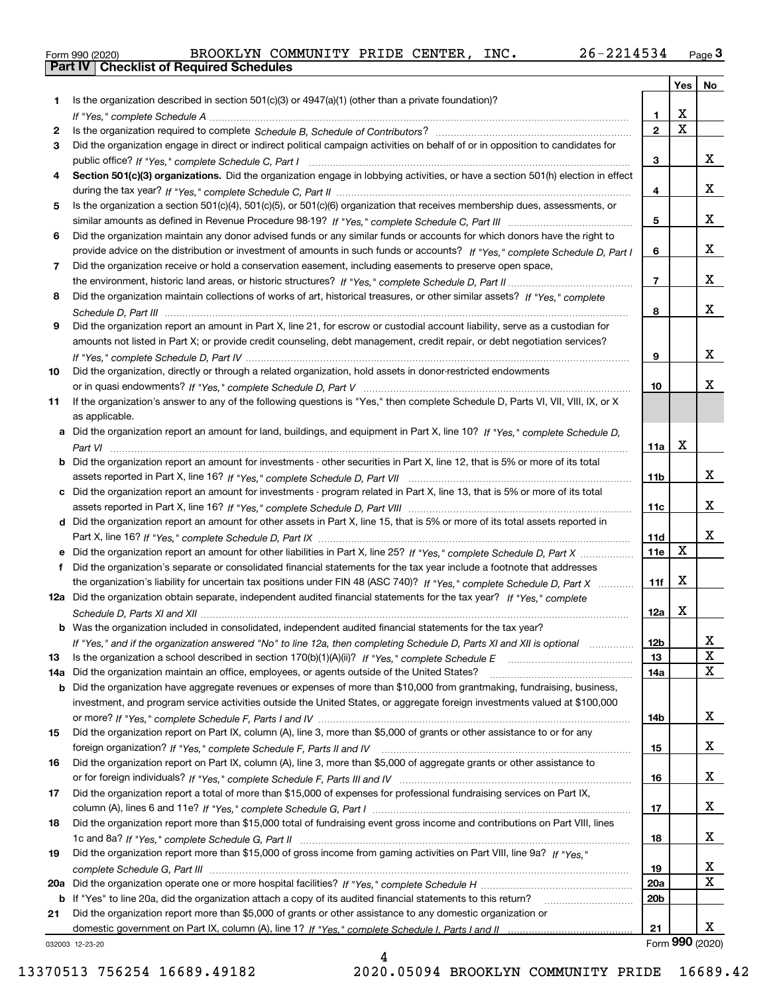|  | Form 990 (2020) |
|--|-----------------|

|     |                                                                                                                                                 |                         | Yes                   | No          |
|-----|-------------------------------------------------------------------------------------------------------------------------------------------------|-------------------------|-----------------------|-------------|
| 1   | Is the organization described in section $501(c)(3)$ or $4947(a)(1)$ (other than a private foundation)?                                         |                         |                       |             |
|     |                                                                                                                                                 | 1.                      | X                     |             |
| 2   |                                                                                                                                                 | $\overline{\mathbf{c}}$ | $\overline{\text{x}}$ |             |
| 3   | Did the organization engage in direct or indirect political campaign activities on behalf of or in opposition to candidates for                 |                         |                       |             |
|     |                                                                                                                                                 | 3                       |                       | x           |
| 4   | Section 501(c)(3) organizations. Did the organization engage in lobbying activities, or have a section 501(h) election in effect                |                         |                       |             |
|     |                                                                                                                                                 | 4                       |                       | X.          |
| 5   | Is the organization a section 501(c)(4), 501(c)(5), or 501(c)(6) organization that receives membership dues, assessments, or                    |                         |                       |             |
|     |                                                                                                                                                 | 5                       |                       | X.          |
| 6   | Did the organization maintain any donor advised funds or any similar funds or accounts for which donors have the right to                       |                         |                       |             |
|     | provide advice on the distribution or investment of amounts in such funds or accounts? If "Yes," complete Schedule D, Part I                    | 6                       |                       | X.          |
| 7   | Did the organization receive or hold a conservation easement, including easements to preserve open space,                                       |                         |                       |             |
|     |                                                                                                                                                 | $\overline{7}$          |                       | X.          |
| 8   | Did the organization maintain collections of works of art, historical treasures, or other similar assets? If "Yes," complete                    |                         |                       |             |
|     |                                                                                                                                                 | 8                       |                       | X.          |
| 9   | Did the organization report an amount in Part X, line 21, for escrow or custodial account liability, serve as a custodian for                   |                         |                       |             |
|     | amounts not listed in Part X; or provide credit counseling, debt management, credit repair, or debt negotiation services?                       |                         |                       | x           |
|     |                                                                                                                                                 | 9                       |                       |             |
| 10  | Did the organization, directly or through a related organization, hold assets in donor-restricted endowments                                    |                         |                       | x           |
|     |                                                                                                                                                 | 10                      |                       |             |
| 11  | If the organization's answer to any of the following questions is "Yes," then complete Schedule D, Parts VI, VII, VIII, IX, or X                |                         |                       |             |
|     | as applicable.<br>a Did the organization report an amount for land, buildings, and equipment in Part X, line 10? If "Yes," complete Schedule D, |                         |                       |             |
|     |                                                                                                                                                 | 11a                     | X                     |             |
|     | <b>b</b> Did the organization report an amount for investments - other securities in Part X, line 12, that is 5% or more of its total           |                         |                       |             |
|     |                                                                                                                                                 | 11b                     |                       | x           |
| c   | Did the organization report an amount for investments - program related in Part X, line 13, that is 5% or more of its total                     |                         |                       |             |
|     |                                                                                                                                                 | 11c                     |                       | x           |
|     | d Did the organization report an amount for other assets in Part X, line 15, that is 5% or more of its total assets reported in                 |                         |                       |             |
|     |                                                                                                                                                 | 11d                     |                       | x           |
|     | e Did the organization report an amount for other liabilities in Part X, line 25? If "Yes," complete Schedule D, Part X                         | 11e                     | $\mathbf X$           |             |
| f   | Did the organization's separate or consolidated financial statements for the tax year include a footnote that addresses                         |                         |                       |             |
|     | the organization's liability for uncertain tax positions under FIN 48 (ASC 740)? If "Yes," complete Schedule D, Part X                          | 11f                     | X                     |             |
|     | 12a Did the organization obtain separate, independent audited financial statements for the tax year? If "Yes," complete                         |                         |                       |             |
|     |                                                                                                                                                 | 12a                     | X                     |             |
|     | <b>b</b> Was the organization included in consolidated, independent audited financial statements for the tax year?                              |                         |                       |             |
|     | If "Yes," and if the organization answered "No" to line 12a, then completing Schedule D, Parts XI and XII is optional                           | 12b                     |                       | A           |
| 13  |                                                                                                                                                 | 13                      |                       | X           |
| 14a | Did the organization maintain an office, employees, or agents outside of the United States?                                                     | 14a                     |                       | $\mathbf X$ |
| b   | Did the organization have aggregate revenues or expenses of more than \$10,000 from grantmaking, fundraising, business,                         |                         |                       |             |
|     | investment, and program service activities outside the United States, or aggregate foreign investments valued at \$100,000                      |                         |                       |             |
|     |                                                                                                                                                 | 14b                     |                       | x           |
| 15  | Did the organization report on Part IX, column (A), line 3, more than \$5,000 of grants or other assistance to or for any                       |                         |                       |             |
|     |                                                                                                                                                 | 15                      |                       | x           |
| 16  | Did the organization report on Part IX, column (A), line 3, more than \$5,000 of aggregate grants or other assistance to                        |                         |                       |             |
|     |                                                                                                                                                 | 16                      |                       | x           |
| 17  | Did the organization report a total of more than \$15,000 of expenses for professional fundraising services on Part IX,                         |                         |                       |             |
|     |                                                                                                                                                 | 17                      |                       | x           |
| 18  | Did the organization report more than \$15,000 total of fundraising event gross income and contributions on Part VIII, lines                    |                         |                       |             |
|     |                                                                                                                                                 | 18                      |                       | x           |
| 19  | Did the organization report more than \$15,000 of gross income from gaming activities on Part VIII, line 9a? If "Yes."                          |                         |                       |             |
|     |                                                                                                                                                 | 19                      |                       | X           |
| 20a |                                                                                                                                                 | <b>20a</b>              |                       | X           |
| b   | If "Yes" to line 20a, did the organization attach a copy of its audited financial statements to this return?                                    | 20 <sub>b</sub>         |                       |             |
| 21  | Did the organization report more than \$5,000 of grants or other assistance to any domestic organization or                                     |                         |                       |             |
|     |                                                                                                                                                 | 21                      |                       | X.          |
|     | 032003 12-23-20                                                                                                                                 |                         | Form 990 (2020)       |             |

032003 12-23-20

4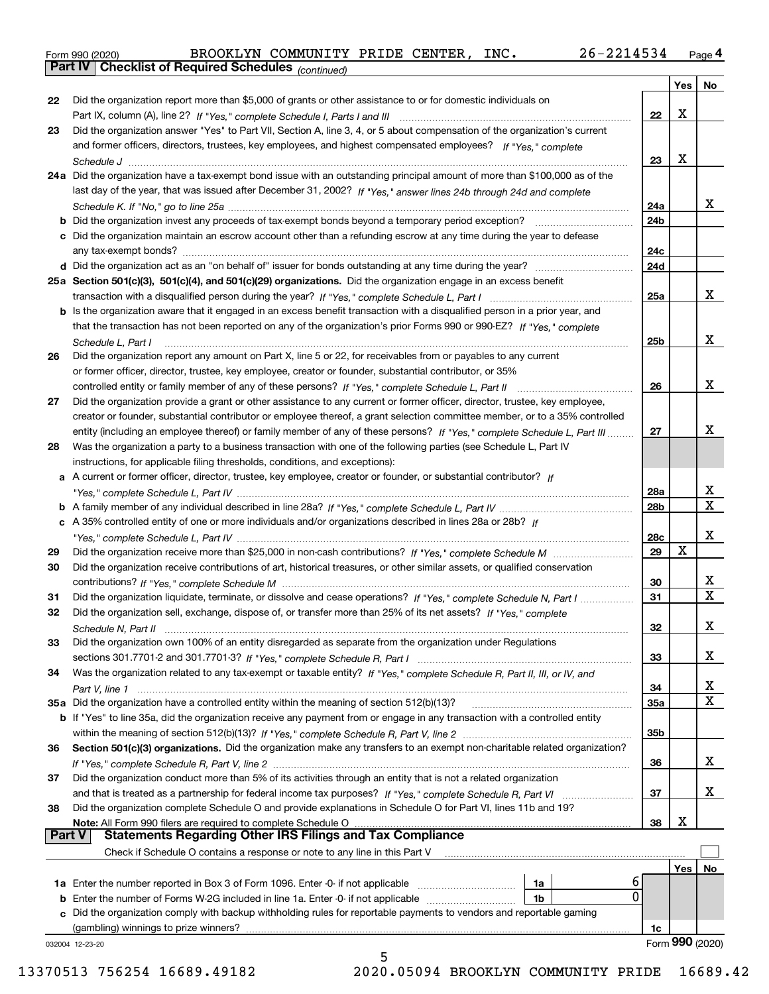|  | Form 990 (2020) |
|--|-----------------|
|  |                 |

*(continued)*

|               |                                                                                                                                    |                 | Yes | No                      |
|---------------|------------------------------------------------------------------------------------------------------------------------------------|-----------------|-----|-------------------------|
| 22            | Did the organization report more than \$5,000 of grants or other assistance to or for domestic individuals on                      |                 |     |                         |
|               |                                                                                                                                    | 22              | X   |                         |
| 23            | Did the organization answer "Yes" to Part VII, Section A, line 3, 4, or 5 about compensation of the organization's current         |                 |     |                         |
|               | and former officers, directors, trustees, key employees, and highest compensated employees? If "Yes," complete                     |                 |     |                         |
|               |                                                                                                                                    | 23              | X   |                         |
|               | 24a Did the organization have a tax-exempt bond issue with an outstanding principal amount of more than \$100,000 as of the        |                 |     |                         |
|               | last day of the year, that was issued after December 31, 2002? If "Yes," answer lines 24b through 24d and complete                 |                 |     |                         |
|               |                                                                                                                                    | 24a             |     | x                       |
|               | <b>b</b> Did the organization invest any proceeds of tax-exempt bonds beyond a temporary period exception?                         | 24b             |     |                         |
|               | c Did the organization maintain an escrow account other than a refunding escrow at any time during the year to defease             |                 |     |                         |
|               |                                                                                                                                    | 24c             |     |                         |
|               |                                                                                                                                    | 24d             |     |                         |
|               | 25a Section 501(c)(3), 501(c)(4), and 501(c)(29) organizations. Did the organization engage in an excess benefit                   |                 |     |                         |
|               |                                                                                                                                    | 25a             |     | x                       |
|               | b Is the organization aware that it engaged in an excess benefit transaction with a disqualified person in a prior year, and       |                 |     |                         |
|               | that the transaction has not been reported on any of the organization's prior Forms 990 or 990-EZ? If "Yes." complete              |                 |     |                         |
|               | Schedule L, Part I                                                                                                                 | 25 <sub>b</sub> |     | x                       |
| 26            | Did the organization report any amount on Part X, line 5 or 22, for receivables from or payables to any current                    |                 |     |                         |
|               | or former officer, director, trustee, key employee, creator or founder, substantial contributor, or 35%                            |                 |     |                         |
|               |                                                                                                                                    | 26              |     | x                       |
| 27            | Did the organization provide a grant or other assistance to any current or former officer, director, trustee, key employee,        |                 |     |                         |
|               | creator or founder, substantial contributor or employee thereof, a grant selection committee member, or to a 35% controlled        |                 |     |                         |
|               | entity (including an employee thereof) or family member of any of these persons? If "Yes," complete Schedule L, Part III           | 27              |     | x                       |
| 28            | Was the organization a party to a business transaction with one of the following parties (see Schedule L, Part IV                  |                 |     |                         |
|               | instructions, for applicable filing thresholds, conditions, and exceptions):                                                       |                 |     |                         |
|               | a A current or former officer, director, trustee, key employee, creator or founder, or substantial contributor? If                 |                 |     |                         |
|               |                                                                                                                                    | 28a             |     | x                       |
|               |                                                                                                                                    | 28b             |     | $\overline{\mathbf{X}}$ |
|               | c A 35% controlled entity of one or more individuals and/or organizations described in lines 28a or 28b? If                        |                 |     |                         |
|               |                                                                                                                                    | 28c             |     | x                       |
| 29            |                                                                                                                                    | 29              | X   |                         |
| 30            | Did the organization receive contributions of art, historical treasures, or other similar assets, or qualified conservation        |                 |     |                         |
|               |                                                                                                                                    | 30              |     | х                       |
| 31            | Did the organization liquidate, terminate, or dissolve and cease operations? If "Yes," complete Schedule N, Part I                 | 31              |     | $\overline{\mathbf{x}}$ |
| 32            | Did the organization sell, exchange, dispose of, or transfer more than 25% of its net assets? If "Yes," complete                   |                 |     |                         |
|               |                                                                                                                                    | 32              |     | х                       |
| 33            | Did the organization own 100% of an entity disregarded as separate from the organization under Regulations                         |                 |     |                         |
|               |                                                                                                                                    | 33              |     | х                       |
| 34            | Was the organization related to any tax-exempt or taxable entity? If "Yes," complete Schedule R, Part II, III, or IV, and          |                 |     |                         |
|               |                                                                                                                                    | 34              |     | x                       |
|               | 35a Did the organization have a controlled entity within the meaning of section 512(b)(13)?                                        | <b>35a</b>      |     | X                       |
|               | <b>b</b> If "Yes" to line 35a, did the organization receive any payment from or engage in any transaction with a controlled entity |                 |     |                         |
|               |                                                                                                                                    | 35b             |     |                         |
| 36            | Section 501(c)(3) organizations. Did the organization make any transfers to an exempt non-charitable related organization?         |                 |     |                         |
|               |                                                                                                                                    | 36              |     | x                       |
| 37            | Did the organization conduct more than 5% of its activities through an entity that is not a related organization                   |                 |     |                         |
|               | and that is treated as a partnership for federal income tax purposes? If "Yes," complete Schedule R, Part VI                       | 37              |     | X                       |
| 38            | Did the organization complete Schedule O and provide explanations in Schedule O for Part VI, lines 11b and 19?                     |                 |     |                         |
|               | Note: All Form 990 filers are required to complete Schedule O                                                                      | 38              | х   |                         |
| <b>Part V</b> | <b>Statements Regarding Other IRS Filings and Tax Compliance</b>                                                                   |                 |     |                         |
|               | Check if Schedule O contains a response or note to any line in this Part V                                                         |                 |     |                         |
|               |                                                                                                                                    |                 | Yes | No                      |
|               | 6<br>1a Enter the number reported in Box 3 of Form 1096. Enter -0- if not applicable<br>1a                                         |                 |     |                         |
|               | 0<br><b>b</b> Enter the number of Forms W-2G included in line 1a. Enter -0- if not applicable <i>manumeraness</i><br>1b            |                 |     |                         |
|               | c Did the organization comply with backup withholding rules for reportable payments to vendors and reportable gaming               |                 |     |                         |
|               | (gambling) winnings to prize winners?                                                                                              | 1c              |     |                         |
|               | 032004 12-23-20                                                                                                                    |                 |     | Form 990 (2020)         |
|               | 5                                                                                                                                  |                 |     |                         |

13370513 756254 16689.49182 2020.05094 BROOKLYN COMMUNITY PRIDE 16689.42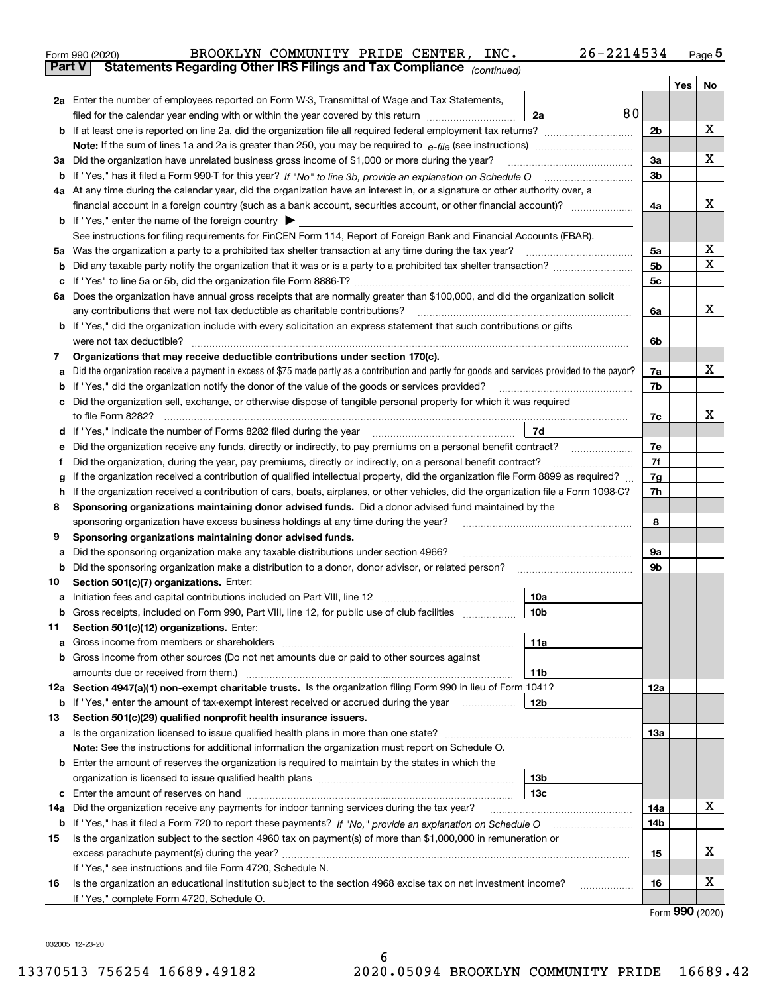| Form 990 (2020) |                                                                                                | BROOKLYN COMMUNITY PRIDE CENTER, INC. |  | 26-2214534 | Page 5 |
|-----------------|------------------------------------------------------------------------------------------------|---------------------------------------|--|------------|--------|
|                 | <b>Part V</b> Statements Regarding Other IRS Filings and Tax Compliance <sub>(continued)</sub> |                                       |  |            |        |

|     |                                                                                                                                                 |                | Yes             | No |  |  |  |  |  |  |  |  |
|-----|-------------------------------------------------------------------------------------------------------------------------------------------------|----------------|-----------------|----|--|--|--|--|--|--|--|--|
|     | 2a Enter the number of employees reported on Form W-3, Transmittal of Wage and Tax Statements,                                                  |                |                 |    |  |  |  |  |  |  |  |  |
|     | 80<br>filed for the calendar year ending with or within the year covered by this return www.communition<br>2a                                   |                |                 |    |  |  |  |  |  |  |  |  |
| b   |                                                                                                                                                 | 2 <sub>b</sub> |                 | х  |  |  |  |  |  |  |  |  |
|     |                                                                                                                                                 |                |                 |    |  |  |  |  |  |  |  |  |
|     | 3a Did the organization have unrelated business gross income of \$1,000 or more during the year?                                                | 3a             |                 | х  |  |  |  |  |  |  |  |  |
|     |                                                                                                                                                 | 3b             |                 |    |  |  |  |  |  |  |  |  |
|     | 4a At any time during the calendar year, did the organization have an interest in, or a signature or other authority over, a                    |                |                 |    |  |  |  |  |  |  |  |  |
|     |                                                                                                                                                 |                |                 |    |  |  |  |  |  |  |  |  |
|     | <b>b</b> If "Yes," enter the name of the foreign country $\blacktriangleright$                                                                  |                |                 |    |  |  |  |  |  |  |  |  |
|     | See instructions for filing requirements for FinCEN Form 114, Report of Foreign Bank and Financial Accounts (FBAR).                             |                |                 |    |  |  |  |  |  |  |  |  |
|     | 5a Was the organization a party to a prohibited tax shelter transaction at any time during the tax year?                                        | 5a             |                 | х  |  |  |  |  |  |  |  |  |
| b   |                                                                                                                                                 | 5 <sub>b</sub> |                 | X  |  |  |  |  |  |  |  |  |
| c   |                                                                                                                                                 | 5c             |                 |    |  |  |  |  |  |  |  |  |
|     | 6a Does the organization have annual gross receipts that are normally greater than \$100,000, and did the organization solicit                  |                |                 |    |  |  |  |  |  |  |  |  |
|     | any contributions that were not tax deductible as charitable contributions?                                                                     | 6a             |                 | х  |  |  |  |  |  |  |  |  |
|     | <b>b</b> If "Yes," did the organization include with every solicitation an express statement that such contributions or gifts                   |                |                 |    |  |  |  |  |  |  |  |  |
|     |                                                                                                                                                 | 6b             |                 |    |  |  |  |  |  |  |  |  |
| 7   | Organizations that may receive deductible contributions under section 170(c).                                                                   |                |                 |    |  |  |  |  |  |  |  |  |
| а   | Did the organization receive a payment in excess of \$75 made partly as a contribution and partly for goods and services provided to the payor? | 7a             |                 | х  |  |  |  |  |  |  |  |  |
| b   | If "Yes," did the organization notify the donor of the value of the goods or services provided?                                                 | 7b             |                 |    |  |  |  |  |  |  |  |  |
| c   | Did the organization sell, exchange, or otherwise dispose of tangible personal property for which it was required                               |                |                 |    |  |  |  |  |  |  |  |  |
|     |                                                                                                                                                 | 7c             |                 | x  |  |  |  |  |  |  |  |  |
| d   | If "Yes," indicate the number of Forms 8282 filed during the year manufactured with the U <sub>7d</sub>                                         |                |                 |    |  |  |  |  |  |  |  |  |
| е   |                                                                                                                                                 | 7e             |                 |    |  |  |  |  |  |  |  |  |
| f   | Did the organization, during the year, pay premiums, directly or indirectly, on a personal benefit contract?                                    | 7f             |                 |    |  |  |  |  |  |  |  |  |
| g   | If the organization received a contribution of qualified intellectual property, did the organization file Form 8899 as required?                | 7g             |                 |    |  |  |  |  |  |  |  |  |
| h   | If the organization received a contribution of cars, boats, airplanes, or other vehicles, did the organization file a Form 1098-C?              | 7h             |                 |    |  |  |  |  |  |  |  |  |
| 8   | Sponsoring organizations maintaining donor advised funds. Did a donor advised fund maintained by the                                            |                |                 |    |  |  |  |  |  |  |  |  |
|     | sponsoring organization have excess business holdings at any time during the year?                                                              | 8              |                 |    |  |  |  |  |  |  |  |  |
| 9   | Sponsoring organizations maintaining donor advised funds.                                                                                       |                |                 |    |  |  |  |  |  |  |  |  |
| а   | Did the sponsoring organization make any taxable distributions under section 4966?                                                              | 9а             |                 |    |  |  |  |  |  |  |  |  |
| b   | Did the sponsoring organization make a distribution to a donor, donor advisor, or related person?                                               | 9b             |                 |    |  |  |  |  |  |  |  |  |
| 10  | Section 501(c)(7) organizations. Enter:                                                                                                         |                |                 |    |  |  |  |  |  |  |  |  |
| а   | 10a                                                                                                                                             |                |                 |    |  |  |  |  |  |  |  |  |
| b   | Gross receipts, included on Form 990, Part VIII, line 12, for public use of club facilities<br>10b                                              |                |                 |    |  |  |  |  |  |  |  |  |
| 11  | Section 501(c)(12) organizations. Enter:                                                                                                        |                |                 |    |  |  |  |  |  |  |  |  |
|     | 11a                                                                                                                                             |                |                 |    |  |  |  |  |  |  |  |  |
|     | <b>b</b> Gross income from other sources (Do not net amounts due or paid to other sources against                                               |                |                 |    |  |  |  |  |  |  |  |  |
|     | 11b                                                                                                                                             |                |                 |    |  |  |  |  |  |  |  |  |
|     | 12a Section 4947(a)(1) non-exempt charitable trusts. Is the organization filing Form 990 in lieu of Form 1041?                                  | 12a            |                 |    |  |  |  |  |  |  |  |  |
|     | 12b<br><b>b</b> If "Yes," enter the amount of tax-exempt interest received or accrued during the year <i>manument</i>                           |                |                 |    |  |  |  |  |  |  |  |  |
| 13  | Section 501(c)(29) qualified nonprofit health insurance issuers.                                                                                |                |                 |    |  |  |  |  |  |  |  |  |
|     | a Is the organization licensed to issue qualified health plans in more than one state?                                                          | 13а            |                 |    |  |  |  |  |  |  |  |  |
|     | Note: See the instructions for additional information the organization must report on Schedule O.                                               |                |                 |    |  |  |  |  |  |  |  |  |
| b   | Enter the amount of reserves the organization is required to maintain by the states in which the<br>13b                                         |                |                 |    |  |  |  |  |  |  |  |  |
|     | 13с                                                                                                                                             |                |                 |    |  |  |  |  |  |  |  |  |
| 14a | Did the organization receive any payments for indoor tanning services during the tax year?                                                      | 14a            |                 | х  |  |  |  |  |  |  |  |  |
|     | <b>b</b> If "Yes," has it filed a Form 720 to report these payments? If "No," provide an explanation on Schedule O                              | 14b            |                 |    |  |  |  |  |  |  |  |  |
| 15  | Is the organization subject to the section 4960 tax on payment(s) of more than \$1,000,000 in remuneration or                                   |                |                 |    |  |  |  |  |  |  |  |  |
|     |                                                                                                                                                 | 15             |                 | х  |  |  |  |  |  |  |  |  |
|     | If "Yes," see instructions and file Form 4720, Schedule N.                                                                                      |                |                 |    |  |  |  |  |  |  |  |  |
| 16  | Is the organization an educational institution subject to the section 4968 excise tax on net investment income?                                 | 16             |                 | х  |  |  |  |  |  |  |  |  |
|     | If "Yes," complete Form 4720, Schedule O.                                                                                                       |                |                 |    |  |  |  |  |  |  |  |  |
|     |                                                                                                                                                 |                | Form 990 (2020) |    |  |  |  |  |  |  |  |  |

032005 12-23-20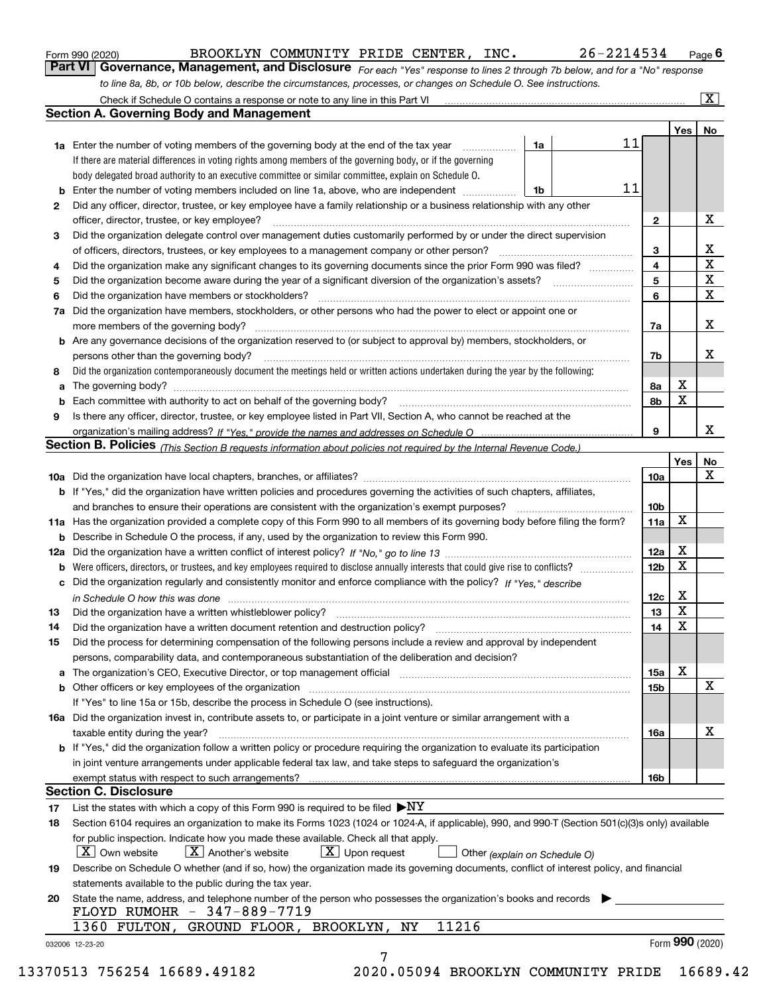|  | Form 990 (2020) |
|--|-----------------|
|  |                 |

BROOKLYN COMMUNITY PRIDE CENTER, INC. 26-2214534

*For each "Yes" response to lines 2 through 7b below, and for a "No" response to line 8a, 8b, or 10b below, describe the circumstances, processes, or changes on Schedule O. See instructions.* Form 990 (2020) **COMBUNT BROOKLYN** COMMUNITY PRIDE CENTER, INC. 26-2214534 Page 6<br>**Part VI Governance, Management, and Disclosure** For each "Yes" response to lines 2 through 7b below, and for a "No" response

|        | <b>1a</b> Enter the number of voting members of the governing body at the end of the tax year                                                                                 | 1a |  | 11 |                         | Yes <sub>1</sub> | No                      |  |  |  |
|--------|-------------------------------------------------------------------------------------------------------------------------------------------------------------------------------|----|--|----|-------------------------|------------------|-------------------------|--|--|--|
|        | If there are material differences in voting rights among members of the governing body, or if the governing                                                                   |    |  |    |                         |                  |                         |  |  |  |
|        | body delegated broad authority to an executive committee or similar committee, explain on Schedule O.                                                                         |    |  |    |                         |                  |                         |  |  |  |
| b      | Enter the number of voting members included on line 1a, above, who are independent                                                                                            | 1b |  | 11 |                         |                  |                         |  |  |  |
| 2      | Did any officer, director, trustee, or key employee have a family relationship or a business relationship with any other                                                      |    |  |    |                         |                  |                         |  |  |  |
|        | officer, director, trustee, or key employee?                                                                                                                                  |    |  |    | $\mathbf{2}$            |                  | X                       |  |  |  |
| З      | Did the organization delegate control over management duties customarily performed by or under the direct supervision                                                         |    |  |    |                         |                  |                         |  |  |  |
|        | of officers, directors, trustees, or key employees to a management company or other person?                                                                                   |    |  |    | 3                       |                  | X                       |  |  |  |
| 4      | Did the organization make any significant changes to its governing documents since the prior Form 990 was filed?                                                              |    |  |    | $\overline{\mathbf{4}}$ |                  | $\overline{\mathbf{x}}$ |  |  |  |
| 5      |                                                                                                                                                                               |    |  |    | 5                       |                  | $\overline{\mathbf{x}}$ |  |  |  |
| 6      | Did the organization have members or stockholders?                                                                                                                            |    |  |    | 6                       |                  | $\mathbf X$             |  |  |  |
| 7a     | Did the organization have members, stockholders, or other persons who had the power to elect or appoint one or                                                                |    |  |    |                         |                  |                         |  |  |  |
|        |                                                                                                                                                                               |    |  |    | 7a                      |                  | X                       |  |  |  |
|        | <b>b</b> Are any governance decisions of the organization reserved to (or subject to approval by) members, stockholders, or                                                   |    |  |    |                         |                  |                         |  |  |  |
|        | persons other than the governing body?                                                                                                                                        |    |  |    | 7b                      |                  | х                       |  |  |  |
|        | Did the organization contemporaneously document the meetings held or written actions undertaken during the year by the following:                                             |    |  |    |                         |                  |                         |  |  |  |
| 8      |                                                                                                                                                                               |    |  |    | 8а                      | X                |                         |  |  |  |
| a<br>b |                                                                                                                                                                               |    |  |    | 8b                      | X                |                         |  |  |  |
|        |                                                                                                                                                                               |    |  |    |                         |                  |                         |  |  |  |
| 9      | Is there any officer, director, trustee, or key employee listed in Part VII, Section A, who cannot be reached at the                                                          |    |  |    | 9                       |                  | X                       |  |  |  |
|        | Section B. Policies (This Section B requests information about policies not required by the Internal Revenue Code.)                                                           |    |  |    |                         |                  |                         |  |  |  |
|        |                                                                                                                                                                               |    |  |    |                         | Yes              | No                      |  |  |  |
|        |                                                                                                                                                                               |    |  |    | 10a                     |                  | X                       |  |  |  |
|        |                                                                                                                                                                               |    |  |    |                         |                  |                         |  |  |  |
|        | <b>b</b> If "Yes," did the organization have written policies and procedures governing the activities of such chapters, affiliates,                                           |    |  |    |                         |                  |                         |  |  |  |
|        |                                                                                                                                                                               |    |  |    | 10 <sub>b</sub>         | X                |                         |  |  |  |
|        | 11a Has the organization provided a complete copy of this Form 990 to all members of its governing body before filing the form?                                               |    |  |    | 11a                     |                  |                         |  |  |  |
|        | <b>b</b> Describe in Schedule O the process, if any, used by the organization to review this Form 990.                                                                        |    |  |    |                         | X                |                         |  |  |  |
|        |                                                                                                                                                                               |    |  |    | 12a                     | х                |                         |  |  |  |
|        | <b>b</b> Were officers, directors, or trustees, and key employees required to disclose annually interests that could give rise to conflicts?                                  |    |  |    | 12 <sub>b</sub>         |                  |                         |  |  |  |
|        | c Did the organization regularly and consistently monitor and enforce compliance with the policy? If "Yes," describe                                                          |    |  |    |                         | X                |                         |  |  |  |
|        | in Schedule O how this was done manufactured and continuum control of the Schedule O how this was done manufactured and continuum control of the Schedule O how this was done |    |  |    | 12c<br>13               | X                |                         |  |  |  |
| 13     |                                                                                                                                                                               |    |  |    | 14                      | X                |                         |  |  |  |
| 14     |                                                                                                                                                                               |    |  |    |                         |                  |                         |  |  |  |
| 15     | Did the process for determining compensation of the following persons include a review and approval by independent                                                            |    |  |    |                         |                  |                         |  |  |  |
|        | persons, comparability data, and contemporaneous substantiation of the deliberation and decision?                                                                             |    |  |    |                         | х                |                         |  |  |  |
|        |                                                                                                                                                                               |    |  |    | 15a                     |                  | $\mathbf X$             |  |  |  |
|        |                                                                                                                                                                               |    |  |    | 15b                     |                  |                         |  |  |  |
|        | If "Yes" to line 15a or 15b, describe the process in Schedule O (see instructions).                                                                                           |    |  |    |                         |                  |                         |  |  |  |
|        | 16a Did the organization invest in, contribute assets to, or participate in a joint venture or similar arrangement with a                                                     |    |  |    |                         |                  | X                       |  |  |  |
|        | taxable entity during the year?                                                                                                                                               |    |  |    | 16a                     |                  |                         |  |  |  |
|        | b If "Yes," did the organization follow a written policy or procedure requiring the organization to evaluate its participation                                                |    |  |    |                         |                  |                         |  |  |  |
|        | in joint venture arrangements under applicable federal tax law, and take steps to safeguard the organization's                                                                |    |  |    |                         |                  |                         |  |  |  |
|        | exempt status with respect to such arrangements?                                                                                                                              |    |  |    | 16b                     |                  |                         |  |  |  |
|        | <b>Section C. Disclosure</b>                                                                                                                                                  |    |  |    |                         |                  |                         |  |  |  |
| 17     | List the states with which a copy of this Form 990 is required to be filed $\blacktriangleright$ NY                                                                           |    |  |    |                         |                  |                         |  |  |  |
| 18     | Section 6104 requires an organization to make its Forms 1023 (1024 or 1024-A, if applicable), 990, and 990-T (Section 501(c)(3)s only) available                              |    |  |    |                         |                  |                         |  |  |  |
|        | for public inspection. Indicate how you made these available. Check all that apply.                                                                                           |    |  |    |                         |                  |                         |  |  |  |
|        | $\vert X \vert$ Another's website<br>$\lfloor x \rfloor$ Upon request<br>$\mid$ $\rm X\mid$ Own website<br>Other (explain on Schedule O)                                      |    |  |    |                         |                  |                         |  |  |  |
| 19     | Describe on Schedule O whether (and if so, how) the organization made its governing documents, conflict of interest policy, and financial                                     |    |  |    |                         |                  |                         |  |  |  |
|        | statements available to the public during the tax year.                                                                                                                       |    |  |    |                         |                  |                         |  |  |  |
| 20     | State the name, address, and telephone number of the person who possesses the organization's books and records                                                                |    |  |    |                         |                  |                         |  |  |  |
|        | FLOYD RUMOHR - 347-889-7719                                                                                                                                                   |    |  |    |                         |                  |                         |  |  |  |
|        | 11216<br>1360 FULTON,<br>GROUND FLOOR, BROOKLYN, NY                                                                                                                           |    |  |    |                         | Form 990 (2020)  |                         |  |  |  |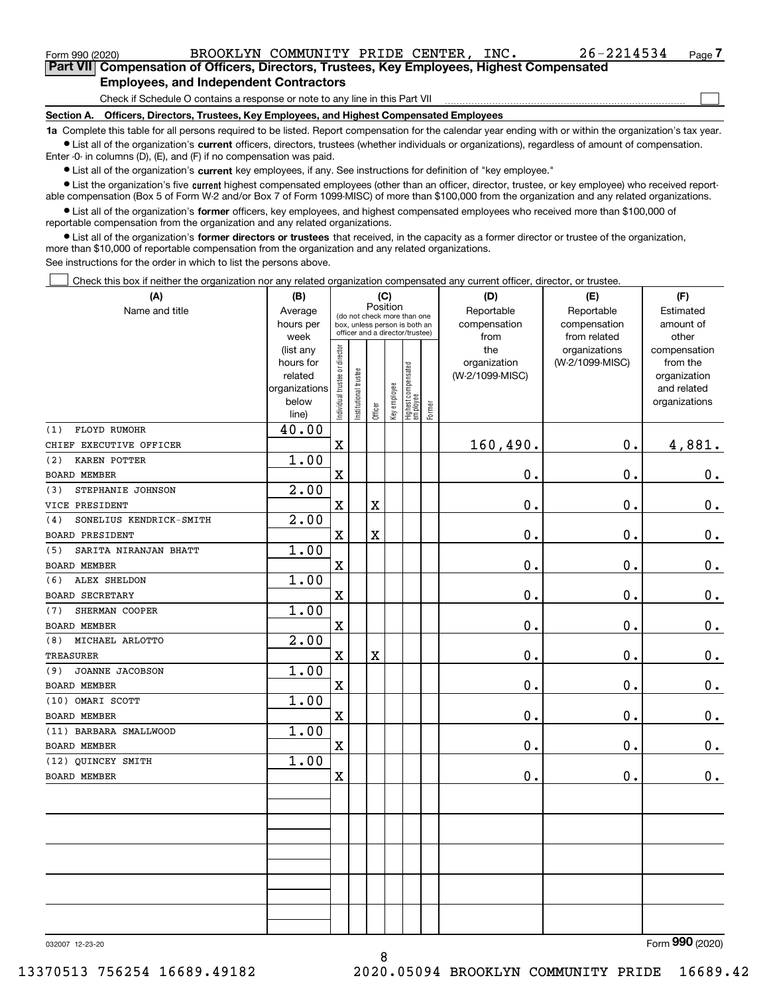$\mathcal{L}^{\text{max}}$ 

**7Part VII Compensation of Officers, Directors, Trustees, Key Employees, Highest Compensated Employees, and Independent Contractors**

Check if Schedule O contains a response or note to any line in this Part VII

**Section A. Officers, Directors, Trustees, Key Employees, and Highest Compensated Employees**

**1a**  Complete this table for all persons required to be listed. Report compensation for the calendar year ending with or within the organization's tax year. **•** List all of the organization's current officers, directors, trustees (whether individuals or organizations), regardless of amount of compensation.

Enter -0- in columns (D), (E), and (F) if no compensation was paid.

 $\bullet$  List all of the organization's  $\,$ current key employees, if any. See instructions for definition of "key employee."

**•** List the organization's five current highest compensated employees (other than an officer, director, trustee, or key employee) who received reportable compensation (Box 5 of Form W-2 and/or Box 7 of Form 1099-MISC) of more than \$100,000 from the organization and any related organizations.

**•** List all of the organization's former officers, key employees, and highest compensated employees who received more than \$100,000 of reportable compensation from the organization and any related organizations.

**former directors or trustees**  ¥ List all of the organization's that received, in the capacity as a former director or trustee of the organization, more than \$10,000 of reportable compensation from the organization and any related organizations.

See instructions for the order in which to list the persons above.

Check this box if neither the organization nor any related organization compensated any current officer, director, or trustee.  $\mathcal{L}^{\text{max}}$ 

| (A)                            | (B)               | (C)                            |                                                                  |             |              |                                  |        | (D)             | (E)             | (F)            |  |  |  |  |
|--------------------------------|-------------------|--------------------------------|------------------------------------------------------------------|-------------|--------------|----------------------------------|--------|-----------------|-----------------|----------------|--|--|--|--|
| Name and title                 | Average           |                                | (do not check more than one                                      |             | Position     |                                  |        | Reportable      | Reportable      | Estimated      |  |  |  |  |
|                                | hours per         |                                | box, unless person is both an<br>officer and a director/trustee) |             |              |                                  |        | compensation    | compensation    | amount of      |  |  |  |  |
|                                | week              |                                |                                                                  |             |              |                                  |        | from            | from related    | other          |  |  |  |  |
|                                | (list any         |                                |                                                                  |             |              |                                  |        | the             | organizations   | compensation   |  |  |  |  |
|                                | hours for         |                                |                                                                  |             |              |                                  |        | organization    | (W-2/1099-MISC) | from the       |  |  |  |  |
|                                | related           |                                |                                                                  |             |              |                                  |        | (W-2/1099-MISC) |                 | organization   |  |  |  |  |
|                                | organizations     |                                |                                                                  |             |              |                                  |        |                 |                 | and related    |  |  |  |  |
|                                | below<br>line)    | Individual trustee or director | Institutional trustee                                            | Officer     | Key employee | Highest compensated<br> employee | Former |                 |                 | organizations  |  |  |  |  |
| FLOYD RUMOHR<br>(1)            | 40.00             |                                |                                                                  |             |              |                                  |        |                 |                 |                |  |  |  |  |
| CHIEF EXECUTIVE OFFICER        |                   | $\mathbf X$                    |                                                                  |             |              |                                  |        | 160,490.        | $\mathbf 0$ .   | 4,881.         |  |  |  |  |
| (2)<br><b>KAREN POTTER</b>     | 1.00              |                                |                                                                  |             |              |                                  |        |                 |                 |                |  |  |  |  |
| <b>BOARD MEMBER</b>            |                   | X                              |                                                                  |             |              |                                  |        | 0.              | $\mathbf 0$ .   | $0_{.}$        |  |  |  |  |
| (3)<br>STEPHANIE JOHNSON       | 2.00              |                                |                                                                  |             |              |                                  |        |                 |                 |                |  |  |  |  |
| VICE PRESIDENT                 |                   | $\mathbf X$                    |                                                                  | $\rm X$     |              |                                  |        | 0.              | $\mathbf 0$ .   | $\mathbf 0$ .  |  |  |  |  |
| (4)<br>SONELIUS KENDRICK-SMITH | $\overline{2.00}$ |                                |                                                                  |             |              |                                  |        |                 |                 |                |  |  |  |  |
| <b>BOARD PRESIDENT</b>         |                   | X                              |                                                                  | $\rm X$     |              |                                  |        | 0.              | $\mathbf 0$ .   | $0_{.}$        |  |  |  |  |
| SARITA NIRANJAN BHATT<br>(5)   | 1.00              |                                |                                                                  |             |              |                                  |        |                 |                 |                |  |  |  |  |
| <b>BOARD MEMBER</b>            |                   | $\overline{\mathbf{X}}$        |                                                                  |             |              |                                  |        | 0.              | $\mathbf 0$ .   | $0_{.}$        |  |  |  |  |
| <b>ALEX SHELDON</b><br>(6)     | 1.00              |                                |                                                                  |             |              |                                  |        |                 |                 |                |  |  |  |  |
| <b>BOARD SECRETARY</b>         |                   | $\overline{\mathbf{X}}$        |                                                                  |             |              |                                  |        | 0.              | $\mathbf 0$ .   | $\mathbf 0$ .  |  |  |  |  |
| SHERMAN COOPER<br>(7)          | 1.00              |                                |                                                                  |             |              |                                  |        |                 |                 |                |  |  |  |  |
| <b>BOARD MEMBER</b>            |                   | $\overline{\mathbf{X}}$        |                                                                  |             |              |                                  |        | 0.              | $\mathbf 0$ .   | $\mathbf 0$ .  |  |  |  |  |
| MICHAEL ARLOTTO<br>(8)         | $\overline{2.00}$ |                                |                                                                  |             |              |                                  |        |                 |                 |                |  |  |  |  |
| <b>TREASURER</b>               |                   | $\overline{\textbf{X}}$        |                                                                  | $\mathbf X$ |              |                                  |        | 0.              | $\mathbf 0$ .   | 0.             |  |  |  |  |
| <b>JOANNE JACOBSON</b><br>(9)  | 1.00              |                                |                                                                  |             |              |                                  |        |                 |                 |                |  |  |  |  |
| <b>BOARD MEMBER</b>            |                   | X                              |                                                                  |             |              |                                  |        | 0.              | $\mathbf 0$ .   | $0_{.}$        |  |  |  |  |
| (10) OMARI SCOTT               | 1.00              |                                |                                                                  |             |              |                                  |        |                 |                 |                |  |  |  |  |
| BOARD MEMBER                   |                   | $\overline{\text{X}}$          |                                                                  |             |              |                                  |        | $0$ .           | $\mathbf{0}$ .  | $0$ .          |  |  |  |  |
| (11) BARBARA SMALLWOOD         | 1.00              |                                |                                                                  |             |              |                                  |        |                 |                 |                |  |  |  |  |
| <b>BOARD MEMBER</b>            |                   | $\overline{\mathbf{X}}$        |                                                                  |             |              |                                  |        | 0.              | $\mathbf 0$ .   | 0.             |  |  |  |  |
| (12) QUINCEY SMITH             | 1.00              |                                |                                                                  |             |              |                                  |        |                 |                 |                |  |  |  |  |
| <b>BOARD MEMBER</b>            |                   | $\overline{\textbf{X}}$        |                                                                  |             |              |                                  |        | 0.              | $\mathbf 0$ .   | 0.             |  |  |  |  |
|                                |                   |                                |                                                                  |             |              |                                  |        |                 |                 |                |  |  |  |  |
|                                |                   |                                |                                                                  |             |              |                                  |        |                 |                 |                |  |  |  |  |
|                                |                   |                                |                                                                  |             |              |                                  |        |                 |                 |                |  |  |  |  |
|                                |                   |                                |                                                                  |             |              |                                  |        |                 |                 |                |  |  |  |  |
|                                |                   |                                |                                                                  |             |              |                                  |        |                 |                 |                |  |  |  |  |
|                                |                   |                                |                                                                  |             |              |                                  |        |                 |                 |                |  |  |  |  |
|                                |                   |                                |                                                                  |             |              |                                  |        |                 |                 |                |  |  |  |  |
|                                |                   |                                |                                                                  |             |              |                                  |        |                 |                 |                |  |  |  |  |
|                                |                   |                                |                                                                  |             |              |                                  |        |                 |                 |                |  |  |  |  |
|                                |                   |                                |                                                                  |             |              |                                  |        |                 |                 | $\overline{2}$ |  |  |  |  |

8

032007 12-23-20

Form (2020) **990**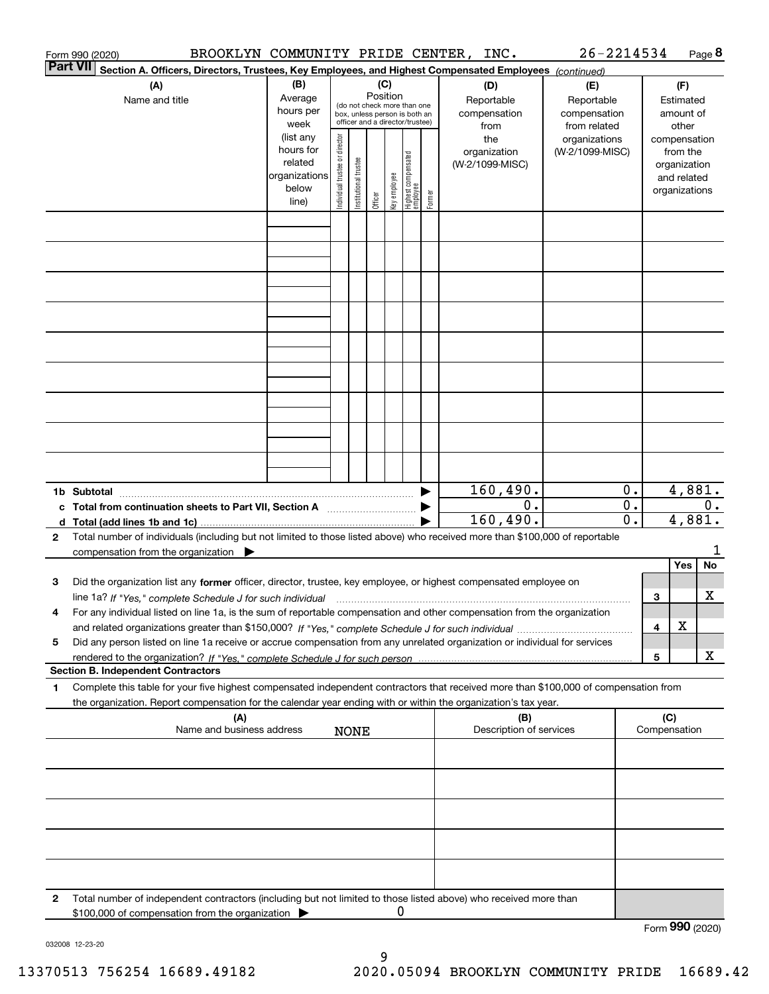|                 | Form 990 (2020)                                                                                                                                      |                      |                                |                                 |          |              |                                  |        | BROOKLYN COMMUNITY PRIDE CENTER, INC. | 26-2214534      |                  |              |                             | Page 8           |
|-----------------|------------------------------------------------------------------------------------------------------------------------------------------------------|----------------------|--------------------------------|---------------------------------|----------|--------------|----------------------------------|--------|---------------------------------------|-----------------|------------------|--------------|-----------------------------|------------------|
| <b>Part VII</b> | Section A. Officers, Directors, Trustees, Key Employees, and Highest Compensated Employees (continued)                                               |                      |                                |                                 |          |              |                                  |        |                                       |                 |                  |              |                             |                  |
|                 | (A)                                                                                                                                                  | (B)                  |                                |                                 | (C)      |              |                                  |        | (D)                                   | (E)             |                  |              |                             |                  |
|                 | Name and title                                                                                                                                       | Average              |                                | (do not check more than one     | Position |              |                                  |        | Reportable                            | Reportable      |                  |              | Estimated                   |                  |
|                 |                                                                                                                                                      | hours per            |                                | box, unless person is both an   |          |              |                                  |        | compensation                          | compensation    |                  |              | amount of                   |                  |
|                 |                                                                                                                                                      | week                 |                                | officer and a director/trustee) |          |              |                                  |        | from                                  | from related    |                  |              | other                       |                  |
|                 |                                                                                                                                                      | (list any            |                                |                                 |          |              |                                  |        | the                                   | organizations   |                  |              | compensation                |                  |
|                 |                                                                                                                                                      | hours for<br>related |                                |                                 |          |              |                                  |        | organization                          | (W-2/1099-MISC) |                  |              | from the                    |                  |
|                 |                                                                                                                                                      | organizations        |                                |                                 |          |              |                                  |        | (W-2/1099-MISC)                       |                 |                  |              | organization<br>and related |                  |
|                 |                                                                                                                                                      | below                |                                |                                 |          |              |                                  |        |                                       |                 |                  |              | organizations               |                  |
|                 |                                                                                                                                                      | line)                | Individual trustee or director | Institutional trustee           | Officer  | Key employee | Highest compensated<br> employee | Former |                                       |                 |                  |              |                             |                  |
|                 |                                                                                                                                                      |                      |                                |                                 |          |              |                                  |        |                                       |                 |                  |              |                             |                  |
|                 |                                                                                                                                                      |                      |                                |                                 |          |              |                                  |        |                                       |                 |                  |              |                             |                  |
|                 |                                                                                                                                                      |                      |                                |                                 |          |              |                                  |        |                                       |                 |                  |              |                             |                  |
|                 |                                                                                                                                                      |                      |                                |                                 |          |              |                                  |        |                                       |                 |                  |              |                             |                  |
|                 |                                                                                                                                                      |                      |                                |                                 |          |              |                                  |        |                                       |                 |                  |              |                             |                  |
|                 |                                                                                                                                                      |                      |                                |                                 |          |              |                                  |        |                                       |                 |                  |              |                             |                  |
|                 |                                                                                                                                                      |                      |                                |                                 |          |              |                                  |        |                                       |                 |                  |              |                             |                  |
|                 |                                                                                                                                                      |                      |                                |                                 |          |              |                                  |        |                                       |                 |                  |              |                             |                  |
|                 |                                                                                                                                                      |                      |                                |                                 |          |              |                                  |        |                                       |                 |                  |              |                             |                  |
|                 |                                                                                                                                                      |                      |                                |                                 |          |              |                                  |        |                                       |                 |                  |              |                             |                  |
|                 |                                                                                                                                                      |                      |                                |                                 |          |              |                                  |        |                                       |                 |                  |              |                             |                  |
|                 |                                                                                                                                                      |                      |                                |                                 |          |              |                                  |        |                                       |                 |                  |              |                             |                  |
|                 |                                                                                                                                                      |                      |                                |                                 |          |              |                                  |        |                                       |                 |                  |              |                             |                  |
|                 |                                                                                                                                                      |                      |                                |                                 |          |              |                                  |        |                                       |                 |                  |              |                             |                  |
|                 |                                                                                                                                                      |                      |                                |                                 |          |              |                                  |        |                                       |                 |                  |              |                             |                  |
|                 |                                                                                                                                                      |                      |                                |                                 |          |              |                                  |        |                                       |                 |                  |              |                             |                  |
|                 |                                                                                                                                                      |                      |                                |                                 |          |              |                                  |        |                                       |                 |                  |              |                             |                  |
|                 |                                                                                                                                                      |                      |                                |                                 |          |              |                                  |        | 160,490.                              |                 | 0.               |              |                             | 4,881.           |
|                 | c Total from continuation sheets to Part VII, Section A manufactured by                                                                              |                      |                                |                                 |          |              |                                  |        |                                       | 0.              | $\overline{0}$ . |              |                             | 0.               |
|                 |                                                                                                                                                      |                      |                                |                                 |          |              |                                  |        | 160, 490.                             |                 | 0.               |              |                             | 4,881.           |
| 2               | Total number of individuals (including but not limited to those listed above) who received more than \$100,000 of reportable                         |                      |                                |                                 |          |              |                                  |        |                                       |                 |                  |              |                             |                  |
|                 | compensation from the organization $\blacktriangleright$                                                                                             |                      |                                |                                 |          |              |                                  |        |                                       |                 |                  |              |                             | 1                |
|                 |                                                                                                                                                      |                      |                                |                                 |          |              |                                  |        |                                       |                 |                  |              | Yes                         | No               |
| 3               | Did the organization list any former officer, director, trustee, key employee, or highest compensated employee on                                    |                      |                                |                                 |          |              |                                  |        |                                       |                 |                  |              |                             |                  |
|                 | line 1a? If "Yes," complete Schedule J for such individual manufactured contained and the line 1a? If "Yes," complete Schedule J for such individual |                      |                                |                                 |          |              |                                  |        |                                       |                 |                  | 3            |                             | X                |
|                 | For any individual listed on line 1a, is the sum of reportable compensation and other compensation from the organization                             |                      |                                |                                 |          |              |                                  |        |                                       |                 |                  |              |                             |                  |
|                 |                                                                                                                                                      |                      |                                |                                 |          |              |                                  |        |                                       |                 |                  | 4            | X                           |                  |
| 5               | Did any person listed on line 1a receive or accrue compensation from any unrelated organization or individual for services                           |                      |                                |                                 |          |              |                                  |        |                                       |                 |                  |              |                             |                  |
|                 |                                                                                                                                                      |                      |                                |                                 |          |              |                                  |        |                                       |                 |                  | 5            |                             | х                |
|                 | <b>Section B. Independent Contractors</b>                                                                                                            |                      |                                |                                 |          |              |                                  |        |                                       |                 |                  |              |                             |                  |
| 1.              | Complete this table for your five highest compensated independent contractors that received more than \$100,000 of compensation from                 |                      |                                |                                 |          |              |                                  |        |                                       |                 |                  |              |                             |                  |
|                 | the organization. Report compensation for the calendar year ending with or within the organization's tax year.                                       |                      |                                |                                 |          |              |                                  |        |                                       |                 |                  |              |                             |                  |
|                 | (A)<br>Name and business address                                                                                                                     |                      |                                |                                 |          |              |                                  |        | Description of services               | (B)             |                  | Compensation | (C)                         |                  |
|                 |                                                                                                                                                      |                      |                                | <b>NONE</b>                     |          |              |                                  |        |                                       |                 |                  |              |                             |                  |
|                 |                                                                                                                                                      |                      |                                |                                 |          |              |                                  |        |                                       |                 |                  |              |                             |                  |
|                 |                                                                                                                                                      |                      |                                |                                 |          |              |                                  |        |                                       |                 |                  |              |                             |                  |
|                 |                                                                                                                                                      |                      |                                |                                 |          |              |                                  |        |                                       |                 |                  |              |                             |                  |
|                 |                                                                                                                                                      |                      |                                |                                 |          |              |                                  |        |                                       |                 |                  |              |                             |                  |
|                 |                                                                                                                                                      |                      |                                |                                 |          |              |                                  |        |                                       |                 |                  |              |                             |                  |
|                 |                                                                                                                                                      |                      |                                |                                 |          |              |                                  |        |                                       |                 |                  |              |                             |                  |
|                 |                                                                                                                                                      |                      |                                |                                 |          |              |                                  |        |                                       |                 |                  |              |                             |                  |
|                 |                                                                                                                                                      |                      |                                |                                 |          |              |                                  |        |                                       |                 |                  |              |                             |                  |
|                 |                                                                                                                                                      |                      |                                |                                 |          |              |                                  |        |                                       |                 |                  |              |                             |                  |
| 2               | Total number of independent contractors (including but not limited to those listed above) who received more than                                     |                      |                                |                                 |          |              |                                  |        |                                       |                 |                  |              |                             |                  |
|                 | \$100,000 of compensation from the organization                                                                                                      |                      |                                |                                 |          | 0            |                                  |        |                                       |                 |                  |              |                             | $000 \times 000$ |

Form (2020) **990**

032008 12-23-20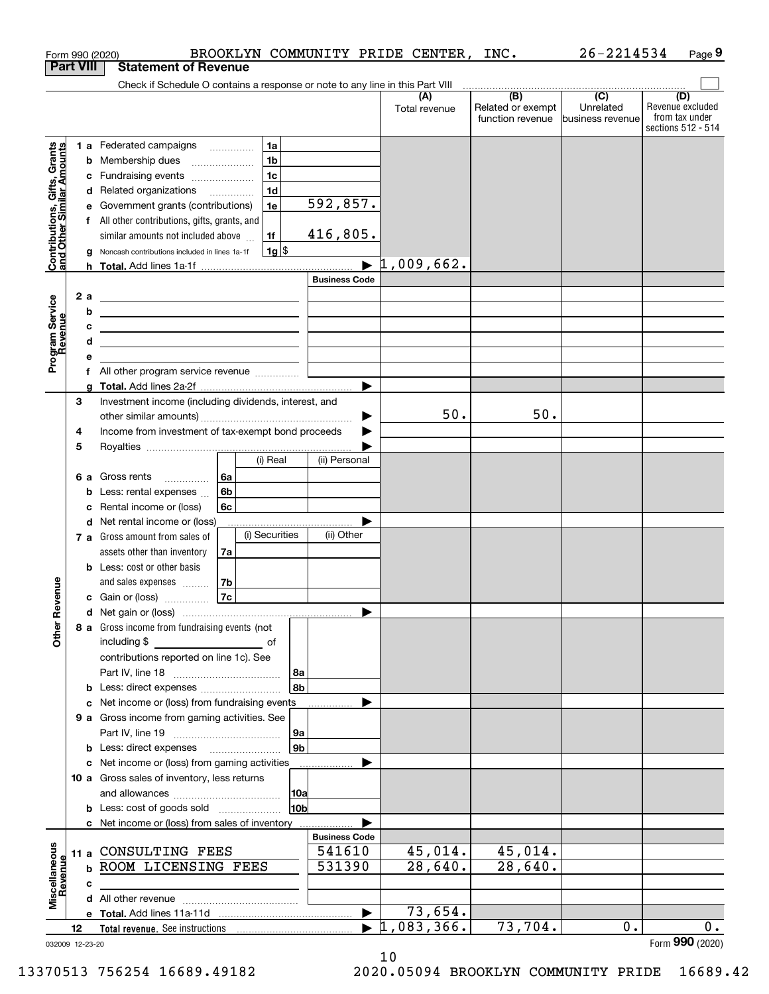|                                                           |                  | BROOKLYN COMMUNITY PRIDE CENTER,<br>Form 990 (2020)                                                                                                                                                                                                  |                      |                          | INC.                                         | 26-2214534                                        | Page 9                                                          |
|-----------------------------------------------------------|------------------|------------------------------------------------------------------------------------------------------------------------------------------------------------------------------------------------------------------------------------------------------|----------------------|--------------------------|----------------------------------------------|---------------------------------------------------|-----------------------------------------------------------------|
|                                                           | <b>Part VIII</b> | <b>Statement of Revenue</b>                                                                                                                                                                                                                          |                      |                          |                                              |                                                   |                                                                 |
|                                                           |                  | Check if Schedule O contains a response or note to any line in this Part VIII                                                                                                                                                                        |                      |                          |                                              |                                                   |                                                                 |
|                                                           |                  |                                                                                                                                                                                                                                                      |                      | (A)<br>Total revenue     | (B)<br>Related or exempt<br>function revenue | $\overline{(C)}$<br>Unrelated<br>business revenue | (D)<br>Revenue excluded<br>from tax under<br>sections 512 - 514 |
|                                                           |                  | 1 a Federated campaigns<br>1a                                                                                                                                                                                                                        |                      |                          |                                              |                                                   |                                                                 |
|                                                           |                  | 1 <sub>b</sub><br><b>b</b> Membership dues                                                                                                                                                                                                           |                      |                          |                                              |                                                   |                                                                 |
| Contributions, Gifts, Grants<br>and Other Similar Amounts |                  | 1 <sub>c</sub><br>Fundraising events<br>c                                                                                                                                                                                                            |                      |                          |                                              |                                                   |                                                                 |
|                                                           |                  | 1 <sub>d</sub><br>d Related organizations                                                                                                                                                                                                            |                      |                          |                                              |                                                   |                                                                 |
|                                                           |                  | e Government grants (contributions)<br>1e                                                                                                                                                                                                            | 592,857.             |                          |                                              |                                                   |                                                                 |
|                                                           |                  | f All other contributions, gifts, grants, and                                                                                                                                                                                                        |                      |                          |                                              |                                                   |                                                                 |
|                                                           |                  | 1f<br>similar amounts not included above                                                                                                                                                                                                             | 416,805.             |                          |                                              |                                                   |                                                                 |
|                                                           |                  | $1g$ \$<br>Noncash contributions included in lines 1a-1f<br>a                                                                                                                                                                                        |                      | $1,009,662$ .            |                                              |                                                   |                                                                 |
|                                                           |                  |                                                                                                                                                                                                                                                      | <b>Business Code</b> |                          |                                              |                                                   |                                                                 |
|                                                           | 2 a              |                                                                                                                                                                                                                                                      |                      |                          |                                              |                                                   |                                                                 |
| Program Service<br>Revenue                                | b                | <u> 1989 - Andrea Stadt Britain, amerikansk politiker (</u>                                                                                                                                                                                          |                      |                          |                                              |                                                   |                                                                 |
|                                                           |                  | <u> 1989 - Johann Stein, marwolaethau a bhann an t-Albann an t-Albann an t-Albann an t-Albann an t-Albann an t-Alb</u><br>с<br><u> 1989 - Johann Harry Harry Harry Harry Harry Harry Harry Harry Harry Harry Harry Harry Harry Harry Harry Harry</u> |                      |                          |                                              |                                                   |                                                                 |
|                                                           | d                | <u> 1989 - Johann Stein, mars an de Britannich (b. 1989)</u>                                                                                                                                                                                         |                      |                          |                                              |                                                   |                                                                 |
|                                                           | е                |                                                                                                                                                                                                                                                      |                      |                          |                                              |                                                   |                                                                 |
|                                                           |                  |                                                                                                                                                                                                                                                      |                      |                          |                                              |                                                   |                                                                 |
|                                                           |                  | a                                                                                                                                                                                                                                                    |                      |                          |                                              |                                                   |                                                                 |
|                                                           | З                | Investment income (including dividends, interest, and                                                                                                                                                                                                |                      |                          |                                              |                                                   |                                                                 |
|                                                           |                  |                                                                                                                                                                                                                                                      |                      | 50.                      | 50.                                          |                                                   |                                                                 |
|                                                           | 4                | Income from investment of tax-exempt bond proceeds                                                                                                                                                                                                   |                      |                          |                                              |                                                   |                                                                 |
|                                                           | 5                |                                                                                                                                                                                                                                                      |                      |                          |                                              |                                                   |                                                                 |
|                                                           |                  | (i) Real                                                                                                                                                                                                                                             | (ii) Personal        |                          |                                              |                                                   |                                                                 |
|                                                           |                  | <b>6 a</b> Gross rents<br>6a<br>6 <sub>b</sub>                                                                                                                                                                                                       |                      |                          |                                              |                                                   |                                                                 |
|                                                           | c                | <b>b</b> Less: rental expenses<br>Rental income or (loss)<br>6с                                                                                                                                                                                      |                      |                          |                                              |                                                   |                                                                 |
|                                                           |                  | <b>d</b> Net rental income or (loss)                                                                                                                                                                                                                 |                      |                          |                                              |                                                   |                                                                 |
|                                                           |                  | (i) Securities<br>7 a Gross amount from sales of                                                                                                                                                                                                     | (ii) Other           |                          |                                              |                                                   |                                                                 |
|                                                           |                  | assets other than inventory<br>7a                                                                                                                                                                                                                    |                      |                          |                                              |                                                   |                                                                 |
|                                                           |                  | <b>b</b> Less: cost or other basis                                                                                                                                                                                                                   |                      |                          |                                              |                                                   |                                                                 |
|                                                           |                  | and sales expenses<br>7b                                                                                                                                                                                                                             |                      |                          |                                              |                                                   |                                                                 |
| evenue                                                    |                  | <b>7c</b><br>c Gain or (loss)                                                                                                                                                                                                                        |                      |                          |                                              |                                                   |                                                                 |
| Œ                                                         |                  | d Net gain or (loss)                                                                                                                                                                                                                                 |                      |                          |                                              |                                                   |                                                                 |
| Other                                                     |                  | 8 a Gross income from fundraising events (not<br>including \$<br><u>and the state of</u> the state of                                                                                                                                                |                      |                          |                                              |                                                   |                                                                 |
|                                                           |                  | contributions reported on line 1c). See                                                                                                                                                                                                              |                      |                          |                                              |                                                   |                                                                 |
|                                                           |                  | 8a                                                                                                                                                                                                                                                   |                      |                          |                                              |                                                   |                                                                 |
|                                                           |                  | 8b<br><b>b</b> Less: direct expenses <i>manually contained</i>                                                                                                                                                                                       |                      |                          |                                              |                                                   |                                                                 |
|                                                           |                  | c Net income or (loss) from fundraising events                                                                                                                                                                                                       |                      |                          |                                              |                                                   |                                                                 |
|                                                           |                  | 9 a Gross income from gaming activities. See                                                                                                                                                                                                         |                      |                          |                                              |                                                   |                                                                 |
|                                                           |                  | 9a                                                                                                                                                                                                                                                   |                      |                          |                                              |                                                   |                                                                 |
|                                                           |                  | 9 <sub>b</sub><br><b>b</b> Less: direct expenses <b>manually</b><br>c Net income or (loss) from gaming activities                                                                                                                                    |                      |                          |                                              |                                                   |                                                                 |
|                                                           |                  | 10 a Gross sales of inventory, less returns                                                                                                                                                                                                          |                      |                          |                                              |                                                   |                                                                 |
|                                                           |                  | 10a                                                                                                                                                                                                                                                  |                      |                          |                                              |                                                   |                                                                 |
|                                                           |                  | 10 <sub>b</sub><br><b>b</b> Less: cost of goods sold                                                                                                                                                                                                 |                      |                          |                                              |                                                   |                                                                 |
|                                                           |                  | c Net income or (loss) from sales of inventory                                                                                                                                                                                                       |                      |                          |                                              |                                                   |                                                                 |
|                                                           |                  |                                                                                                                                                                                                                                                      | <b>Business Code</b> |                          |                                              |                                                   |                                                                 |
| Miscellaneous                                             |                  | 11 a CONSULTING FEES                                                                                                                                                                                                                                 | 541610               | 45,014.                  | 45,014.                                      |                                                   |                                                                 |
| Revenue                                                   |                  | <b>b ROOM LICENSING FEES</b>                                                                                                                                                                                                                         | 531390               | 28,640.                  | 28,640.                                      |                                                   |                                                                 |
|                                                           | с                |                                                                                                                                                                                                                                                      |                      |                          |                                              |                                                   |                                                                 |
|                                                           |                  |                                                                                                                                                                                                                                                      |                      |                          |                                              |                                                   |                                                                 |
|                                                           |                  |                                                                                                                                                                                                                                                      |                      | 73,654.                  |                                              |                                                   |                                                                 |
|                                                           | 12               |                                                                                                                                                                                                                                                      |                      | $\overline{1,083,366}$ . | 73,704.                                      | 0.                                                | $0$ .                                                           |
|                                                           | 032009 12-23-20  |                                                                                                                                                                                                                                                      |                      |                          |                                              |                                                   | Form 990 (2020)                                                 |

032009 12-23-20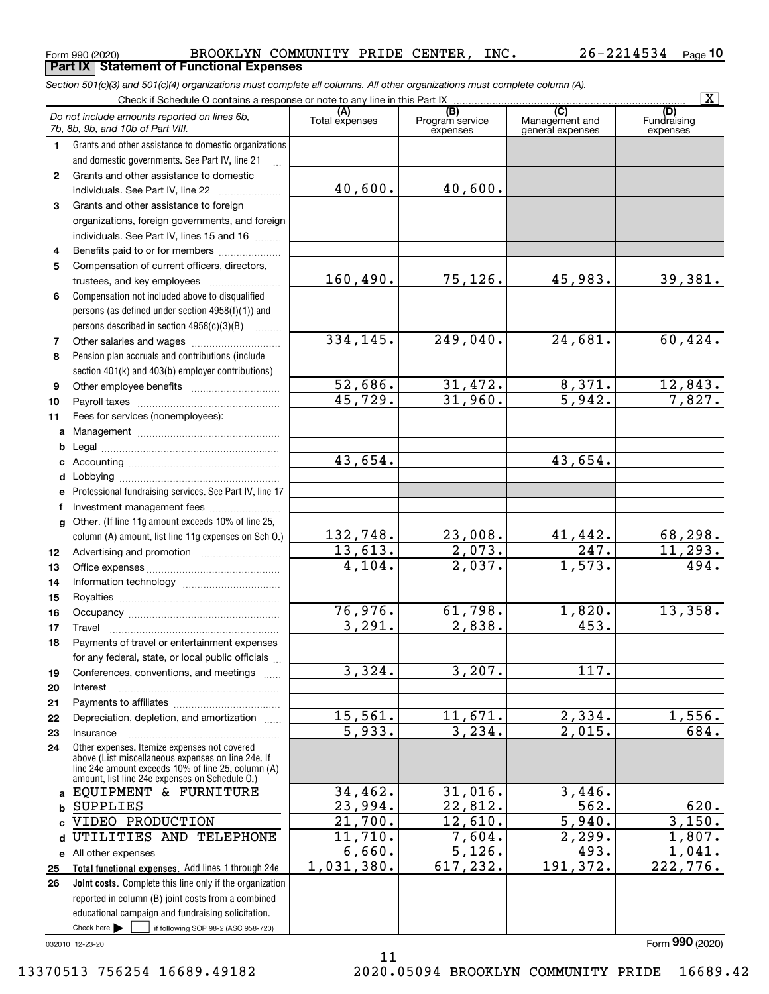**Part IX Statement of Functional Expenses**

|              | Section 501(c)(3) and 501(c)(4) organizations must complete all columns. All other organizations must complete column (A).                                                                                                                                          |                       |                                    |                                           |                                |  |  |  |  |  |
|--------------|---------------------------------------------------------------------------------------------------------------------------------------------------------------------------------------------------------------------------------------------------------------------|-----------------------|------------------------------------|-------------------------------------------|--------------------------------|--|--|--|--|--|
|              | Check if Schedule O contains a response or note to any line in this Part IX                                                                                                                                                                                         |                       |                                    |                                           | $\overline{\mathbf{X}}$        |  |  |  |  |  |
|              | Do not include amounts reported on lines 6b,<br>7b, 8b, 9b, and 10b of Part VIII.                                                                                                                                                                                   | (A)<br>Total expenses | (B)<br>Program service<br>expenses | (C)<br>Management and<br>general expenses | (D)<br>Fundraising<br>expenses |  |  |  |  |  |
| 1.           | Grants and other assistance to domestic organizations                                                                                                                                                                                                               |                       |                                    |                                           |                                |  |  |  |  |  |
|              | and domestic governments. See Part IV, line 21                                                                                                                                                                                                                      |                       |                                    |                                           |                                |  |  |  |  |  |
| $\mathbf{2}$ | Grants and other assistance to domestic                                                                                                                                                                                                                             |                       |                                    |                                           |                                |  |  |  |  |  |
|              | individuals. See Part IV, line 22<br>and a complete the complete state of the state of the state of the state of the state of the state of the state of the state of the state of the state of the state of the state of the state of the state of the state of the | 40,600.               | 40,600.                            |                                           |                                |  |  |  |  |  |
| 3            | Grants and other assistance to foreign                                                                                                                                                                                                                              |                       |                                    |                                           |                                |  |  |  |  |  |
|              | organizations, foreign governments, and foreign                                                                                                                                                                                                                     |                       |                                    |                                           |                                |  |  |  |  |  |
|              | individuals. See Part IV, lines 15 and 16                                                                                                                                                                                                                           |                       |                                    |                                           |                                |  |  |  |  |  |
| 4            | Benefits paid to or for members                                                                                                                                                                                                                                     |                       |                                    |                                           |                                |  |  |  |  |  |
| 5            | Compensation of current officers, directors,                                                                                                                                                                                                                        |                       |                                    |                                           |                                |  |  |  |  |  |
|              |                                                                                                                                                                                                                                                                     | 160,490.              | 75,126.                            | 45,983.                                   | 39,381.                        |  |  |  |  |  |
| 6            | Compensation not included above to disqualified                                                                                                                                                                                                                     |                       |                                    |                                           |                                |  |  |  |  |  |
|              | persons (as defined under section 4958(f)(1)) and                                                                                                                                                                                                                   |                       |                                    |                                           |                                |  |  |  |  |  |
|              | persons described in section 4958(c)(3)(B)                                                                                                                                                                                                                          |                       |                                    |                                           |                                |  |  |  |  |  |
| 7            |                                                                                                                                                                                                                                                                     | 334, 145.             | 249,040.                           | 24,681.                                   | 60, 424.                       |  |  |  |  |  |
| 8            | Pension plan accruals and contributions (include                                                                                                                                                                                                                    |                       |                                    |                                           |                                |  |  |  |  |  |
|              | section 401(k) and 403(b) employer contributions)                                                                                                                                                                                                                   |                       | 31,472.                            |                                           |                                |  |  |  |  |  |
| 9            |                                                                                                                                                                                                                                                                     | 52,686.<br>45,729.    | 31,960.                            | 8,371.<br>$\overline{5,942}$ .            | $\frac{12,843.7}{7,827.}$      |  |  |  |  |  |
| 10           |                                                                                                                                                                                                                                                                     |                       |                                    |                                           |                                |  |  |  |  |  |
| 11           | Fees for services (nonemployees):                                                                                                                                                                                                                                   |                       |                                    |                                           |                                |  |  |  |  |  |
| a            |                                                                                                                                                                                                                                                                     |                       |                                    |                                           |                                |  |  |  |  |  |
| b            |                                                                                                                                                                                                                                                                     | 43,654.               |                                    | 43,654.                                   |                                |  |  |  |  |  |
| с            |                                                                                                                                                                                                                                                                     |                       |                                    |                                           |                                |  |  |  |  |  |
| d            | Professional fundraising services. See Part IV, line 17                                                                                                                                                                                                             |                       |                                    |                                           |                                |  |  |  |  |  |
| f            | Investment management fees                                                                                                                                                                                                                                          |                       |                                    |                                           |                                |  |  |  |  |  |
| g            | Other. (If line 11g amount exceeds 10% of line 25,                                                                                                                                                                                                                  |                       |                                    |                                           |                                |  |  |  |  |  |
|              | column (A) amount, list line 11g expenses on Sch O.)                                                                                                                                                                                                                | 132,748.              | 23,008.                            | 41,442.                                   | 68,298.                        |  |  |  |  |  |
| 12           |                                                                                                                                                                                                                                                                     | 13,613.               | 2,073.                             | 247.                                      | 11,293.                        |  |  |  |  |  |
| 13           |                                                                                                                                                                                                                                                                     | 4,104.                | 2,037.                             | 1,573.                                    | 494.                           |  |  |  |  |  |
| 14           |                                                                                                                                                                                                                                                                     |                       |                                    |                                           |                                |  |  |  |  |  |
| 15           |                                                                                                                                                                                                                                                                     |                       |                                    |                                           |                                |  |  |  |  |  |
| 16           |                                                                                                                                                                                                                                                                     | 76,976.               | 61,798.                            | 1,820.                                    | 13,358.                        |  |  |  |  |  |
| 17           |                                                                                                                                                                                                                                                                     | 3,291.                | 2,838.                             | 453.                                      |                                |  |  |  |  |  |
| 18           | Payments of travel or entertainment expenses                                                                                                                                                                                                                        |                       |                                    |                                           |                                |  |  |  |  |  |
|              | for any federal, state, or local public officials                                                                                                                                                                                                                   |                       |                                    |                                           |                                |  |  |  |  |  |
| 19           | Conferences, conventions, and meetings                                                                                                                                                                                                                              | 3,324.                | 3,207.                             | 117.                                      |                                |  |  |  |  |  |
| 20           | Interest                                                                                                                                                                                                                                                            |                       |                                    |                                           |                                |  |  |  |  |  |
| 21           |                                                                                                                                                                                                                                                                     |                       |                                    |                                           |                                |  |  |  |  |  |
| 22           | Depreciation, depletion, and amortization                                                                                                                                                                                                                           | 15,561.               | 11,671.                            | 2,334.                                    | 1,556.                         |  |  |  |  |  |
| 23           | Insurance                                                                                                                                                                                                                                                           | $\overline{5,933}$ .  | 3,234.                             | 2,015.                                    | 684.                           |  |  |  |  |  |
| 24           | Other expenses. Itemize expenses not covered<br>above (List miscellaneous expenses on line 24e. If<br>line 24e amount exceeds 10% of line 25, column (A)<br>amount, list line 24e expenses on Schedule 0.)                                                          |                       |                                    |                                           |                                |  |  |  |  |  |
| a            | EQUIPMENT & FURNITURE                                                                                                                                                                                                                                               | 34, 462.              | 31,016.                            | 3,446.                                    |                                |  |  |  |  |  |
| b            | <b>SUPPLIES</b>                                                                                                                                                                                                                                                     | 23,994.               | 22,812.                            | 562.                                      | 620.                           |  |  |  |  |  |
|              | VIDEO PRODUCTION                                                                                                                                                                                                                                                    | $\overline{21,700}$ . | 12,610.                            | 5,940.                                    | 3,150.                         |  |  |  |  |  |
| d            | UTILITIES AND TELEPHONE                                                                                                                                                                                                                                             | 11,710.               | 7,604.                             | 2,299.                                    | 1,807.                         |  |  |  |  |  |
|              | e All other expenses                                                                                                                                                                                                                                                | 6,660.                | 5,126.                             | 493.                                      | 1,041.                         |  |  |  |  |  |
| 25           | Total functional expenses. Add lines 1 through 24e                                                                                                                                                                                                                  | 1,031,380.            | 617, 232.                          | 191, 372.                                 | 222,776.                       |  |  |  |  |  |
| 26           | Joint costs. Complete this line only if the organization                                                                                                                                                                                                            |                       |                                    |                                           |                                |  |  |  |  |  |
|              | reported in column (B) joint costs from a combined                                                                                                                                                                                                                  |                       |                                    |                                           |                                |  |  |  |  |  |
|              | educational campaign and fundraising solicitation.                                                                                                                                                                                                                  |                       |                                    |                                           |                                |  |  |  |  |  |
|              | Check here $\blacktriangleright$<br>if following SOP 98-2 (ASC 958-720)                                                                                                                                                                                             |                       |                                    |                                           |                                |  |  |  |  |  |

032010 12-23-20

Form (2020) **990**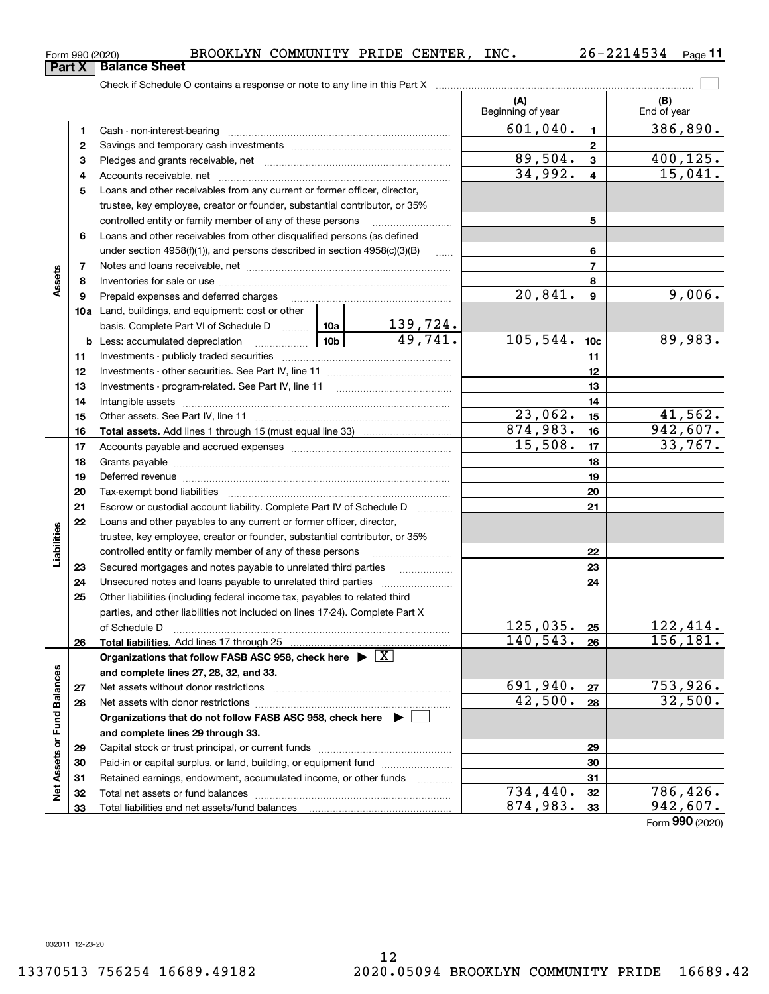| Form 990 (2020) | <b>BROOKLYN</b> | COMMUNITY | PRIDE | <b>CENTER</b> | INC. | 26–<br>, <i>L</i> | Page |
|-----------------|-----------------|-----------|-------|---------------|------|-------------------|------|
|                 |                 |           |       |               |      |                   |      |

|                             |    | Check if Schedule O contains a response or note to any line in this Part X [11] manufacture in the schedule O contains a response or note to any line in this Part X [11] manufacture in the Schedule O contains a response or |         |                            |                          |                  |                    |
|-----------------------------|----|--------------------------------------------------------------------------------------------------------------------------------------------------------------------------------------------------------------------------------|---------|----------------------------|--------------------------|------------------|--------------------|
|                             |    |                                                                                                                                                                                                                                |         |                            | (A)<br>Beginning of year |                  | (B)<br>End of year |
|                             | 1  |                                                                                                                                                                                                                                |         |                            | 601,040.                 | $\blacksquare$   | 386, 890.          |
|                             | 2  |                                                                                                                                                                                                                                |         |                            |                          | $\mathbf{2}$     |                    |
|                             | 3  |                                                                                                                                                                                                                                | 89,504. | 3                          | 400,125.                 |                  |                    |
|                             | 4  |                                                                                                                                                                                                                                | 34,992. | $\overline{\mathbf{4}}$    | 15,041.                  |                  |                    |
|                             | 5  | Loans and other receivables from any current or former officer, director,                                                                                                                                                      |         |                            |                          |                  |                    |
|                             |    | trustee, key employee, creator or founder, substantial contributor, or 35%                                                                                                                                                     |         |                            |                          |                  |                    |
|                             |    |                                                                                                                                                                                                                                |         | 5                          |                          |                  |                    |
|                             | 6  | Loans and other receivables from other disqualified persons (as defined                                                                                                                                                        |         |                            |                          |                  |                    |
|                             |    | under section $4958(f)(1)$ , and persons described in section $4958(c)(3)(B)$                                                                                                                                                  |         | 6                          |                          |                  |                    |
|                             | 7  |                                                                                                                                                                                                                                |         |                            |                          | $\overline{7}$   |                    |
| Assets                      | 8  |                                                                                                                                                                                                                                |         |                            |                          | 8                |                    |
|                             | 9  | Prepaid expenses and deferred charges                                                                                                                                                                                          |         |                            | 20,841.                  | $\boldsymbol{9}$ | 9,006.             |
|                             |    | 10a Land, buildings, and equipment: cost or other                                                                                                                                                                              |         |                            |                          |                  |                    |
|                             |    | basis. Complete Part VI of Schedule D  10a                                                                                                                                                                                     |         | $\frac{139,724.}{49,741.}$ |                          |                  |                    |
|                             |    | <b>b</b> Less: accumulated depreciation                                                                                                                                                                                        |         |                            | 105,544.                 | 10 <sub>c</sub>  | 89,983.            |
|                             | 11 |                                                                                                                                                                                                                                |         |                            |                          | 11               |                    |
|                             | 12 |                                                                                                                                                                                                                                |         |                            |                          | 12               |                    |
|                             | 13 |                                                                                                                                                                                                                                |         |                            |                          | 13               |                    |
|                             | 14 |                                                                                                                                                                                                                                |         |                            | 14                       |                  |                    |
|                             | 15 |                                                                                                                                                                                                                                | 23,062. | 15                         | 41,562.                  |                  |                    |
|                             | 16 |                                                                                                                                                                                                                                |         |                            | 874,983.                 | 16               | 942,607.           |
|                             | 17 |                                                                                                                                                                                                                                | 15,508. | 17                         | 33,767.                  |                  |                    |
|                             | 18 |                                                                                                                                                                                                                                |         | 18                         |                          |                  |                    |
|                             | 19 | Deferred revenue manual contracts and contracts are all the manual contracts and contracts are contracted and contracts are contracted and contract are contracted and contract are contracted and contract are contracted and |         | 19                         |                          |                  |                    |
|                             | 20 |                                                                                                                                                                                                                                |         |                            |                          | 20               |                    |
|                             | 21 | Escrow or custodial account liability. Complete Part IV of Schedule D                                                                                                                                                          |         |                            |                          | 21               |                    |
|                             | 22 | Loans and other payables to any current or former officer, director,                                                                                                                                                           |         |                            |                          |                  |                    |
| Liabilities                 |    | trustee, key employee, creator or founder, substantial contributor, or 35%                                                                                                                                                     |         |                            |                          |                  |                    |
|                             |    | controlled entity or family member of any of these persons                                                                                                                                                                     |         |                            |                          | 22               |                    |
|                             | 23 | Secured mortgages and notes payable to unrelated third parties                                                                                                                                                                 |         | 23                         |                          |                  |                    |
|                             | 24 |                                                                                                                                                                                                                                |         |                            |                          | 24               |                    |
|                             | 25 | Other liabilities (including federal income tax, payables to related third                                                                                                                                                     |         |                            |                          |                  |                    |
|                             |    | parties, and other liabilities not included on lines 17-24). Complete Part X                                                                                                                                                   |         |                            |                          |                  |                    |
|                             |    |                                                                                                                                                                                                                                |         |                            | 125,035.                 | 25               | 122,414.           |
|                             | 26 |                                                                                                                                                                                                                                |         |                            | 140, 543.                | 26               | 156,181.           |
|                             |    | Organizations that follow FASB ASC 958, check here $\blacktriangleright \boxed{X}$                                                                                                                                             |         |                            |                          |                  |                    |
|                             |    | and complete lines 27, 28, 32, and 33.                                                                                                                                                                                         |         |                            |                          |                  |                    |
|                             | 27 |                                                                                                                                                                                                                                |         |                            | 691,940.                 | 27               | 753,926.           |
|                             | 28 |                                                                                                                                                                                                                                |         | 42,500.                    | 28                       | 32,500.          |                    |
|                             |    | Organizations that do not follow FASB ASC 958, check here ▶ □                                                                                                                                                                  |         |                            |                          |                  |                    |
| Net Assets or Fund Balances |    | and complete lines 29 through 33.                                                                                                                                                                                              |         |                            |                          |                  |                    |
|                             | 29 |                                                                                                                                                                                                                                |         |                            |                          | 29               |                    |
|                             | 30 | Paid-in or capital surplus, or land, building, or equipment fund                                                                                                                                                               |         |                            |                          | 30               |                    |
|                             | 31 | Retained earnings, endowment, accumulated income, or other funds                                                                                                                                                               |         |                            |                          | 31               |                    |
|                             | 32 |                                                                                                                                                                                                                                |         |                            | 734, 440.                | 32               | 786,426.           |
|                             | 33 |                                                                                                                                                                                                                                |         |                            | 874,983.                 | 33               | 942,607.           |

Form (2020) **990**

# **Part X Balance Sheet**

|  | Form 990 (2020) |
|--|-----------------|
|  |                 |

 $\overline{a}$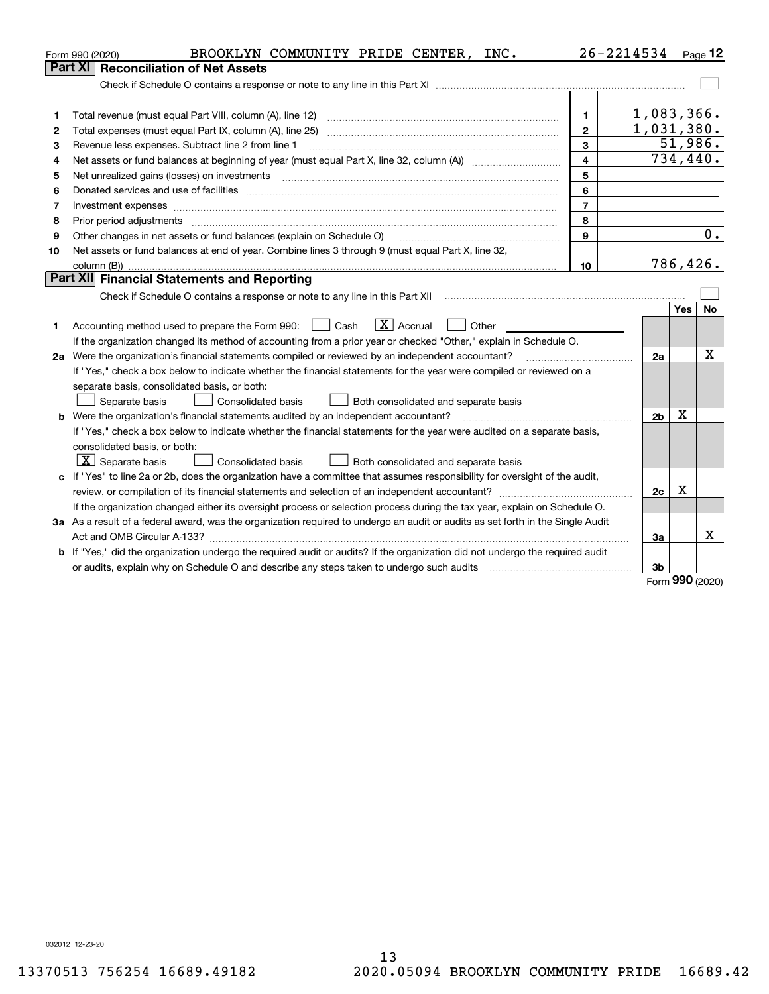|    | BROOKLYN COMMUNITY PRIDE CENTER, INC.<br>Form 990 (2020)                                                                        |                         | 26-2214534              |            | $_{\text{Page}}$ 12 |
|----|---------------------------------------------------------------------------------------------------------------------------------|-------------------------|-------------------------|------------|---------------------|
|    | Part XI<br>Reconciliation of Net Assets                                                                                         |                         |                         |            |                     |
|    |                                                                                                                                 |                         |                         |            |                     |
|    |                                                                                                                                 |                         |                         |            |                     |
| 1  |                                                                                                                                 | 1.                      | 1,083,366.              |            |                     |
| 2  |                                                                                                                                 | $\mathbf{2}$            | 1,031,380.              |            |                     |
| з  | Revenue less expenses. Subtract line 2 from line 1                                                                              | 3                       |                         |            | 51,986.             |
| 4  |                                                                                                                                 | $\overline{\mathbf{4}}$ | $\overline{734}$ , 440. |            |                     |
| 5  |                                                                                                                                 | 5                       |                         |            |                     |
| 6  |                                                                                                                                 | 6                       |                         |            |                     |
| 7  | Investment expenses www.communication.com/www.communication.com/www.communication.com/www.communication.com                     | $\overline{7}$          |                         |            |                     |
| 8  | Prior period adjustments                                                                                                        | 8                       |                         |            |                     |
| 9  | Other changes in net assets or fund balances (explain on Schedule O)                                                            | 9                       |                         |            | 0.                  |
| 10 | Net assets or fund balances at end of year. Combine lines 3 through 9 (must equal Part X, line 32,                              |                         |                         |            |                     |
|    |                                                                                                                                 | 10                      | 786,426.                |            |                     |
|    | <b>Part XII</b> Financial Statements and Reporting                                                                              |                         |                         |            |                     |
|    |                                                                                                                                 |                         |                         |            |                     |
|    |                                                                                                                                 |                         |                         | <b>Yes</b> | No                  |
| 1  | $\boxed{\mathbf{X}}$ Accrual<br>Accounting method used to prepare the Form 990: <u>I</u> Cash<br>Other                          |                         |                         |            |                     |
|    | If the organization changed its method of accounting from a prior year or checked "Other," explain in Schedule O.               |                         |                         |            |                     |
|    | 2a Were the organization's financial statements compiled or reviewed by an independent accountant?                              |                         | 2a                      |            | х                   |
|    | If "Yes," check a box below to indicate whether the financial statements for the year were compiled or reviewed on a            |                         |                         |            |                     |
|    | separate basis, consolidated basis, or both:                                                                                    |                         |                         |            |                     |
|    | Separate basis<br><b>Consolidated basis</b><br>Both consolidated and separate basis                                             |                         |                         |            |                     |
|    | <b>b</b> Were the organization's financial statements audited by an independent accountant?                                     |                         | 2 <sub>b</sub>          | х          |                     |
|    | If "Yes," check a box below to indicate whether the financial statements for the year were audited on a separate basis,         |                         |                         |            |                     |
|    | consolidated basis, or both:                                                                                                    |                         |                         |            |                     |
|    | $X$ Separate basis<br>Both consolidated and separate basis<br>Consolidated basis                                                |                         |                         |            |                     |
|    | c If "Yes" to line 2a or 2b, does the organization have a committee that assumes responsibility for oversight of the audit,     |                         |                         |            |                     |
|    |                                                                                                                                 |                         | 2c                      | x          |                     |
|    | If the organization changed either its oversight process or selection process during the tax year, explain on Schedule O.       |                         |                         |            |                     |
|    | 3a As a result of a federal award, was the organization required to undergo an audit or audits as set forth in the Single Audit |                         |                         |            |                     |
|    |                                                                                                                                 |                         | За                      |            | x                   |
|    | b If "Yes," did the organization undergo the required audit or audits? If the organization did not undergo the required audit   |                         |                         |            |                     |
|    |                                                                                                                                 |                         | 3 <sub>b</sub>          |            |                     |

Form (2020) **990**

032012 12-23-20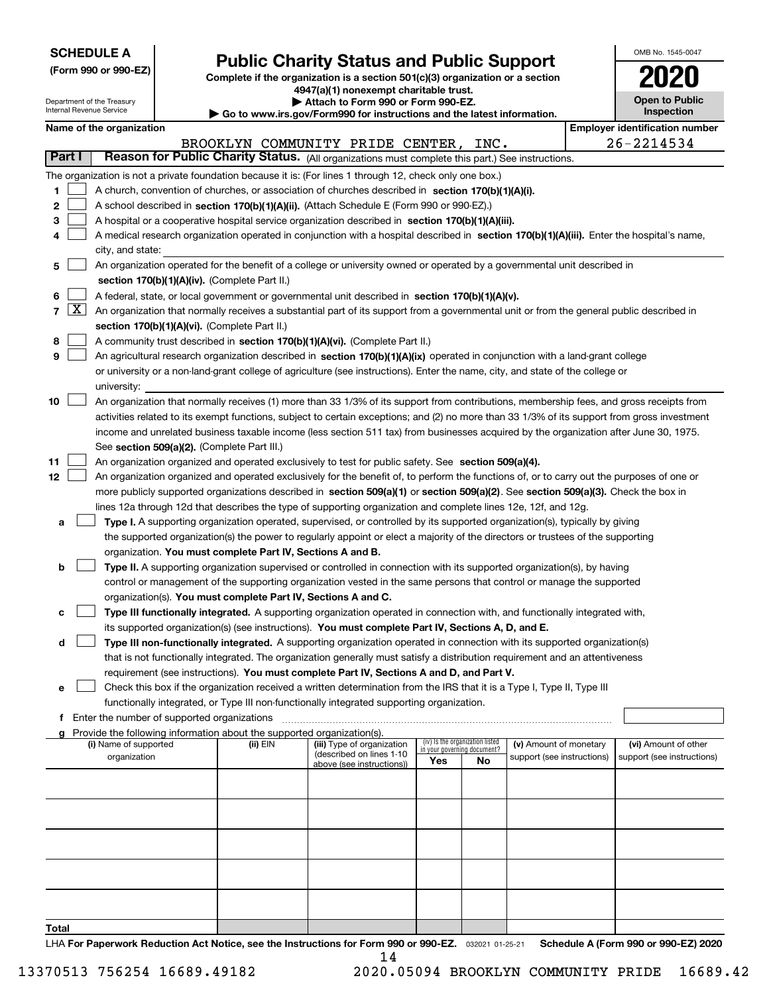| <b>SCHEDULE A</b> |
|-------------------|
|-------------------|

Department of the Treasury

**(Form 990 or 990-EZ)**

## **Public Charity Status and Public Support**

**Complete if the organization is a section 501(c)(3) organization or a section 4947(a)(1) nonexempt charitable trust. | Attach to Form 990 or Form 990-EZ.** 

| OMB No. 1545-0047            |
|------------------------------|
| 2020                         |
| Open to Public<br>Inspection |

| nternal Revenue Service |                     |  |                          |                                             | $\blacktriangleright$ Go to www.irs.gov/Form990 for instructions and the latest information. | Inspection                                                                                                                                   |     |                                                                |                            |                                                    |
|-------------------------|---------------------|--|--------------------------|---------------------------------------------|----------------------------------------------------------------------------------------------|----------------------------------------------------------------------------------------------------------------------------------------------|-----|----------------------------------------------------------------|----------------------------|----------------------------------------------------|
|                         |                     |  | Name of the organization |                                             |                                                                                              |                                                                                                                                              |     |                                                                |                            | <b>Employer identification number</b>              |
|                         |                     |  |                          |                                             |                                                                                              | BROOKLYN COMMUNITY PRIDE CENTER,                                                                                                             |     | INC.                                                           |                            | 26-2214534                                         |
| Part I                  |                     |  |                          |                                             |                                                                                              | Reason for Public Charity Status. (All organizations must complete this part.) See instructions.                                             |     |                                                                |                            |                                                    |
|                         |                     |  |                          |                                             |                                                                                              | The organization is not a private foundation because it is: (For lines 1 through 12, check only one box.)                                    |     |                                                                |                            |                                                    |
| 1                       |                     |  |                          |                                             |                                                                                              | A church, convention of churches, or association of churches described in section 170(b)(1)(A)(i).                                           |     |                                                                |                            |                                                    |
| 2                       |                     |  |                          |                                             |                                                                                              | A school described in section 170(b)(1)(A)(ii). (Attach Schedule E (Form 990 or 990-EZ).)                                                    |     |                                                                |                            |                                                    |
| з                       |                     |  |                          |                                             |                                                                                              | A hospital or a cooperative hospital service organization described in section 170(b)(1)(A)(iii).                                            |     |                                                                |                            |                                                    |
|                         |                     |  |                          |                                             |                                                                                              | A medical research organization operated in conjunction with a hospital described in section 170(b)(1)(A)(iii). Enter the hospital's name,   |     |                                                                |                            |                                                    |
|                         |                     |  | city, and state:         |                                             |                                                                                              |                                                                                                                                              |     |                                                                |                            |                                                    |
| 5                       |                     |  |                          |                                             |                                                                                              | An organization operated for the benefit of a college or university owned or operated by a governmental unit described in                    |     |                                                                |                            |                                                    |
|                         |                     |  |                          |                                             | section 170(b)(1)(A)(iv). (Complete Part II.)                                                |                                                                                                                                              |     |                                                                |                            |                                                    |
| 6                       | $\lfloor x \rfloor$ |  |                          |                                             |                                                                                              | A federal, state, or local government or governmental unit described in section 170(b)(1)(A)(v).                                             |     |                                                                |                            |                                                    |
| $\overline{7}$          |                     |  |                          |                                             |                                                                                              | An organization that normally receives a substantial part of its support from a governmental unit or from the general public described in    |     |                                                                |                            |                                                    |
|                         |                     |  |                          |                                             | section 170(b)(1)(A)(vi). (Complete Part II.)                                                |                                                                                                                                              |     |                                                                |                            |                                                    |
| 8                       |                     |  |                          |                                             |                                                                                              | A community trust described in section 170(b)(1)(A)(vi). (Complete Part II.)                                                                 |     |                                                                |                            |                                                    |
| 9                       |                     |  |                          |                                             |                                                                                              | An agricultural research organization described in section 170(b)(1)(A)(ix) operated in conjunction with a land-grant college                |     |                                                                |                            |                                                    |
|                         |                     |  |                          |                                             |                                                                                              | or university or a non-land-grant college of agriculture (see instructions). Enter the name, city, and state of the college or               |     |                                                                |                            |                                                    |
| 10                      |                     |  | university:              |                                             |                                                                                              | An organization that normally receives (1) more than 33 1/3% of its support from contributions, membership fees, and gross receipts from     |     |                                                                |                            |                                                    |
|                         |                     |  |                          |                                             |                                                                                              | activities related to its exempt functions, subject to certain exceptions; and (2) no more than 33 1/3% of its support from gross investment |     |                                                                |                            |                                                    |
|                         |                     |  |                          |                                             |                                                                                              | income and unrelated business taxable income (less section 511 tax) from businesses acquired by the organization after June 30, 1975.        |     |                                                                |                            |                                                    |
|                         |                     |  |                          |                                             | See section 509(a)(2). (Complete Part III.)                                                  |                                                                                                                                              |     |                                                                |                            |                                                    |
| 11                      |                     |  |                          |                                             |                                                                                              | An organization organized and operated exclusively to test for public safety. See section 509(a)(4).                                         |     |                                                                |                            |                                                    |
| 12                      |                     |  |                          |                                             |                                                                                              | An organization organized and operated exclusively for the benefit of, to perform the functions of, or to carry out the purposes of one or   |     |                                                                |                            |                                                    |
|                         |                     |  |                          |                                             |                                                                                              | more publicly supported organizations described in section 509(a)(1) or section 509(a)(2). See section 509(a)(3). Check the box in           |     |                                                                |                            |                                                    |
|                         |                     |  |                          |                                             |                                                                                              | lines 12a through 12d that describes the type of supporting organization and complete lines 12e, 12f, and 12g.                               |     |                                                                |                            |                                                    |
| а                       |                     |  |                          |                                             |                                                                                              | Type I. A supporting organization operated, supervised, or controlled by its supported organization(s), typically by giving                  |     |                                                                |                            |                                                    |
|                         |                     |  |                          |                                             |                                                                                              | the supported organization(s) the power to regularly appoint or elect a majority of the directors or trustees of the supporting              |     |                                                                |                            |                                                    |
|                         |                     |  |                          |                                             | organization. You must complete Part IV, Sections A and B.                                   |                                                                                                                                              |     |                                                                |                            |                                                    |
| b                       |                     |  |                          |                                             |                                                                                              | Type II. A supporting organization supervised or controlled in connection with its supported organization(s), by having                      |     |                                                                |                            |                                                    |
|                         |                     |  |                          |                                             |                                                                                              | control or management of the supporting organization vested in the same persons that control or manage the supported                         |     |                                                                |                            |                                                    |
|                         |                     |  |                          |                                             | organization(s). You must complete Part IV, Sections A and C.                                |                                                                                                                                              |     |                                                                |                            |                                                    |
| с                       |                     |  |                          |                                             |                                                                                              | Type III functionally integrated. A supporting organization operated in connection with, and functionally integrated with,                   |     |                                                                |                            |                                                    |
|                         |                     |  |                          |                                             |                                                                                              | its supported organization(s) (see instructions). You must complete Part IV, Sections A, D, and E.                                           |     |                                                                |                            |                                                    |
| d                       |                     |  |                          |                                             |                                                                                              | Type III non-functionally integrated. A supporting organization operated in connection with its supported organization(s)                    |     |                                                                |                            |                                                    |
|                         |                     |  |                          |                                             |                                                                                              | that is not functionally integrated. The organization generally must satisfy a distribution requirement and an attentiveness                 |     |                                                                |                            |                                                    |
|                         |                     |  |                          |                                             |                                                                                              | requirement (see instructions). You must complete Part IV, Sections A and D, and Part V.                                                     |     |                                                                |                            |                                                    |
| е                       |                     |  |                          |                                             |                                                                                              | Check this box if the organization received a written determination from the IRS that it is a Type I, Type II, Type III                      |     |                                                                |                            |                                                    |
|                         |                     |  |                          |                                             |                                                                                              | functionally integrated, or Type III non-functionally integrated supporting organization.                                                    |     |                                                                |                            |                                                    |
| f                       |                     |  |                          | Enter the number of supported organizations |                                                                                              |                                                                                                                                              |     |                                                                |                            |                                                    |
|                         |                     |  |                          |                                             | Provide the following information about the supported organization(s).                       |                                                                                                                                              |     |                                                                |                            |                                                    |
|                         |                     |  | (i) Name of supported    |                                             | (ii) EIN                                                                                     | (iii) Type of organization<br>(described on lines 1-10                                                                                       |     | (iv) Is the organization listed<br>in your governing document? | (v) Amount of monetary     | (vi) Amount of other<br>support (see instructions) |
|                         |                     |  | organization             |                                             |                                                                                              | above (see instructions))                                                                                                                    | Yes | No.                                                            | support (see instructions) |                                                    |
|                         |                     |  |                          |                                             |                                                                                              |                                                                                                                                              |     |                                                                |                            |                                                    |
|                         |                     |  |                          |                                             |                                                                                              |                                                                                                                                              |     |                                                                |                            |                                                    |
|                         |                     |  |                          |                                             |                                                                                              |                                                                                                                                              |     |                                                                |                            |                                                    |
|                         |                     |  |                          |                                             |                                                                                              |                                                                                                                                              |     |                                                                |                            |                                                    |
|                         |                     |  |                          |                                             |                                                                                              |                                                                                                                                              |     |                                                                |                            |                                                    |
|                         |                     |  |                          |                                             |                                                                                              |                                                                                                                                              |     |                                                                |                            |                                                    |
|                         |                     |  |                          |                                             |                                                                                              |                                                                                                                                              |     |                                                                |                            |                                                    |
|                         |                     |  |                          |                                             |                                                                                              |                                                                                                                                              |     |                                                                |                            |                                                    |
|                         |                     |  |                          |                                             |                                                                                              |                                                                                                                                              |     |                                                                |                            |                                                    |

**Total**

LHA For Paperwork Reduction Act Notice, see the Instructions for Form 990 or 990-EZ. <sub>032021</sub> o1-25-21 Schedule A (Form 990 or 990-EZ) 2020 14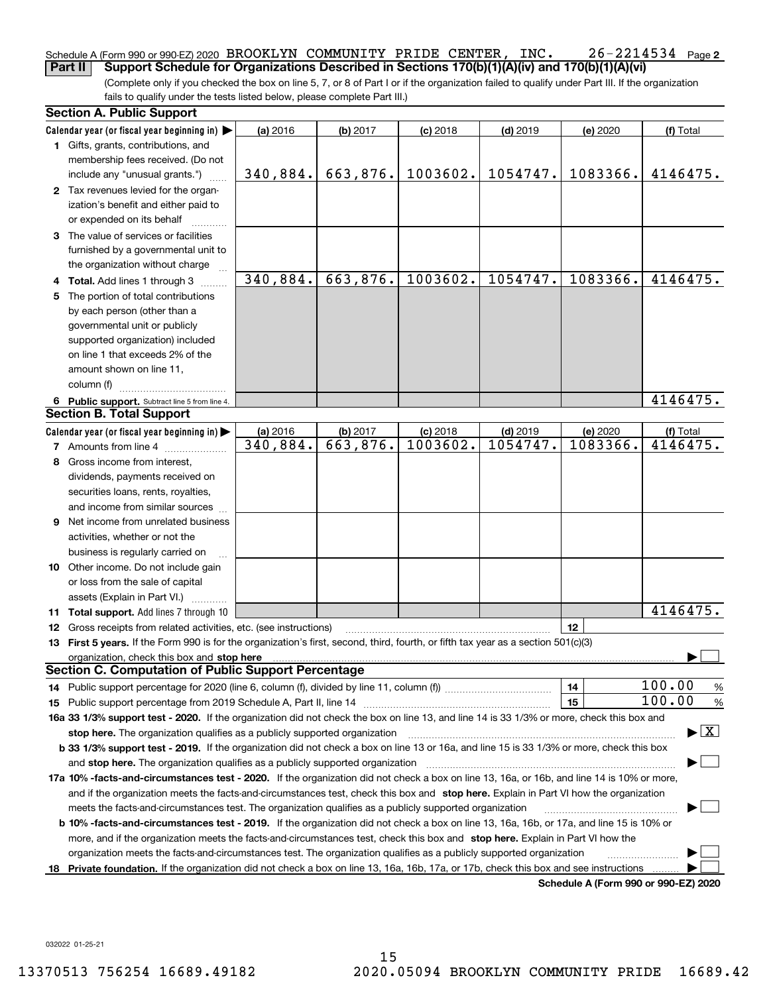#### $26 - 2214534$  Page 2 Schedule A (Form 990 or 990-EZ) 2020 Page BROOKLYN COMMUNITY PRIDE CENTER, INC. 26-2214534 **Part II** Support Schedule for Organizations Described in Sections 170(b)(1)(A)(iv) and 170(b)(1)(A)(vi)

(Complete only if you checked the box on line 5, 7, or 8 of Part I or if the organization failed to qualify under Part III. If the organization fails to qualify under the tests listed below, please complete Part III.)

|   | <b>Section A. Public Support</b>                                                                                                               |            |          |            |            |                                      |                                          |
|---|------------------------------------------------------------------------------------------------------------------------------------------------|------------|----------|------------|------------|--------------------------------------|------------------------------------------|
|   | Calendar year (or fiscal year beginning in) $\blacktriangleright$                                                                              | (a) 2016   | (b) 2017 | $(c)$ 2018 | $(d)$ 2019 | (e) 2020                             | (f) Total                                |
|   | 1 Gifts, grants, contributions, and                                                                                                            |            |          |            |            |                                      |                                          |
|   | membership fees received. (Do not                                                                                                              |            |          |            |            |                                      |                                          |
|   | include any "unusual grants.")                                                                                                                 | 340,884.   | 663,876. | 1003602.   | 1054747.   | 1083366.                             | 4146475.                                 |
|   | 2 Tax revenues levied for the organ-                                                                                                           |            |          |            |            |                                      |                                          |
|   | ization's benefit and either paid to                                                                                                           |            |          |            |            |                                      |                                          |
|   | or expended on its behalf                                                                                                                      |            |          |            |            |                                      |                                          |
|   | 3 The value of services or facilities                                                                                                          |            |          |            |            |                                      |                                          |
|   | furnished by a governmental unit to                                                                                                            |            |          |            |            |                                      |                                          |
|   | the organization without charge                                                                                                                |            |          |            |            |                                      |                                          |
|   | 4 Total. Add lines 1 through 3                                                                                                                 | 340,884.   | 663,876. | 1003602.   | 1054747.   | 1083366.                             | 4146475.                                 |
| 5 | The portion of total contributions                                                                                                             |            |          |            |            |                                      |                                          |
|   | by each person (other than a                                                                                                                   |            |          |            |            |                                      |                                          |
|   | governmental unit or publicly                                                                                                                  |            |          |            |            |                                      |                                          |
|   | supported organization) included                                                                                                               |            |          |            |            |                                      |                                          |
|   | on line 1 that exceeds 2% of the                                                                                                               |            |          |            |            |                                      |                                          |
|   | amount shown on line 11,                                                                                                                       |            |          |            |            |                                      |                                          |
|   | column (f)                                                                                                                                     |            |          |            |            |                                      |                                          |
|   | 6 Public support. Subtract line 5 from line 4.                                                                                                 |            |          |            |            |                                      | 4146475.                                 |
|   | <b>Section B. Total Support</b>                                                                                                                |            |          |            |            |                                      |                                          |
|   | Calendar year (or fiscal year beginning in) $\blacktriangleright$                                                                              | $(a)$ 2016 | (b) 2017 | $(c)$ 2018 | $(d)$ 2019 | (e) 2020                             | (f) Total                                |
|   | <b>7</b> Amounts from line 4                                                                                                                   | 340,884.   | 663,876. | 1003602.   | 1054747.   | 1083366.                             | 4146475.                                 |
| 8 | Gross income from interest,                                                                                                                    |            |          |            |            |                                      |                                          |
|   | dividends, payments received on                                                                                                                |            |          |            |            |                                      |                                          |
|   | securities loans, rents, royalties,                                                                                                            |            |          |            |            |                                      |                                          |
|   | and income from similar sources                                                                                                                |            |          |            |            |                                      |                                          |
| 9 | Net income from unrelated business                                                                                                             |            |          |            |            |                                      |                                          |
|   | activities, whether or not the                                                                                                                 |            |          |            |            |                                      |                                          |
|   | business is regularly carried on                                                                                                               |            |          |            |            |                                      |                                          |
|   | 10 Other income. Do not include gain                                                                                                           |            |          |            |            |                                      |                                          |
|   | or loss from the sale of capital                                                                                                               |            |          |            |            |                                      |                                          |
|   | assets (Explain in Part VI.)                                                                                                                   |            |          |            |            |                                      |                                          |
|   | 11 Total support. Add lines 7 through 10                                                                                                       |            |          |            |            |                                      | 4146475.                                 |
|   | 12 Gross receipts from related activities, etc. (see instructions)                                                                             |            |          |            |            | 12                                   |                                          |
|   | 13 First 5 years. If the Form 990 is for the organization's first, second, third, fourth, or fifth tax year as a section 501(c)(3)             |            |          |            |            |                                      |                                          |
|   | organization, check this box and stop here                                                                                                     |            |          |            |            |                                      |                                          |
|   | <b>Section C. Computation of Public Support Percentage</b>                                                                                     |            |          |            |            |                                      |                                          |
|   | 14 Public support percentage for 2020 (line 6, column (f), divided by line 11, column (f) <i>mummumumum</i>                                    |            |          |            |            | 14                                   | 100.00<br>%                              |
|   |                                                                                                                                                |            |          |            |            | 15                                   | 100.00<br>%                              |
|   | 16a 33 1/3% support test - 2020. If the organization did not check the box on line 13, and line 14 is 33 1/3% or more, check this box and      |            |          |            |            |                                      |                                          |
|   | stop here. The organization qualifies as a publicly supported organization                                                                     |            |          |            |            |                                      | $\blacktriangleright$ $\boxed{\text{X}}$ |
|   | b 33 1/3% support test - 2019. If the organization did not check a box on line 13 or 16a, and line 15 is 33 1/3% or more, check this box       |            |          |            |            |                                      |                                          |
|   | and stop here. The organization qualifies as a publicly supported organization                                                                 |            |          |            |            |                                      |                                          |
|   | 17a 10% -facts-and-circumstances test - 2020. If the organization did not check a box on line 13, 16a, or 16b, and line 14 is 10% or more,     |            |          |            |            |                                      |                                          |
|   | and if the organization meets the facts-and-circumstances test, check this box and stop here. Explain in Part VI how the organization          |            |          |            |            |                                      |                                          |
|   | meets the facts-and-circumstances test. The organization qualifies as a publicly supported organization                                        |            |          |            |            |                                      |                                          |
|   | <b>b 10% -facts-and-circumstances test - 2019.</b> If the organization did not check a box on line 13, 16a, 16b, or 17a, and line 15 is 10% or |            |          |            |            |                                      |                                          |
|   | more, and if the organization meets the facts-and-circumstances test, check this box and stop here. Explain in Part VI how the                 |            |          |            |            |                                      |                                          |
|   | organization meets the facts-and-circumstances test. The organization qualifies as a publicly supported organization                           |            |          |            |            |                                      |                                          |
|   | 18 Private foundation. If the organization did not check a box on line 13, 16a, 16b, 17a, or 17b, check this box and see instructions          |            |          |            |            |                                      |                                          |
|   |                                                                                                                                                |            |          |            |            | Schedule A (Form 990 or 990-F7) 2020 |                                          |

**Schedule A (Form 990 or 990-EZ) 2020**

032022 01-25-21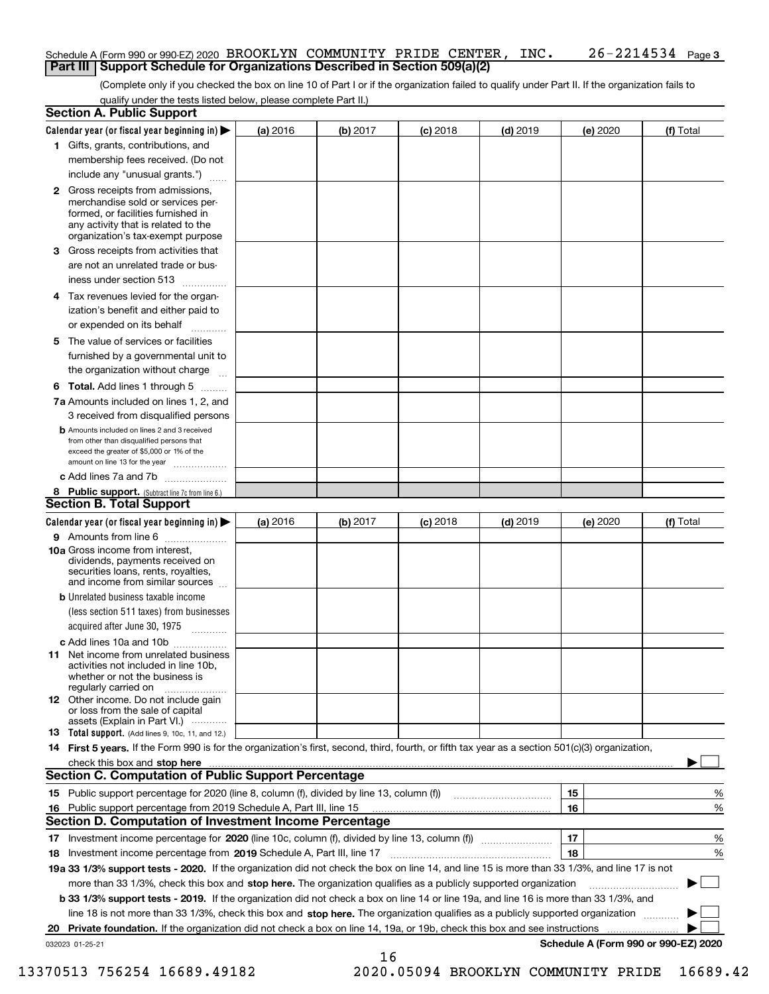#### Schedule A (Form 990 or 990-EZ) 2020 Page BROOKLYN COMMUNITY PRIDE CENTER, INC. 26-2214534 **Part III Support Schedule for Organizations Described in Section 509(a)(2)**

(Complete only if you checked the box on line 10 of Part I or if the organization failed to qualify under Part II. If the organization fails to qualify under the tests listed below, please complete Part II.)

|    | <b>Section A. Public Support</b>                                                                                                                                                                                                                                                                  |          |          |            |            |          |                                      |
|----|---------------------------------------------------------------------------------------------------------------------------------------------------------------------------------------------------------------------------------------------------------------------------------------------------|----------|----------|------------|------------|----------|--------------------------------------|
|    | Calendar year (or fiscal year beginning in) $\blacktriangleright$                                                                                                                                                                                                                                 | (a) 2016 | (b) 2017 | $(c)$ 2018 | $(d)$ 2019 | (e) 2020 | (f) Total                            |
|    | 1 Gifts, grants, contributions, and                                                                                                                                                                                                                                                               |          |          |            |            |          |                                      |
|    | membership fees received. (Do not                                                                                                                                                                                                                                                                 |          |          |            |            |          |                                      |
|    | include any "unusual grants.")                                                                                                                                                                                                                                                                    |          |          |            |            |          |                                      |
|    | <b>2</b> Gross receipts from admissions,<br>merchandise sold or services per-<br>formed, or facilities furnished in<br>any activity that is related to the<br>organization's tax-exempt purpose                                                                                                   |          |          |            |            |          |                                      |
|    | 3 Gross receipts from activities that<br>are not an unrelated trade or bus-                                                                                                                                                                                                                       |          |          |            |            |          |                                      |
|    | iness under section 513                                                                                                                                                                                                                                                                           |          |          |            |            |          |                                      |
|    | 4 Tax revenues levied for the organ-<br>ization's benefit and either paid to                                                                                                                                                                                                                      |          |          |            |            |          |                                      |
|    | or expended on its behalf                                                                                                                                                                                                                                                                         |          |          |            |            |          |                                      |
|    | 5 The value of services or facilities<br>furnished by a governmental unit to                                                                                                                                                                                                                      |          |          |            |            |          |                                      |
|    | the organization without charge                                                                                                                                                                                                                                                                   |          |          |            |            |          |                                      |
|    | <b>6 Total.</b> Add lines 1 through 5                                                                                                                                                                                                                                                             |          |          |            |            |          |                                      |
|    | 7a Amounts included on lines 1, 2, and<br>3 received from disqualified persons                                                                                                                                                                                                                    |          |          |            |            |          |                                      |
|    | <b>b</b> Amounts included on lines 2 and 3 received<br>from other than disqualified persons that<br>exceed the greater of \$5,000 or 1% of the<br>amount on line 13 for the year                                                                                                                  |          |          |            |            |          |                                      |
|    | c Add lines 7a and 7b                                                                                                                                                                                                                                                                             |          |          |            |            |          |                                      |
|    | 8 Public support. (Subtract line 7c from line 6.)<br><b>Section B. Total Support</b>                                                                                                                                                                                                              |          |          |            |            |          |                                      |
|    | Calendar year (or fiscal year beginning in)                                                                                                                                                                                                                                                       | (a) 2016 | (b) 2017 | $(c)$ 2018 | $(d)$ 2019 | (e) 2020 | (f) Total                            |
|    | 9 Amounts from line 6                                                                                                                                                                                                                                                                             |          |          |            |            |          |                                      |
|    | <b>10a</b> Gross income from interest,<br>dividends, payments received on<br>securities loans, rents, royalties,<br>and income from similar sources                                                                                                                                               |          |          |            |            |          |                                      |
|    | <b>b</b> Unrelated business taxable income                                                                                                                                                                                                                                                        |          |          |            |            |          |                                      |
|    | (less section 511 taxes) from businesses                                                                                                                                                                                                                                                          |          |          |            |            |          |                                      |
|    | acquired after June 30, 1975                                                                                                                                                                                                                                                                      |          |          |            |            |          |                                      |
|    | c Add lines 10a and 10b                                                                                                                                                                                                                                                                           |          |          |            |            |          |                                      |
|    | 11 Net income from unrelated business<br>activities not included in line 10b,<br>whether or not the business is<br>regularly carried on                                                                                                                                                           |          |          |            |            |          |                                      |
|    | <b>12</b> Other income. Do not include gain<br>or loss from the sale of capital<br>assets (Explain in Part VI.)                                                                                                                                                                                   |          |          |            |            |          |                                      |
|    | 13 Total support. (Add lines 9, 10c, 11, and 12.)                                                                                                                                                                                                                                                 |          |          |            |            |          |                                      |
|    | 14 First 5 years. If the Form 990 is for the organization's first, second, third, fourth, or fifth tax year as a section 501(c)(3) organization,                                                                                                                                                  |          |          |            |            |          |                                      |
|    | check this box and <b>stop here</b> with the continuum continuum continuum continuum continuum continuum continuum continuum continuum continuum continuum continuum continuum continuum continuum continuum continuum continuum co<br><b>Section C. Computation of Public Support Percentage</b> |          |          |            |            |          |                                      |
|    | 15 Public support percentage for 2020 (line 8, column (f), divided by line 13, column (f))                                                                                                                                                                                                        |          |          |            |            | 15       | %                                    |
| 16 | Public support percentage from 2019 Schedule A, Part III, line 15                                                                                                                                                                                                                                 |          |          |            |            | 16       | %                                    |
|    | Section D. Computation of Investment Income Percentage                                                                                                                                                                                                                                            |          |          |            |            |          |                                      |
|    | 17 Investment income percentage for 2020 (line 10c, column (f), divided by line 13, column (f))                                                                                                                                                                                                   |          |          |            |            | 17       | %                                    |
|    | 18 Investment income percentage from 2019 Schedule A, Part III, line 17                                                                                                                                                                                                                           |          |          |            |            | 18       | %                                    |
|    | 19a 33 1/3% support tests - 2020. If the organization did not check the box on line 14, and line 15 is more than 33 1/3%, and line 17 is not                                                                                                                                                      |          |          |            |            |          |                                      |
|    | more than 33 1/3%, check this box and stop here. The organization qualifies as a publicly supported organization                                                                                                                                                                                  |          |          |            |            |          |                                      |
|    | b 33 1/3% support tests - 2019. If the organization did not check a box on line 14 or line 19a, and line 16 is more than 33 1/3%, and                                                                                                                                                             |          |          |            |            |          |                                      |
|    | line 18 is not more than 33 1/3%, check this box and stop here. The organization qualifies as a publicly supported organization                                                                                                                                                                   |          |          |            |            |          |                                      |
| 20 | <b>Private foundation.</b> If the organization did not check a box on line 14, 19a, or 19b, check this box and see instructions                                                                                                                                                                   |          |          |            |            |          | .                                    |
|    | 032023 01-25-21                                                                                                                                                                                                                                                                                   |          | 16       |            |            |          | Schedule A (Form 990 or 990-EZ) 2020 |

 <sup>13370513 756254 16689.49182 2020.05094</sup> BROOKLYN COMMUNITY PRIDE 16689.42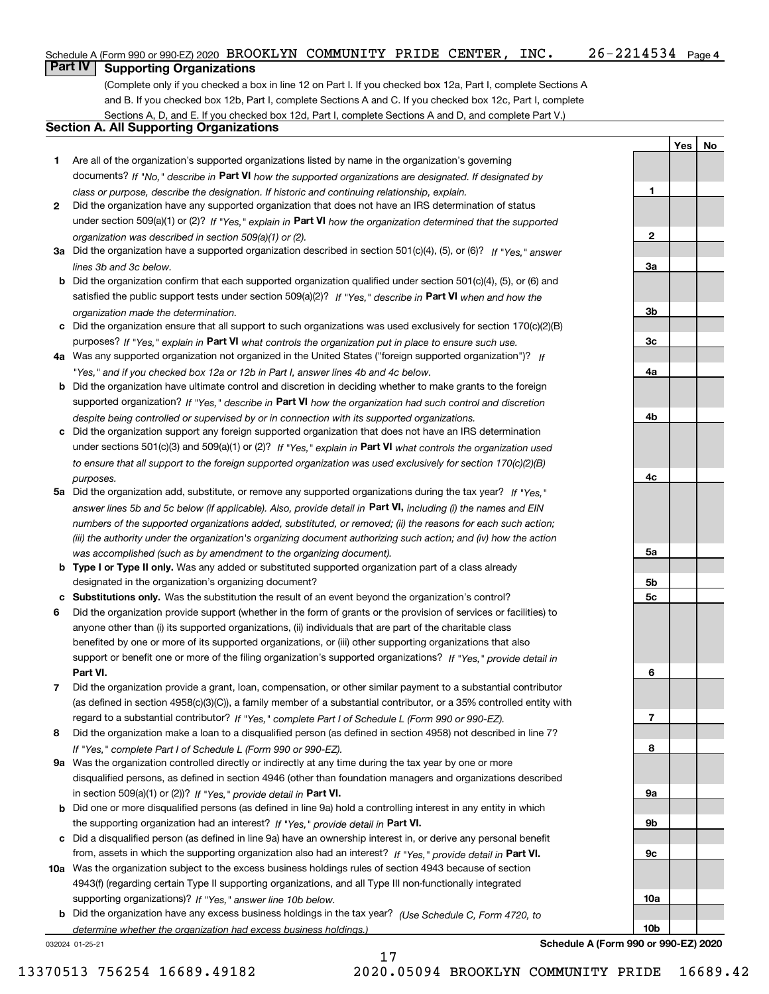(Complete only if you checked a box in line 12 on Part I. If you checked box 12a, Part I, complete Sections A

and B. If you checked box 12b, Part I, complete Sections A and C. If you checked box 12c, Part I, complete Sections A, D, and E. If you checked box 12d, Part I, complete Sections A and D, and complete Part V.)

### **Section A. All Supporting Organizations**

- **1** Are all of the organization's supported organizations listed by name in the organization's governing documents? If "No," describe in **Part VI** how the supported organizations are designated. If designated by *class or purpose, describe the designation. If historic and continuing relationship, explain.*
- **2** Did the organization have any supported organization that does not have an IRS determination of status under section 509(a)(1) or (2)? If "Yes," explain in Part VI how the organization determined that the supported *organization was described in section 509(a)(1) or (2).*
- **3a** Did the organization have a supported organization described in section 501(c)(4), (5), or (6)? If "Yes," answer *lines 3b and 3c below.*
- **b** Did the organization confirm that each supported organization qualified under section 501(c)(4), (5), or (6) and satisfied the public support tests under section 509(a)(2)? If "Yes," describe in **Part VI** when and how the *organization made the determination.*
- **c**Did the organization ensure that all support to such organizations was used exclusively for section 170(c)(2)(B) purposes? If "Yes," explain in **Part VI** what controls the organization put in place to ensure such use.
- **4a***If* Was any supported organization not organized in the United States ("foreign supported organization")? *"Yes," and if you checked box 12a or 12b in Part I, answer lines 4b and 4c below.*
- **b** Did the organization have ultimate control and discretion in deciding whether to make grants to the foreign supported organization? If "Yes," describe in **Part VI** how the organization had such control and discretion *despite being controlled or supervised by or in connection with its supported organizations.*
- **c** Did the organization support any foreign supported organization that does not have an IRS determination under sections 501(c)(3) and 509(a)(1) or (2)? If "Yes," explain in **Part VI** what controls the organization used *to ensure that all support to the foreign supported organization was used exclusively for section 170(c)(2)(B) purposes.*
- **5a** Did the organization add, substitute, or remove any supported organizations during the tax year? If "Yes," answer lines 5b and 5c below (if applicable). Also, provide detail in **Part VI,** including (i) the names and EIN *numbers of the supported organizations added, substituted, or removed; (ii) the reasons for each such action; (iii) the authority under the organization's organizing document authorizing such action; and (iv) how the action was accomplished (such as by amendment to the organizing document).*
- **b** Type I or Type II only. Was any added or substituted supported organization part of a class already designated in the organization's organizing document?
- **cSubstitutions only.**  Was the substitution the result of an event beyond the organization's control?
- **6** Did the organization provide support (whether in the form of grants or the provision of services or facilities) to **Part VI.** *If "Yes," provide detail in* support or benefit one or more of the filing organization's supported organizations? anyone other than (i) its supported organizations, (ii) individuals that are part of the charitable class benefited by one or more of its supported organizations, or (iii) other supporting organizations that also
- **7**Did the organization provide a grant, loan, compensation, or other similar payment to a substantial contributor *If "Yes," complete Part I of Schedule L (Form 990 or 990-EZ).* regard to a substantial contributor? (as defined in section 4958(c)(3)(C)), a family member of a substantial contributor, or a 35% controlled entity with
- **8** Did the organization make a loan to a disqualified person (as defined in section 4958) not described in line 7? *If "Yes," complete Part I of Schedule L (Form 990 or 990-EZ).*
- **9a** Was the organization controlled directly or indirectly at any time during the tax year by one or more in section 509(a)(1) or (2))? If "Yes," *provide detail in* <code>Part VI.</code> disqualified persons, as defined in section 4946 (other than foundation managers and organizations described
- **b** Did one or more disqualified persons (as defined in line 9a) hold a controlling interest in any entity in which the supporting organization had an interest? If "Yes," provide detail in P**art VI**.
- **c**Did a disqualified person (as defined in line 9a) have an ownership interest in, or derive any personal benefit from, assets in which the supporting organization also had an interest? If "Yes," provide detail in P**art VI.**
- **10a** Was the organization subject to the excess business holdings rules of section 4943 because of section supporting organizations)? If "Yes," answer line 10b below. 4943(f) (regarding certain Type II supporting organizations, and all Type III non-functionally integrated
- **b** Did the organization have any excess business holdings in the tax year? (Use Schedule C, Form 4720, to *determine whether the organization had excess business holdings.)*

17

032024 01-25-21

**Schedule A (Form 990 or 990-EZ) 2020**

**YesNo**

**1**

**2**

**3a**

**3b**

**3c**

**4a**

**4b**

**4c**

**5a**

**5b5c**

**6**

**7**

**8**

**9a**

**9b**

**9c**

**10a**

**10b**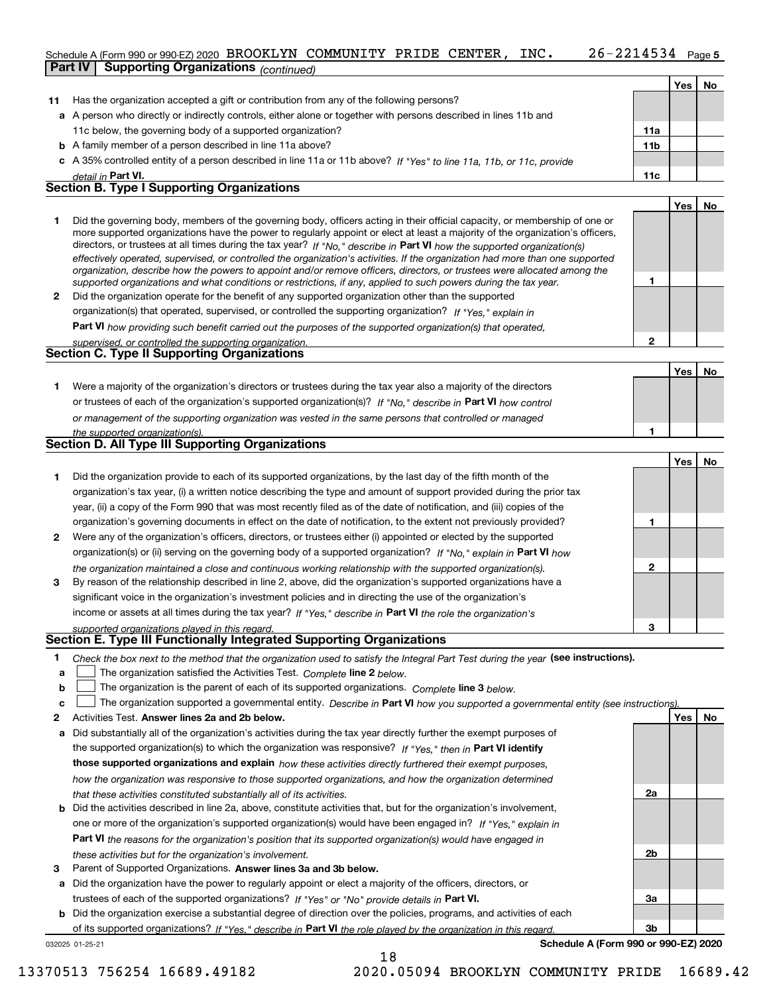#### 26-2214534 Page 5 Schedule A (Form 990 or 990-EZ) 2020 Page BROOKLYN COMMUNITY PRIDE CENTER, INC. 26-2214534 **Part IV Supporting Organizations** *(continued)*

|    |                                                                                                                                                                                                                                                             |                 | Yes | <b>No</b> |
|----|-------------------------------------------------------------------------------------------------------------------------------------------------------------------------------------------------------------------------------------------------------------|-----------------|-----|-----------|
| 11 | Has the organization accepted a gift or contribution from any of the following persons?                                                                                                                                                                     |                 |     |           |
|    | a A person who directly or indirectly controls, either alone or together with persons described in lines 11b and                                                                                                                                            |                 |     |           |
|    | 11c below, the governing body of a supported organization?                                                                                                                                                                                                  | 11a             |     |           |
|    | <b>b</b> A family member of a person described in line 11a above?                                                                                                                                                                                           | 11 <sub>b</sub> |     |           |
|    | c A 35% controlled entity of a person described in line 11a or 11b above? If "Yes" to line 11a, 11b, or 11c, provide                                                                                                                                        |                 |     |           |
|    | detail in Part VI.                                                                                                                                                                                                                                          | 11c             |     |           |
|    | <b>Section B. Type I Supporting Organizations</b>                                                                                                                                                                                                           |                 |     |           |
|    |                                                                                                                                                                                                                                                             |                 | Yes | No        |
|    | Did the governing body, members of the governing body, officers acting in their official capacity, or membership of one or<br>more supported organizations have the power to regularly appoint or elect at least a majority of the organization's officers, |                 |     |           |

|              | directors, or trustees at all times during the tax year? If "No," describe in Part VI how the supported organization(s)        |
|--------------|--------------------------------------------------------------------------------------------------------------------------------|
|              | effectively operated, supervised, or controlled the organization's activities. If the organization had more than one supported |
|              | organization, describe how the powers to appoint and/or remove officers, directors, or trustees were allocated among the       |
|              | supported organizations and what conditions or restrictions, if any, applied to such powers during the tax year.               |
| $\mathbf{2}$ | Did the organization operate for the benefit of any supported organization other than the supported                            |
|              | organization(s) that operated, supervised, or controlled the supporting organization? If "Yes," explain in                     |
|              |                                                                                                                                |

**Part VI**  *how providing such benefit carried out the purposes of the supported organization(s) that operated,*

| supervised, or controlled the supporting organization. |  |
|--------------------------------------------------------|--|
| <b>Section C. Type II Supporting Organizations</b>     |  |

**Yes No 1**or trustees of each of the organization's supported organization(s)? If "No," describe in **Part VI** how control **1***or management of the supporting organization was vested in the same persons that controlled or managed the supported organization(s).* Were a majority of the organization's directors or trustees during the tax year also a majority of the directors

|   | Section D. All Type III Supporting Organizations                                                                       |   |     |    |
|---|------------------------------------------------------------------------------------------------------------------------|---|-----|----|
|   |                                                                                                                        |   | Yes | No |
|   | Did the organization provide to each of its supported organizations, by the last day of the fifth month of the         |   |     |    |
|   | organization's tax year, (i) a written notice describing the type and amount of support provided during the prior tax  |   |     |    |
|   | year, (ii) a copy of the Form 990 that was most recently filed as of the date of notification, and (iii) copies of the |   |     |    |
|   | organization's governing documents in effect on the date of notification, to the extent not previously provided?       |   |     |    |
| 2 | Were any of the organization's officers, directors, or trustees either (i) appointed or elected by the supported       |   |     |    |
|   | organization(s) or (ii) serving on the governing body of a supported organization? If "No," explain in Part VI how     |   |     |    |
|   | the organization maintained a close and continuous working relationship with the supported organization(s).            | 2 |     |    |
| 3 | By reason of the relationship described in line 2, above, did the organization's supported organizations have a        |   |     |    |
|   | significant voice in the organization's investment policies and in directing the use of the organization's             |   |     |    |
|   | income or assets at all times during the tax year? If "Yes," describe in Part VI the role the organization's           |   |     |    |

*supported organizations played in this regard.*

### **Section E. Type III Functionally Integrated Supporting Organizations**

- **1**Check the box next to the method that the organization used to satisfy the Integral Part Test during the year (see instructions).
- **alinupy** The organization satisfied the Activities Test. Complete line 2 below.
- **b**The organization is the parent of each of its supported organizations. *Complete* line 3 *below.*  $\mathcal{L}^{\text{max}}$

|  |  | The organization supported a governmental entity. Describe in Part VI how you supported a governmental entity (see instructions). |  |  |  |  |  |
|--|--|-----------------------------------------------------------------------------------------------------------------------------------|--|--|--|--|--|
|--|--|-----------------------------------------------------------------------------------------------------------------------------------|--|--|--|--|--|

- **2Answer lines 2a and 2b below. Yes No** Activities Test.
- **a** Did substantially all of the organization's activities during the tax year directly further the exempt purposes of the supported organization(s) to which the organization was responsive? If "Yes," then in **Part VI identify those supported organizations and explain**  *how these activities directly furthered their exempt purposes, how the organization was responsive to those supported organizations, and how the organization determined that these activities constituted substantially all of its activities.*
- **b** Did the activities described in line 2a, above, constitute activities that, but for the organization's involvement, **Part VI**  *the reasons for the organization's position that its supported organization(s) would have engaged in* one or more of the organization's supported organization(s) would have been engaged in? If "Yes," e*xplain in these activities but for the organization's involvement.*
- **3**Parent of Supported Organizations. Answer lines 3a and 3b below.

**a** Did the organization have the power to regularly appoint or elect a majority of the officers, directors, or trustees of each of the supported organizations? If "Yes" or "No" provide details in **Part VI.** 

**b** Did the organization exercise a substantial degree of direction over the policies, programs, and activities of each of its supported organizations? If "Yes," describe in Part VI the role played by the organization in this regard.

032025 01-25-21

**Schedule A (Form 990 or 990-EZ) 2020**

**1**

**2**

**3**

**2a**

**2b**

**3a**

**3b**

13370513 756254 16689.49182 2020.05094 BROOKLYN COMMUNITY PRIDE 16689.42

18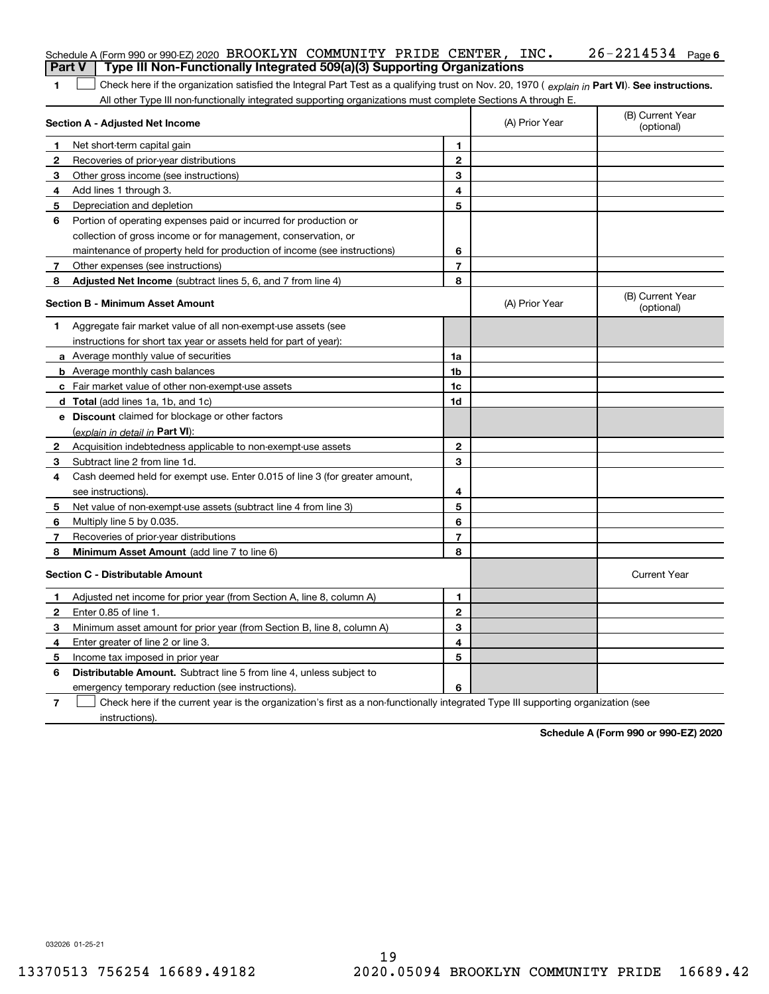|                | Schedule A (Form 990 or 990-EZ) 2020 BROOKLYN COMMUNITY PRIDE CENTER, INC.                                                                     |                |                | $26 - 2214534$ Page 6          |
|----------------|------------------------------------------------------------------------------------------------------------------------------------------------|----------------|----------------|--------------------------------|
|                | Type III Non-Functionally Integrated 509(a)(3) Supporting Organizations<br><b>Part V</b>                                                       |                |                |                                |
| 1              | Check here if the organization satisfied the Integral Part Test as a qualifying trust on Nov. 20, 1970 (explain in Part VI). See instructions. |                |                |                                |
|                | All other Type III non-functionally integrated supporting organizations must complete Sections A through E.<br>Section A - Adjusted Net Income |                | (A) Prior Year | (B) Current Year<br>(optional) |
| 1              | Net short-term capital gain                                                                                                                    | 1.             |                |                                |
| 2              | Recoveries of prior-year distributions                                                                                                         | $\mathbf{2}$   |                |                                |
| З              | Other gross income (see instructions)                                                                                                          | 3              |                |                                |
| 4              | Add lines 1 through 3.                                                                                                                         | 4              |                |                                |
| 5              | Depreciation and depletion                                                                                                                     | 5              |                |                                |
| 6              | Portion of operating expenses paid or incurred for production or                                                                               |                |                |                                |
|                | collection of gross income or for management, conservation, or                                                                                 |                |                |                                |
|                | maintenance of property held for production of income (see instructions)                                                                       | 6              |                |                                |
| 7              | Other expenses (see instructions)                                                                                                              | 7              |                |                                |
| 8              | Adjusted Net Income (subtract lines 5, 6, and 7 from line 4)                                                                                   | 8              |                |                                |
|                | <b>Section B - Minimum Asset Amount</b>                                                                                                        |                | (A) Prior Year | (B) Current Year<br>(optional) |
| 1              | Aggregate fair market value of all non-exempt-use assets (see                                                                                  |                |                |                                |
|                | instructions for short tax year or assets held for part of year):                                                                              |                |                |                                |
|                | a Average monthly value of securities                                                                                                          | 1a             |                |                                |
|                | <b>b</b> Average monthly cash balances                                                                                                         | 1b             |                |                                |
|                | c Fair market value of other non-exempt-use assets                                                                                             | 1c             |                |                                |
|                | <b>d</b> Total (add lines 1a, 1b, and 1c)                                                                                                      | 1d             |                |                                |
|                | e Discount claimed for blockage or other factors                                                                                               |                |                |                                |
|                | (explain in detail in Part VI):                                                                                                                |                |                |                                |
| 2              | Acquisition indebtedness applicable to non-exempt-use assets                                                                                   | $\mathbf{2}$   |                |                                |
| 3              | Subtract line 2 from line 1d.                                                                                                                  | 3              |                |                                |
| 4              | Cash deemed held for exempt use. Enter 0.015 of line 3 (for greater amount,                                                                    |                |                |                                |
|                | see instructions).                                                                                                                             | 4              |                |                                |
| 5              | Net value of non-exempt-use assets (subtract line 4 from line 3)                                                                               | 5              |                |                                |
| 6              | Multiply line 5 by 0.035.                                                                                                                      | 6              |                |                                |
| 7              | Recoveries of prior-year distributions                                                                                                         | $\overline{7}$ |                |                                |
| 8              | Minimum Asset Amount (add line 7 to line 6)                                                                                                    | 8              |                |                                |
|                | <b>Section C - Distributable Amount</b>                                                                                                        |                |                | <b>Current Year</b>            |
|                | Adjusted net income for prior year (from Section A, line 8, column A)                                                                          | 1              |                |                                |
| 2              | Enter 0.85 of line 1.                                                                                                                          | 2              |                |                                |
| 3              | Minimum asset amount for prior year (from Section B, line 8, column A)                                                                         | 3              |                |                                |
| 4              | Enter greater of line 2 or line 3.                                                                                                             | 4              |                |                                |
| 5              | Income tax imposed in prior year                                                                                                               | 5              |                |                                |
| 6              | <b>Distributable Amount.</b> Subtract line 5 from line 4, unless subject to                                                                    |                |                |                                |
|                | emergency temporary reduction (see instructions).                                                                                              | 6              |                |                                |
| $\overline{7}$ | Check here if the current year is the organization's first as a non-functionally integrated Type III supporting organization (see              |                |                |                                |

**Schedule A (Form 990 or 990-EZ) 2020**

032026 01-25-21

instructions).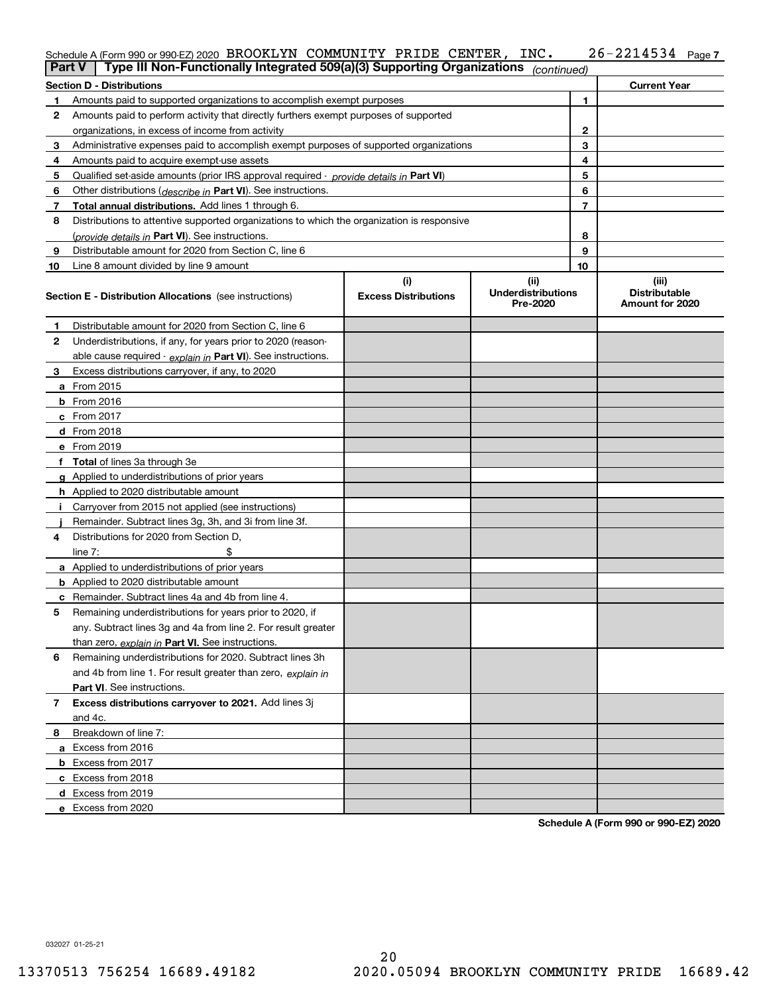#### **7** Schedule A (Form 990 or 990-EZ) 2020 Page BROOKLYN COMMUNITY PRIDE CENTER, INC. 26-2214534

| <b>Part V</b> | Type III Non-Functionally Integrated 509(a)(3) Supporting Organizations                       |                             | (continued)                           |    |                                         |
|---------------|-----------------------------------------------------------------------------------------------|-----------------------------|---------------------------------------|----|-----------------------------------------|
|               | <b>Section D - Distributions</b>                                                              |                             |                                       |    | <b>Current Year</b>                     |
| 1             | Amounts paid to supported organizations to accomplish exempt purposes                         |                             | 1                                     |    |                                         |
| 2             | Amounts paid to perform activity that directly furthers exempt purposes of supported          |                             |                                       |    |                                         |
|               | organizations, in excess of income from activity                                              |                             | $\mathbf{2}$                          |    |                                         |
| 3             | Administrative expenses paid to accomplish exempt purposes of supported organizations         |                             | 3                                     |    |                                         |
| 4             | Amounts paid to acquire exempt-use assets                                                     |                             | 4                                     |    |                                         |
| 5             | Qualified set-aside amounts (prior IRS approval required - <i>provide details in</i> Part VI) |                             | 5                                     |    |                                         |
| 6             | Other distributions ( <i>describe in</i> Part VI). See instructions.                          |                             |                                       | 6  |                                         |
| 7             | Total annual distributions. Add lines 1 through 6.                                            |                             |                                       | 7  |                                         |
| 8             | Distributions to attentive supported organizations to which the organization is responsive    |                             |                                       |    |                                         |
|               | (provide details in Part VI). See instructions.                                               |                             |                                       | 8  |                                         |
| 9             | Distributable amount for 2020 from Section C, line 6                                          |                             |                                       | 9  |                                         |
| 10            | Line 8 amount divided by line 9 amount                                                        |                             |                                       | 10 |                                         |
|               |                                                                                               | (i)                         | (ii)                                  |    | (iii)                                   |
|               | <b>Section E - Distribution Allocations</b> (see instructions)                                | <b>Excess Distributions</b> | <b>Underdistributions</b><br>Pre-2020 |    | <b>Distributable</b><br>Amount for 2020 |
| 1             | Distributable amount for 2020 from Section C, line 6                                          |                             |                                       |    |                                         |
| 2             | Underdistributions, if any, for years prior to 2020 (reason-                                  |                             |                                       |    |                                         |
|               | able cause required - explain in Part VI). See instructions.                                  |                             |                                       |    |                                         |
| 3             | Excess distributions carryover, if any, to 2020                                               |                             |                                       |    |                                         |
|               | a From 2015                                                                                   |                             |                                       |    |                                         |
|               | <b>b</b> From 2016                                                                            |                             |                                       |    |                                         |
|               | $c$ From 2017                                                                                 |                             |                                       |    |                                         |
|               | d From 2018                                                                                   |                             |                                       |    |                                         |
|               | e From 2019                                                                                   |                             |                                       |    |                                         |
|               | f Total of lines 3a through 3e                                                                |                             |                                       |    |                                         |
|               | g Applied to underdistributions of prior years                                                |                             |                                       |    |                                         |
|               | <b>h</b> Applied to 2020 distributable amount                                                 |                             |                                       |    |                                         |
|               | Carryover from 2015 not applied (see instructions)                                            |                             |                                       |    |                                         |
|               | Remainder. Subtract lines 3g, 3h, and 3i from line 3f.                                        |                             |                                       |    |                                         |
| 4             | Distributions for 2020 from Section D,                                                        |                             |                                       |    |                                         |
|               | line $7:$                                                                                     |                             |                                       |    |                                         |
|               | a Applied to underdistributions of prior years                                                |                             |                                       |    |                                         |
|               | <b>b</b> Applied to 2020 distributable amount                                                 |                             |                                       |    |                                         |
|               | c Remainder. Subtract lines 4a and 4b from line 4.                                            |                             |                                       |    |                                         |
| 5.            | Remaining underdistributions for years prior to 2020, if                                      |                             |                                       |    |                                         |
|               | any. Subtract lines 3g and 4a from line 2. For result greater                                 |                             |                                       |    |                                         |
|               | than zero, explain in Part VI. See instructions.                                              |                             |                                       |    |                                         |
| 6             | Remaining underdistributions for 2020. Subtract lines 3h                                      |                             |                                       |    |                                         |
|               | and 4b from line 1. For result greater than zero, explain in                                  |                             |                                       |    |                                         |
|               | Part VI. See instructions.                                                                    |                             |                                       |    |                                         |
| 7             | Excess distributions carryover to 2021. Add lines 3j                                          |                             |                                       |    |                                         |
|               | and 4c.                                                                                       |                             |                                       |    |                                         |
| 8             | Breakdown of line 7:                                                                          |                             |                                       |    |                                         |
|               | a Excess from 2016                                                                            |                             |                                       |    |                                         |
|               | <b>b</b> Excess from 2017                                                                     |                             |                                       |    |                                         |
|               | c Excess from 2018                                                                            |                             |                                       |    |                                         |
|               | d Excess from 2019                                                                            |                             |                                       |    |                                         |
|               | e Excess from 2020                                                                            |                             |                                       |    |                                         |

**Schedule A (Form 990 or 990-EZ) 2020**

032027 01-25-21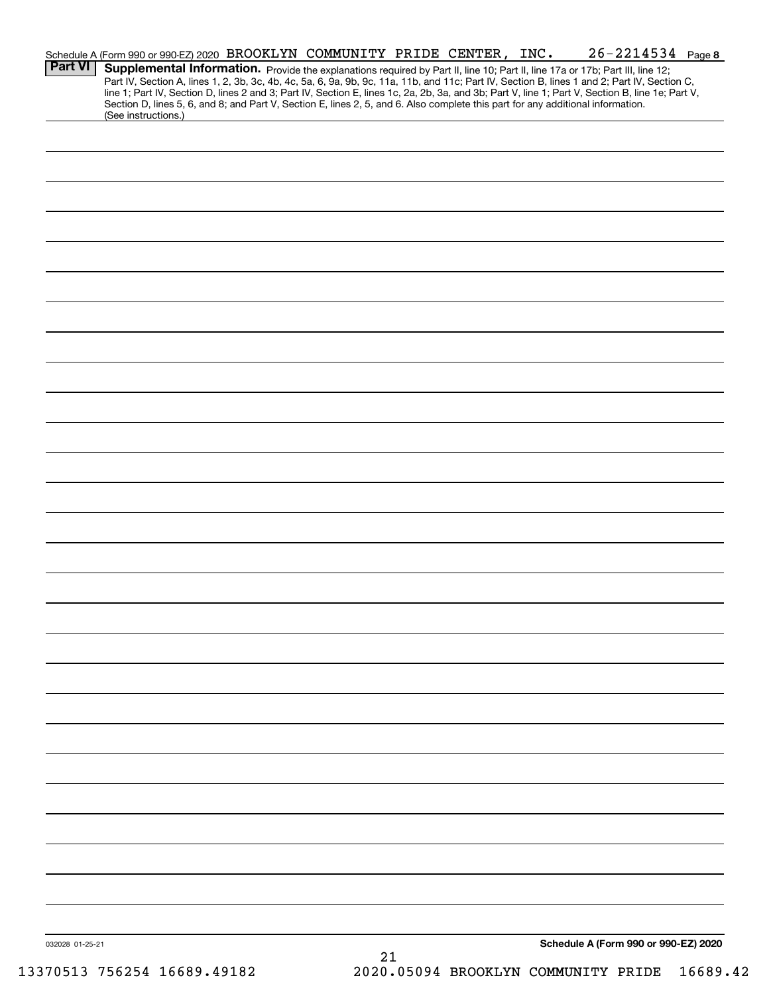|                 | Schedule A (Form 990 or 990-EZ) 2020 BROOKLYN COMMUNITY PRIDE CENTER, INC.                                                                                                                                                                                                                                                                                                                                                                                                                                                                                           |    |  | $26 - 2214534$ Page 8                |  |
|-----------------|----------------------------------------------------------------------------------------------------------------------------------------------------------------------------------------------------------------------------------------------------------------------------------------------------------------------------------------------------------------------------------------------------------------------------------------------------------------------------------------------------------------------------------------------------------------------|----|--|--------------------------------------|--|
| <b>Part VI</b>  | Supplemental Information. Provide the explanations required by Part II, line 10; Part II, line 17a or 17b; Part III, line 12;<br>Part IV, Section A, lines 1, 2, 3b, 3c, 4b, 4c, 5a, 6, 9a, 9b, 9c, 11a, 11b, and 11c; Part IV, Section B, lines 1 and 2; Part IV, Section C,<br>line 1; Part IV, Section D, lines 2 and 3; Part IV, Section E, lines 1c, 2a, 2b, 3a, and 3b; Part V, line 1; Part V, Section B, line 1e; Part V,<br>Section D, lines 5, 6, and 8; and Part V, Section E, lines 2, 5, and 6. Also complete this part for any additional information. |    |  |                                      |  |
|                 | (See instructions.)                                                                                                                                                                                                                                                                                                                                                                                                                                                                                                                                                  |    |  |                                      |  |
|                 |                                                                                                                                                                                                                                                                                                                                                                                                                                                                                                                                                                      |    |  |                                      |  |
|                 |                                                                                                                                                                                                                                                                                                                                                                                                                                                                                                                                                                      |    |  |                                      |  |
|                 |                                                                                                                                                                                                                                                                                                                                                                                                                                                                                                                                                                      |    |  |                                      |  |
|                 |                                                                                                                                                                                                                                                                                                                                                                                                                                                                                                                                                                      |    |  |                                      |  |
|                 |                                                                                                                                                                                                                                                                                                                                                                                                                                                                                                                                                                      |    |  |                                      |  |
|                 |                                                                                                                                                                                                                                                                                                                                                                                                                                                                                                                                                                      |    |  |                                      |  |
|                 |                                                                                                                                                                                                                                                                                                                                                                                                                                                                                                                                                                      |    |  |                                      |  |
|                 |                                                                                                                                                                                                                                                                                                                                                                                                                                                                                                                                                                      |    |  |                                      |  |
|                 |                                                                                                                                                                                                                                                                                                                                                                                                                                                                                                                                                                      |    |  |                                      |  |
|                 |                                                                                                                                                                                                                                                                                                                                                                                                                                                                                                                                                                      |    |  |                                      |  |
|                 |                                                                                                                                                                                                                                                                                                                                                                                                                                                                                                                                                                      |    |  |                                      |  |
|                 |                                                                                                                                                                                                                                                                                                                                                                                                                                                                                                                                                                      |    |  |                                      |  |
|                 |                                                                                                                                                                                                                                                                                                                                                                                                                                                                                                                                                                      |    |  |                                      |  |
|                 |                                                                                                                                                                                                                                                                                                                                                                                                                                                                                                                                                                      |    |  |                                      |  |
|                 |                                                                                                                                                                                                                                                                                                                                                                                                                                                                                                                                                                      |    |  |                                      |  |
|                 |                                                                                                                                                                                                                                                                                                                                                                                                                                                                                                                                                                      |    |  |                                      |  |
|                 |                                                                                                                                                                                                                                                                                                                                                                                                                                                                                                                                                                      |    |  |                                      |  |
|                 |                                                                                                                                                                                                                                                                                                                                                                                                                                                                                                                                                                      |    |  |                                      |  |
|                 |                                                                                                                                                                                                                                                                                                                                                                                                                                                                                                                                                                      |    |  |                                      |  |
|                 |                                                                                                                                                                                                                                                                                                                                                                                                                                                                                                                                                                      |    |  |                                      |  |
|                 |                                                                                                                                                                                                                                                                                                                                                                                                                                                                                                                                                                      |    |  |                                      |  |
|                 |                                                                                                                                                                                                                                                                                                                                                                                                                                                                                                                                                                      |    |  |                                      |  |
|                 |                                                                                                                                                                                                                                                                                                                                                                                                                                                                                                                                                                      |    |  |                                      |  |
|                 |                                                                                                                                                                                                                                                                                                                                                                                                                                                                                                                                                                      |    |  |                                      |  |
|                 |                                                                                                                                                                                                                                                                                                                                                                                                                                                                                                                                                                      |    |  |                                      |  |
|                 |                                                                                                                                                                                                                                                                                                                                                                                                                                                                                                                                                                      |    |  |                                      |  |
|                 |                                                                                                                                                                                                                                                                                                                                                                                                                                                                                                                                                                      |    |  |                                      |  |
|                 |                                                                                                                                                                                                                                                                                                                                                                                                                                                                                                                                                                      |    |  |                                      |  |
|                 |                                                                                                                                                                                                                                                                                                                                                                                                                                                                                                                                                                      |    |  |                                      |  |
|                 |                                                                                                                                                                                                                                                                                                                                                                                                                                                                                                                                                                      |    |  |                                      |  |
|                 |                                                                                                                                                                                                                                                                                                                                                                                                                                                                                                                                                                      |    |  |                                      |  |
| 032028 01-25-21 |                                                                                                                                                                                                                                                                                                                                                                                                                                                                                                                                                                      | 21 |  | Schedule A (Form 990 or 990-EZ) 2020 |  |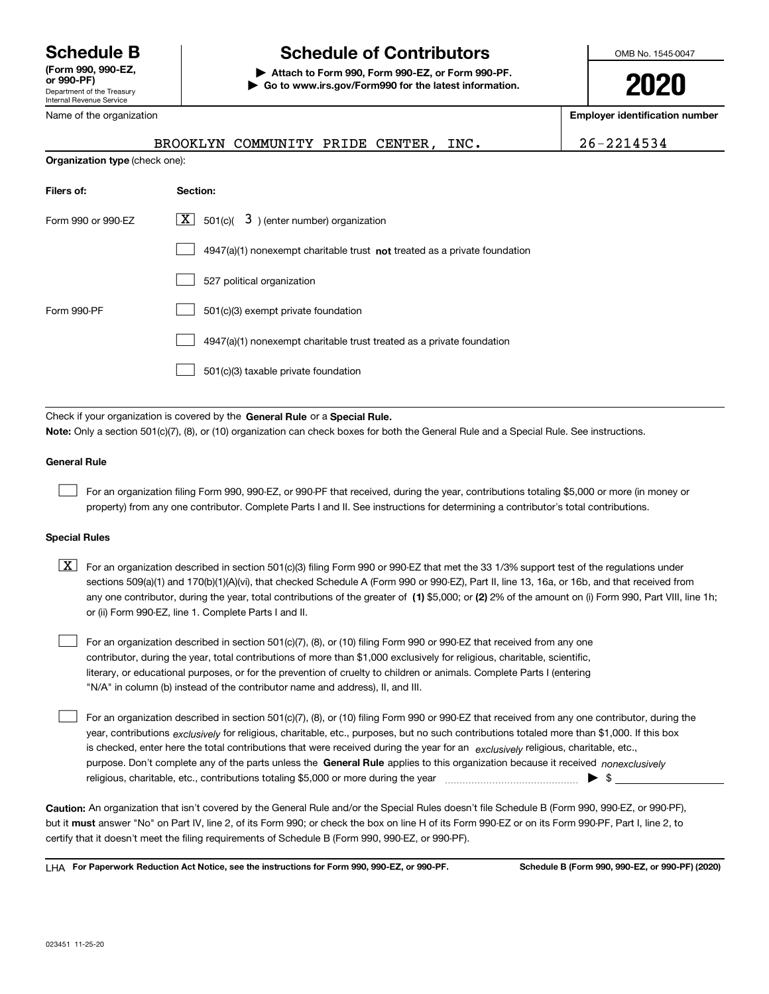Department of the Treasury Internal Revenue Service **(Form 990, 990-EZ, or 990-PF)**

Name of the organization

# **Schedule B Schedule of Contributors**

**| Attach to Form 990, Form 990-EZ, or Form 990-PF. | Go to www.irs.gov/Form990 for the latest information.** OMB No. 1545-0047

**2020**

**Employer identification number**

|                                                                                                                                                                                                                           | BROOKLYN COMMUNITY PRIDE CENTER,<br>INC.                                    | 26-2214534 |  |  |  |
|---------------------------------------------------------------------------------------------------------------------------------------------------------------------------------------------------------------------------|-----------------------------------------------------------------------------|------------|--|--|--|
| Organization type (check one):                                                                                                                                                                                            |                                                                             |            |  |  |  |
| Filers of:                                                                                                                                                                                                                | Section:                                                                    |            |  |  |  |
| Form 990 or 990-EZ                                                                                                                                                                                                        | $\boxed{\textbf{X}}$ 501(c)( 3) (enter number) organization                 |            |  |  |  |
|                                                                                                                                                                                                                           | $4947(a)(1)$ nonexempt charitable trust not treated as a private foundation |            |  |  |  |
|                                                                                                                                                                                                                           |                                                                             |            |  |  |  |
| Form 990-PF                                                                                                                                                                                                               | 501(c)(3) exempt private foundation                                         |            |  |  |  |
|                                                                                                                                                                                                                           | 4947(a)(1) nonexempt charitable trust treated as a private foundation       |            |  |  |  |
| 501(c)(3) taxable private foundation                                                                                                                                                                                      |                                                                             |            |  |  |  |
|                                                                                                                                                                                                                           |                                                                             |            |  |  |  |
| Check if your organization is covered by the General Rule or a Special Rule.<br>Note: Only a section 501(c)(7), (8), or (10) organization can check boxes for both the General Rule and a Special Rule. See instructions. |                                                                             |            |  |  |  |
| <b>General Rule</b>                                                                                                                                                                                                       |                                                                             |            |  |  |  |

For an organization filing Form 990, 990-EZ, or 990-PF that received, during the year, contributions totaling \$5,000 or more (in money or property) from any one contributor. Complete Parts I and II. See instructions for determining a contributor's total contributions.

#### **Special Rules**

 $\mathcal{L}^{\text{max}}$ 

any one contributor, during the year, total contributions of the greater of  $\,$  (1) \$5,000; or **(2)** 2% of the amount on (i) Form 990, Part VIII, line 1h;  $\boxed{\textbf{X}}$  For an organization described in section 501(c)(3) filing Form 990 or 990-EZ that met the 33 1/3% support test of the regulations under sections 509(a)(1) and 170(b)(1)(A)(vi), that checked Schedule A (Form 990 or 990-EZ), Part II, line 13, 16a, or 16b, and that received from or (ii) Form 990-EZ, line 1. Complete Parts I and II.

For an organization described in section 501(c)(7), (8), or (10) filing Form 990 or 990-EZ that received from any one contributor, during the year, total contributions of more than \$1,000 exclusively for religious, charitable, scientific, literary, or educational purposes, or for the prevention of cruelty to children or animals. Complete Parts I (entering "N/A" in column (b) instead of the contributor name and address), II, and III.  $\mathcal{L}^{\text{max}}$ 

purpose. Don't complete any of the parts unless the **General Rule** applies to this organization because it received *nonexclusively* year, contributions <sub>exclusively</sub> for religious, charitable, etc., purposes, but no such contributions totaled more than \$1,000. If this box is checked, enter here the total contributions that were received during the year for an  $\;$ exclusively religious, charitable, etc., For an organization described in section 501(c)(7), (8), or (10) filing Form 990 or 990-EZ that received from any one contributor, during the religious, charitable, etc., contributions totaling \$5,000 or more during the year  $\Box$ — $\Box$   $\Box$  $\mathcal{L}^{\text{max}}$ 

**Caution:**  An organization that isn't covered by the General Rule and/or the Special Rules doesn't file Schedule B (Form 990, 990-EZ, or 990-PF),  **must** but it answer "No" on Part IV, line 2, of its Form 990; or check the box on line H of its Form 990-EZ or on its Form 990-PF, Part I, line 2, to certify that it doesn't meet the filing requirements of Schedule B (Form 990, 990-EZ, or 990-PF).

**For Paperwork Reduction Act Notice, see the instructions for Form 990, 990-EZ, or 990-PF. Schedule B (Form 990, 990-EZ, or 990-PF) (2020)** LHA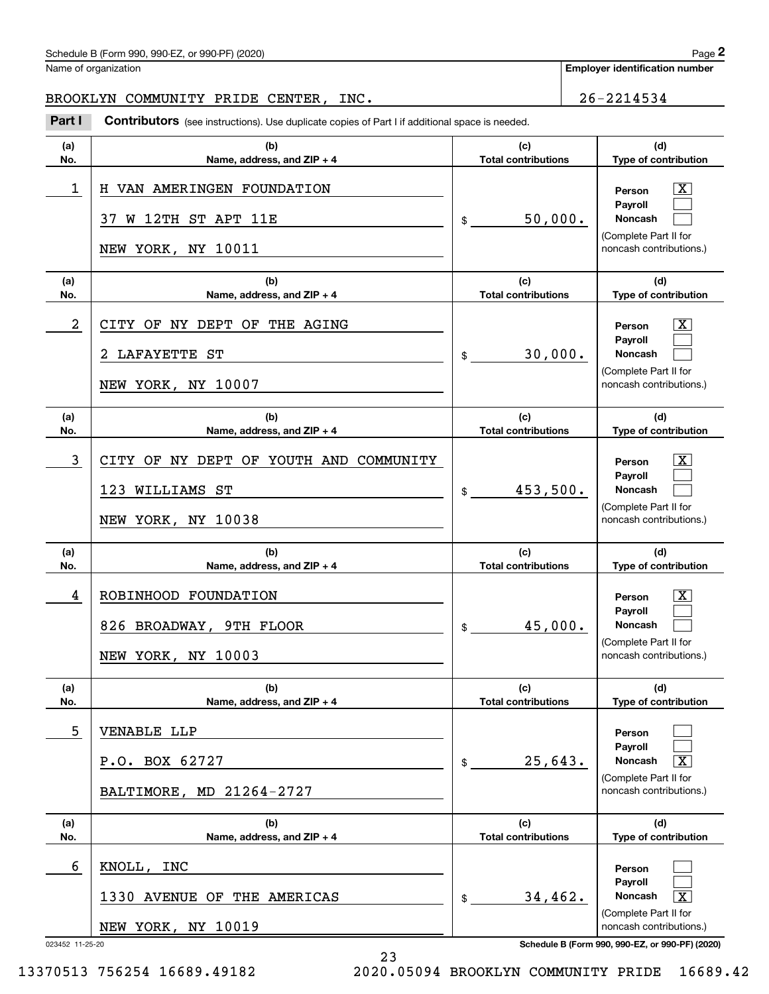## Schedule B (Form 990, 990-EZ, or 990-PF) (2020) Page 2

Name of organization

**Employer identification number**

### BROOKLYN COMMUNITY PRIDE CENTER, INC. 26-2214534

Contributors (see instructions). Use duplicate copies of Part I if additional space is needed. Chedule B (Form 990, 990-EZ, or 990-PF) (2020)<br>Iame of organization<br>**2Part I 2Part I COMMUNITY PRIDE CENTER, INC.**<br>**Part I Contributors** (see instructions). Use duplicate copies of Part I if additional space is neede

| (a)                  | (b)                                                                             | (c)                        | (d)                                                                                                                                                          |
|----------------------|---------------------------------------------------------------------------------|----------------------------|--------------------------------------------------------------------------------------------------------------------------------------------------------------|
| No.                  | Name, address, and ZIP + 4                                                      | <b>Total contributions</b> | Type of contribution                                                                                                                                         |
| 1                    | H VAN AMERINGEN FOUNDATION<br>W 12TH ST APT 11E<br>37.<br>NEW YORK, NY 10011    | 50,000.<br>\$              | $\overline{\text{X}}$<br>Person<br>Payroll<br>Noncash<br>(Complete Part II for<br>noncash contributions.)                                                    |
| (a)                  | (b)                                                                             | (c)                        | (d)                                                                                                                                                          |
| No.                  | Name, address, and $ZIP + 4$                                                    | <b>Total contributions</b> | Type of contribution                                                                                                                                         |
| 2                    | CITY OF NY DEPT OF THE AGING<br><b>LAFAYETTE ST</b><br>NEW YORK, NY 10007       | 30,000.<br>$\frac{1}{2}$   | $\overline{\text{X}}$<br>Person<br>Payroll<br>Noncash<br>(Complete Part II for<br>noncash contributions.)                                                    |
| (a)                  | (b)                                                                             | (c)                        | (d)                                                                                                                                                          |
| No.                  | Name, address, and $ZIP + 4$                                                    | <b>Total contributions</b> | Type of contribution                                                                                                                                         |
| 3                    | CITY OF NY DEPT OF YOUTH AND COMMUNITY<br>123 WILLIAMS ST<br>NEW YORK, NY 10038 | 453,500.<br>$\frac{1}{2}$  | $\overline{\text{X}}$<br>Person<br>Payroll<br><b>Noncash</b><br>(Complete Part II for<br>noncash contributions.)                                             |
| (a)                  | (b)                                                                             | (c)                        | (d)                                                                                                                                                          |
| No.                  | Name, address, and ZIP + 4                                                      | <b>Total contributions</b> | Type of contribution                                                                                                                                         |
| 4                    | ROBINHOOD FOUNDATION<br>826 BROADWAY, 9TH FLOOR<br>NEW YORK, NY 10003           | 45,000.                    | $\overline{\text{X}}$<br>Person<br>Payroll<br><b>Noncash</b><br>(Complete Part II for<br>noncash contributions.)                                             |
| (a)                  | (b)                                                                             | (c)                        | (d)                                                                                                                                                          |
| No.                  | Name, address, and ZIP + 4                                                      | <b>Total contributions</b> | Type of contribution                                                                                                                                         |
| 5                    | VENABLE LLP<br>P.O. BOX 62727<br>BALTIMORE, MD 21264-2727                       | 25,643.<br>$\frac{1}{2}$   | Person<br>Payroll<br>$\overline{\text{X}}$<br><b>Noncash</b><br>(Complete Part II for<br>noncash contributions.)                                             |
| (a)                  | (b)                                                                             | (c)                        | (d)                                                                                                                                                          |
| No.                  | Name, address, and ZIP + 4                                                      | <b>Total contributions</b> | Type of contribution                                                                                                                                         |
| 6<br>023452 11-25-20 | KNOLL,<br>INC<br>1330 AVENUE OF THE AMERICAS<br>NEW YORK, NY 10019              | 34,462.<br>$\mathsf{\$}$   | Person<br>Payroll<br>$\overline{\text{X}}$<br>Noncash<br>(Complete Part II for<br>noncash contributions.)<br>Schedule B (Form 990, 990-EZ, or 990-PF) (2020) |

23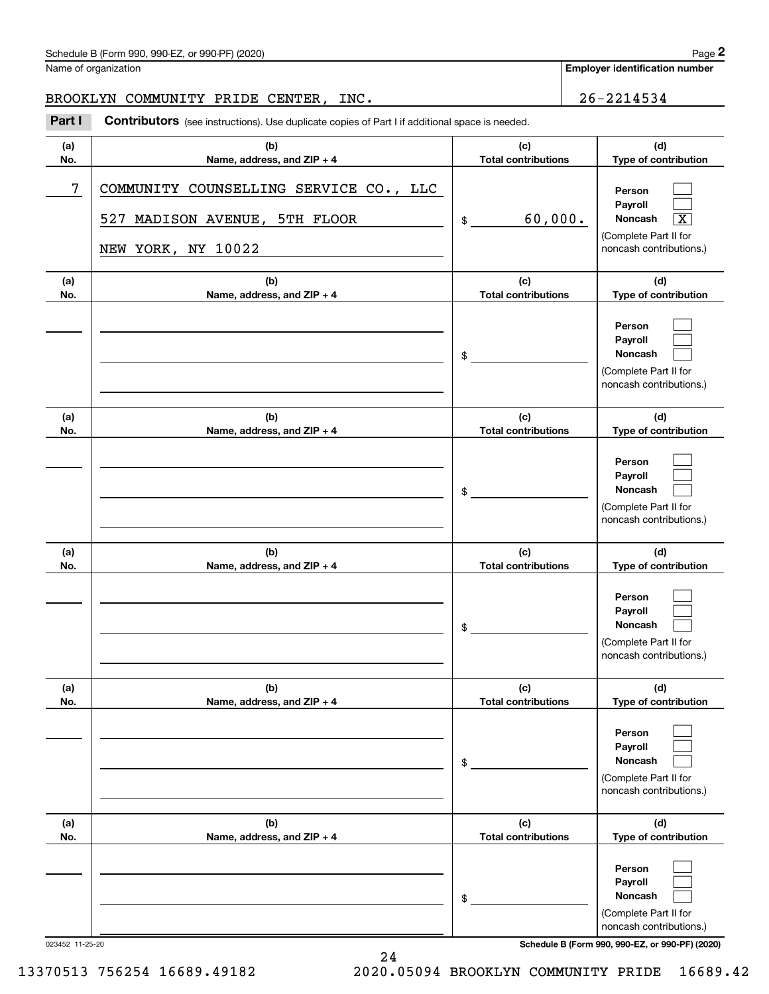## Schedule B (Form 990, 990-EZ, or 990-PF) (2020) Page 2

Name of organization

**Employer identification number**

### BROOKLYN COMMUNITY PRIDE CENTER, INC. 26-2214534

Contributors (see instructions). Use duplicate copies of Part I if additional space is needed. Chedule B (Form 990, 990-EZ, or 990-PF) (2020)<br>Iame of organization<br>**2Part I 2Part I COMMUNITY PRIDE CENTER, INC.**<br>**Part I Contributors** (see instructions). Use duplicate copies of Part I if additional space is neede

| (a) | (b)                                                                                           | (c)                        | (d)                                                                                                       |
|-----|-----------------------------------------------------------------------------------------------|----------------------------|-----------------------------------------------------------------------------------------------------------|
| No. | Name, address, and ZIP + 4                                                                    | <b>Total contributions</b> | Type of contribution                                                                                      |
| 7   | COMMUNITY COUNSELLING SERVICE CO., LLC<br>527 MADISON AVENUE, 5TH FLOOR<br>NEW YORK, NY 10022 | 60,000.<br>\$              | Person<br>Payroll<br>Noncash<br>$\overline{\text{X}}$<br>(Complete Part II for<br>noncash contributions.) |
| (a) | (b)                                                                                           | (c)                        | (d)                                                                                                       |
| No. | Name, address, and ZIP + 4                                                                    | <b>Total contributions</b> | Type of contribution                                                                                      |
|     |                                                                                               | $\frac{1}{2}$              | Person<br>Payroll<br>Noncash<br>(Complete Part II for<br>noncash contributions.)                          |
| (a) | (b)                                                                                           | (c)                        | (d)                                                                                                       |
| No. | Name, address, and ZIP + 4                                                                    | <b>Total contributions</b> | Type of contribution                                                                                      |
|     |                                                                                               | \$                         | Person<br>Payroll<br>Noncash<br>(Complete Part II for<br>noncash contributions.)                          |
| (a) | (b)                                                                                           | (c)                        | (d)                                                                                                       |
| No. | Name, address, and ZIP + 4                                                                    | <b>Total contributions</b> | Type of contribution                                                                                      |
|     |                                                                                               | $\frac{1}{2}$              | Person<br>Payroll<br>Noncash<br>(Complete Part II for<br>noncash contributions.)                          |
| (a) | (b)                                                                                           | (c)                        | (d)                                                                                                       |
| No. | Name, address, and ZIP + 4                                                                    | <b>Total contributions</b> | Type of contribution                                                                                      |
|     |                                                                                               | $\$$                       | Person<br>Payroll<br>Noncash<br>(Complete Part II for<br>noncash contributions.)                          |
| (a) | (b)                                                                                           | (c)                        | (d)                                                                                                       |
| No. | Name, address, and ZIP + 4                                                                    | <b>Total contributions</b> | Type of contribution                                                                                      |
|     |                                                                                               | \$                         | Person<br>Payroll<br>Noncash<br>(Complete Part II for<br>noncash contributions.)                          |

023452 11-25-20 **Schedule B (Form 990, 990-EZ, or 990-PF) (2020)**

13370513 756254 16689.49182 2020.05094 BROOKLYN COMMUNITY PRIDE 16689.42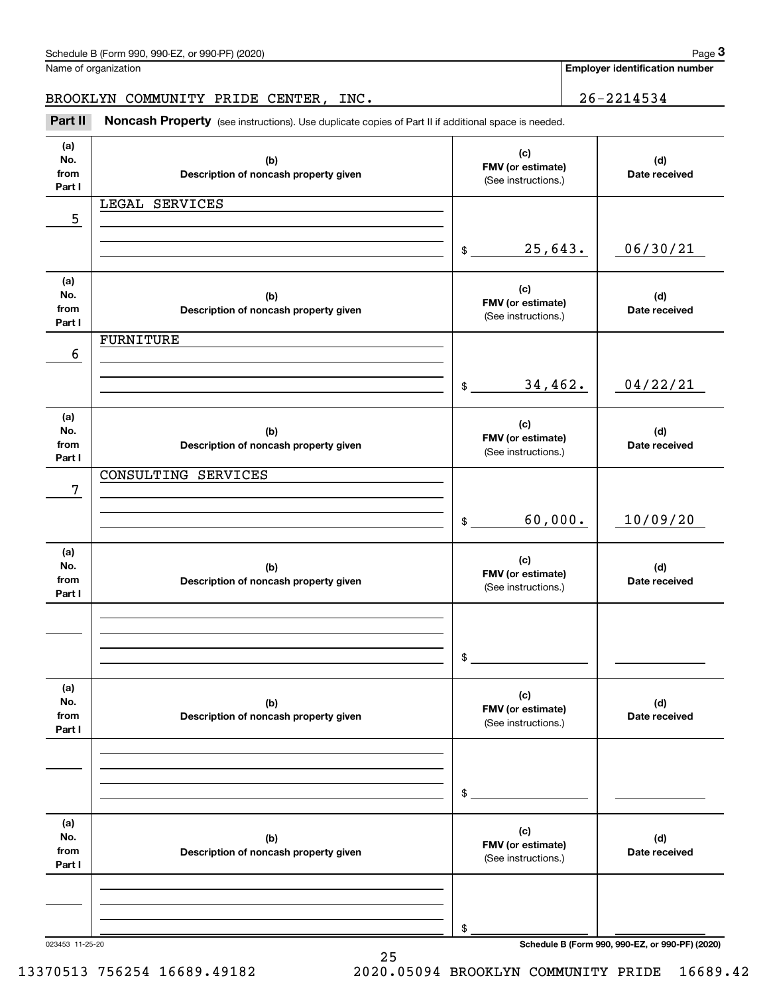|                              | Schedule B (Form 990, 990-EZ, or 990-PF) (2020)<br>Name of organization                             |                                                 | Page 3<br><b>Employer identification number</b> |
|------------------------------|-----------------------------------------------------------------------------------------------------|-------------------------------------------------|-------------------------------------------------|
|                              |                                                                                                     |                                                 |                                                 |
|                              | BROOKLYN COMMUNITY PRIDE CENTER, INC.                                                               |                                                 | 26-2214534                                      |
| Part II                      | Noncash Property (see instructions). Use duplicate copies of Part II if additional space is needed. |                                                 |                                                 |
| (a)<br>No.<br>from<br>Part I | (b)<br>Description of noncash property given                                                        | (c)<br>FMV (or estimate)<br>(See instructions.) | (d)<br>Date received                            |
|                              | LEGAL SERVICES                                                                                      |                                                 |                                                 |
| 5                            |                                                                                                     |                                                 |                                                 |
|                              |                                                                                                     | 25,643.<br>\$                                   | 06/30/21                                        |
| (a)<br>No.<br>from<br>Part I | (b)<br>Description of noncash property given                                                        | (c)<br>FMV (or estimate)<br>(See instructions.) | (d)<br>Date received                            |
|                              | <b>FURNITURE</b>                                                                                    |                                                 |                                                 |
| 6                            |                                                                                                     | 34,462.<br>\$                                   | 04/22/21                                        |
| (a)<br>No.<br>from<br>Part I | (b)<br>Description of noncash property given                                                        | (c)<br>FMV (or estimate)<br>(See instructions.) | (d)<br>Date received                            |
|                              | CONSULTING SERVICES                                                                                 |                                                 |                                                 |
| 7                            |                                                                                                     | 60,000.<br>\$                                   | 10/09/20                                        |
| (a)<br>No.<br>from<br>Part I | (b)<br>Description of noncash property given                                                        | (c)<br>FMV (or estimate)<br>(See instructions.) | (d)<br>Date received                            |
|                              |                                                                                                     | \$                                              |                                                 |
| (a)<br>No.<br>from<br>Part I | (b)<br>Description of noncash property given                                                        | (c)<br>FMV (or estimate)<br>(See instructions.) | (d)<br>Date received                            |
|                              |                                                                                                     | \$                                              |                                                 |
| (a)<br>No.<br>from<br>Part I | (b)<br>Description of noncash property given                                                        | (c)<br>FMV (or estimate)<br>(See instructions.) | (d)<br>Date received                            |
|                              |                                                                                                     |                                                 |                                                 |
|                              |                                                                                                     | \$                                              |                                                 |

023453 11-25-20 **Schedule B (Form 990, 990-EZ, or 990-PF) (2020)**

25 13370513 756254 16689.49182 2020.05094 BROOKLYN COMMUNITY PRIDE 16689.42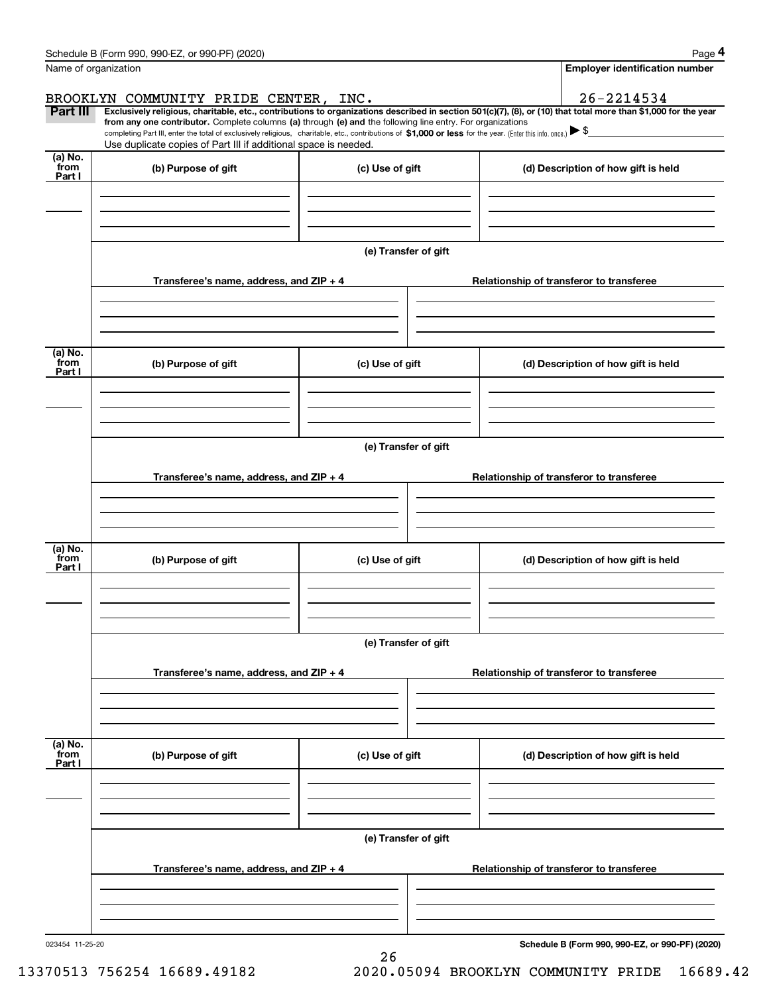|                           | Schedule B (Form 990, 990-EZ, or 990-PF) (2020)                                                                                                                                                                                                                              |                      |                                          | Page 4                                          |  |  |
|---------------------------|------------------------------------------------------------------------------------------------------------------------------------------------------------------------------------------------------------------------------------------------------------------------------|----------------------|------------------------------------------|-------------------------------------------------|--|--|
|                           | Name of organization                                                                                                                                                                                                                                                         |                      |                                          | <b>Employer identification number</b>           |  |  |
|                           | BROOKLYN COMMUNITY PRIDE CENTER, INC.                                                                                                                                                                                                                                        |                      |                                          | $26 - 2214534$                                  |  |  |
| Part III                  | Exclusively religious, charitable, etc., contributions to organizations described in section 501(c)(7), (8), or (10) that total more than \$1,000 for the year<br>from any one contributor. Complete columns (a) through (e) and the following line entry. For organizations |                      |                                          |                                                 |  |  |
|                           | completing Part III, enter the total of exclusively religious, charitable, etc., contributions of \$1,000 or less for the year. (Enter this info. once.) $\blacktriangleright$ \$<br>Use duplicate copies of Part III if additional space is needed.                         |                      |                                          |                                                 |  |  |
| (a) No.<br>from<br>Part I | (b) Purpose of gift                                                                                                                                                                                                                                                          | (c) Use of gift      |                                          | (d) Description of how gift is held             |  |  |
|                           |                                                                                                                                                                                                                                                                              |                      |                                          |                                                 |  |  |
|                           |                                                                                                                                                                                                                                                                              |                      |                                          |                                                 |  |  |
|                           |                                                                                                                                                                                                                                                                              | (e) Transfer of gift |                                          |                                                 |  |  |
|                           | Transferee's name, address, and ZIP + 4                                                                                                                                                                                                                                      |                      |                                          | Relationship of transferor to transferee        |  |  |
|                           |                                                                                                                                                                                                                                                                              |                      |                                          |                                                 |  |  |
|                           |                                                                                                                                                                                                                                                                              |                      |                                          |                                                 |  |  |
| (a) No.<br>from<br>Part I | (b) Purpose of gift                                                                                                                                                                                                                                                          | (c) Use of gift      |                                          | (d) Description of how gift is held             |  |  |
|                           |                                                                                                                                                                                                                                                                              |                      |                                          |                                                 |  |  |
|                           |                                                                                                                                                                                                                                                                              |                      |                                          |                                                 |  |  |
|                           | (e) Transfer of gift                                                                                                                                                                                                                                                         |                      |                                          |                                                 |  |  |
|                           | Transferee's name, address, and ZIP + 4                                                                                                                                                                                                                                      |                      | Relationship of transferor to transferee |                                                 |  |  |
|                           |                                                                                                                                                                                                                                                                              |                      |                                          |                                                 |  |  |
|                           |                                                                                                                                                                                                                                                                              |                      |                                          |                                                 |  |  |
| (a) No.                   |                                                                                                                                                                                                                                                                              |                      |                                          |                                                 |  |  |
| from<br>Part I            | (b) Purpose of gift                                                                                                                                                                                                                                                          | (c) Use of gift      | (d) Description of how gift is held      |                                                 |  |  |
|                           |                                                                                                                                                                                                                                                                              |                      |                                          |                                                 |  |  |
|                           |                                                                                                                                                                                                                                                                              |                      |                                          |                                                 |  |  |
|                           |                                                                                                                                                                                                                                                                              | (e) Transfer of gift |                                          |                                                 |  |  |
|                           | Relationship of transferor to transferee                                                                                                                                                                                                                                     |                      |                                          |                                                 |  |  |
|                           | Transferee's name, address, and ZIP + 4                                                                                                                                                                                                                                      |                      |                                          |                                                 |  |  |
|                           |                                                                                                                                                                                                                                                                              |                      |                                          |                                                 |  |  |
|                           |                                                                                                                                                                                                                                                                              |                      |                                          |                                                 |  |  |
| (a) No.<br>from<br>Part I | (b) Purpose of gift                                                                                                                                                                                                                                                          | (c) Use of gift      |                                          | (d) Description of how gift is held             |  |  |
|                           |                                                                                                                                                                                                                                                                              |                      |                                          |                                                 |  |  |
|                           |                                                                                                                                                                                                                                                                              |                      |                                          |                                                 |  |  |
|                           | (e) Transfer of gift                                                                                                                                                                                                                                                         |                      |                                          |                                                 |  |  |
|                           |                                                                                                                                                                                                                                                                              |                      |                                          |                                                 |  |  |
|                           | Transferee's name, address, and ZIP + 4                                                                                                                                                                                                                                      |                      |                                          | Relationship of transferor to transferee        |  |  |
|                           |                                                                                                                                                                                                                                                                              |                      |                                          |                                                 |  |  |
|                           |                                                                                                                                                                                                                                                                              |                      |                                          |                                                 |  |  |
| 023454 11-25-20           |                                                                                                                                                                                                                                                                              | 26                   |                                          | Schedule B (Form 990, 990-EZ, or 990-PF) (2020) |  |  |

13370513 756254 16689.49182 2020.05094 BROOKLYN COMMUNITY PRIDE 16689.42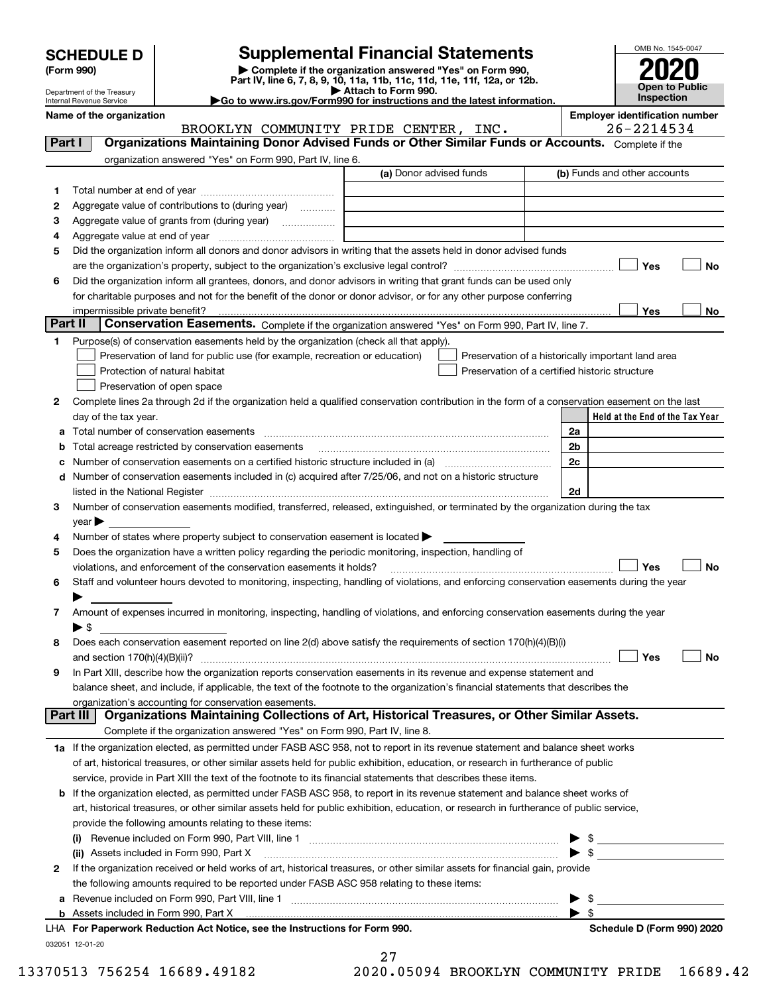| <b>SCHEDULE D</b> |  |
|-------------------|--|
|-------------------|--|

| (Form 990) |  |
|------------|--|
|------------|--|

## **Supplemental Financial Statements**

(Form 990)<br>
Pepartment of the Treasury<br>
Department of the Treasury<br>
Department of the Treasury<br>
Department of the Treasury<br> **Co to www.irs.gov/Form990 for instructions and the latest information.**<br> **Co to www.irs.gov/Form9** 



Department of the Treasury Internal Revenue Service

| ≻Go to www.irs.gov/Form990 for instructions and the latest informat |
|---------------------------------------------------------------------|
|---------------------------------------------------------------------|

Name of the organization<br>BROOKLYN COMMUNITY PRIDE CENTER, INC. **Employer identification number**<br>26-2214534

|         | BROOKLYN COMMUNITY PRIDE CENTER, INC.                                                                                                                                                                                          |                         | 26-2214534                                                                                           |
|---------|--------------------------------------------------------------------------------------------------------------------------------------------------------------------------------------------------------------------------------|-------------------------|------------------------------------------------------------------------------------------------------|
| Part I  | Organizations Maintaining Donor Advised Funds or Other Similar Funds or Accounts. Complete if the                                                                                                                              |                         |                                                                                                      |
|         | organization answered "Yes" on Form 990, Part IV, line 6.                                                                                                                                                                      |                         |                                                                                                      |
|         |                                                                                                                                                                                                                                | (a) Donor advised funds | (b) Funds and other accounts                                                                         |
| 1       |                                                                                                                                                                                                                                |                         |                                                                                                      |
| 2       | Aggregate value of contributions to (during year)                                                                                                                                                                              |                         |                                                                                                      |
| з       | Aggregate value of grants from (during year) <i>mimimimimial</i>                                                                                                                                                               |                         |                                                                                                      |
| 4       |                                                                                                                                                                                                                                |                         |                                                                                                      |
| 5       | Did the organization inform all donors and donor advisors in writing that the assets held in donor advised funds                                                                                                               |                         |                                                                                                      |
|         |                                                                                                                                                                                                                                |                         | Yes<br>No                                                                                            |
| 6       | Did the organization inform all grantees, donors, and donor advisors in writing that grant funds can be used only                                                                                                              |                         |                                                                                                      |
|         | for charitable purposes and not for the benefit of the donor or donor advisor, or for any other purpose conferring                                                                                                             |                         |                                                                                                      |
|         | impermissible private benefit?                                                                                                                                                                                                 |                         | Yes<br>No                                                                                            |
| Part II | Conservation Easements. Complete if the organization answered "Yes" on Form 990, Part IV, line 7.                                                                                                                              |                         |                                                                                                      |
| 1.      | Purpose(s) of conservation easements held by the organization (check all that apply).                                                                                                                                          |                         |                                                                                                      |
|         |                                                                                                                                                                                                                                |                         |                                                                                                      |
|         | Preservation of land for public use (for example, recreation or education)                                                                                                                                                     |                         | Preservation of a historically important land area<br>Preservation of a certified historic structure |
|         | Protection of natural habitat                                                                                                                                                                                                  |                         |                                                                                                      |
|         | Preservation of open space                                                                                                                                                                                                     |                         |                                                                                                      |
| 2       | Complete lines 2a through 2d if the organization held a qualified conservation contribution in the form of a conservation easement on the last                                                                                 |                         |                                                                                                      |
|         | day of the tax year.                                                                                                                                                                                                           |                         | Held at the End of the Tax Year                                                                      |
|         | a Total number of conservation easements [[11] non-minimum materials in the state of conservation easements [[11] non-minimum materials in the state of conservation easements [[11] non-minimum materials in the state of con |                         | 2a                                                                                                   |
|         | Total acreage restricted by conservation easements                                                                                                                                                                             |                         | 2 <sub>b</sub>                                                                                       |
|         | Number of conservation easements on a certified historic structure included in (a)                                                                                                                                             |                         | 2c                                                                                                   |
|         | d Number of conservation easements included in (c) acquired after 7/25/06, and not on a historic structure                                                                                                                     |                         |                                                                                                      |
|         | listed in the National Register [111] increases and the National Property of the National Register [11] increases and the National Register [11] increases and the National Register [11] increases and the National Register  |                         | 2d                                                                                                   |
| з       | Number of conservation easements modified, transferred, released, extinguished, or terminated by the organization during the tax                                                                                               |                         |                                                                                                      |
|         | $\vee$ ear                                                                                                                                                                                                                     |                         |                                                                                                      |
| 4       | Number of states where property subject to conservation easement is located >                                                                                                                                                  |                         |                                                                                                      |
| 5       | Does the organization have a written policy regarding the periodic monitoring, inspection, handling of                                                                                                                         |                         |                                                                                                      |
|         | violations, and enforcement of the conservation easements it holds?                                                                                                                                                            |                         | Yes<br>No                                                                                            |
| 6       | Staff and volunteer hours devoted to monitoring, inspecting, handling of violations, and enforcing conservation easements during the year                                                                                      |                         |                                                                                                      |
|         |                                                                                                                                                                                                                                |                         |                                                                                                      |
| 7       | Amount of expenses incurred in monitoring, inspecting, handling of violations, and enforcing conservation easements during the year                                                                                            |                         |                                                                                                      |
|         | $\blacktriangleright$ s                                                                                                                                                                                                        |                         |                                                                                                      |
| 8       | Does each conservation easement reported on line 2(d) above satisfy the requirements of section 170(h)(4)(B)(i)                                                                                                                |                         |                                                                                                      |
|         | and section $170(h)(4)(B)(ii)$ ?                                                                                                                                                                                               |                         | Yes<br>No                                                                                            |
| 9       | In Part XIII, describe how the organization reports conservation easements in its revenue and expense statement and                                                                                                            |                         |                                                                                                      |
|         | balance sheet, and include, if applicable, the text of the footnote to the organization's financial statements that describes the                                                                                              |                         |                                                                                                      |
|         | organization's accounting for conservation easements.                                                                                                                                                                          |                         |                                                                                                      |
|         | Organizations Maintaining Collections of Art, Historical Treasures, or Other Similar Assets.<br>Part III                                                                                                                       |                         |                                                                                                      |
|         | Complete if the organization answered "Yes" on Form 990, Part IV, line 8.                                                                                                                                                      |                         |                                                                                                      |
|         | 1a If the organization elected, as permitted under FASB ASC 958, not to report in its revenue statement and balance sheet works                                                                                                |                         |                                                                                                      |
|         | of art, historical treasures, or other similar assets held for public exhibition, education, or research in furtherance of public                                                                                              |                         |                                                                                                      |
|         | service, provide in Part XIII the text of the footnote to its financial statements that describes these items.                                                                                                                 |                         |                                                                                                      |
|         | b If the organization elected, as permitted under FASB ASC 958, to report in its revenue statement and balance sheet works of                                                                                                  |                         |                                                                                                      |
|         | art, historical treasures, or other similar assets held for public exhibition, education, or research in furtherance of public service,                                                                                        |                         |                                                                                                      |
|         | provide the following amounts relating to these items:                                                                                                                                                                         |                         |                                                                                                      |
|         |                                                                                                                                                                                                                                |                         | \$<br>▶                                                                                              |
|         | (ii) Assets included in Form 990, Part X                                                                                                                                                                                       |                         | $\blacktriangleright$ s                                                                              |
| 2       | If the organization received or held works of art, historical treasures, or other similar assets for financial gain, provide                                                                                                   |                         |                                                                                                      |
|         | the following amounts required to be reported under FASB ASC 958 relating to these items:                                                                                                                                      |                         |                                                                                                      |
|         |                                                                                                                                                                                                                                |                         | - \$                                                                                                 |
| а       |                                                                                                                                                                                                                                |                         | $\blacktriangleright$ \$                                                                             |
|         | LHA For Paperwork Reduction Act Notice, see the Instructions for Form 990.                                                                                                                                                     |                         | Schedule D (Form 990) 2020                                                                           |
|         |                                                                                                                                                                                                                                |                         |                                                                                                      |
|         | 032051 12-01-20                                                                                                                                                                                                                |                         |                                                                                                      |

27 13370513 756254 16689.49182 2020.05094 BROOKLYN COMMUNITY PRIDE 16689.42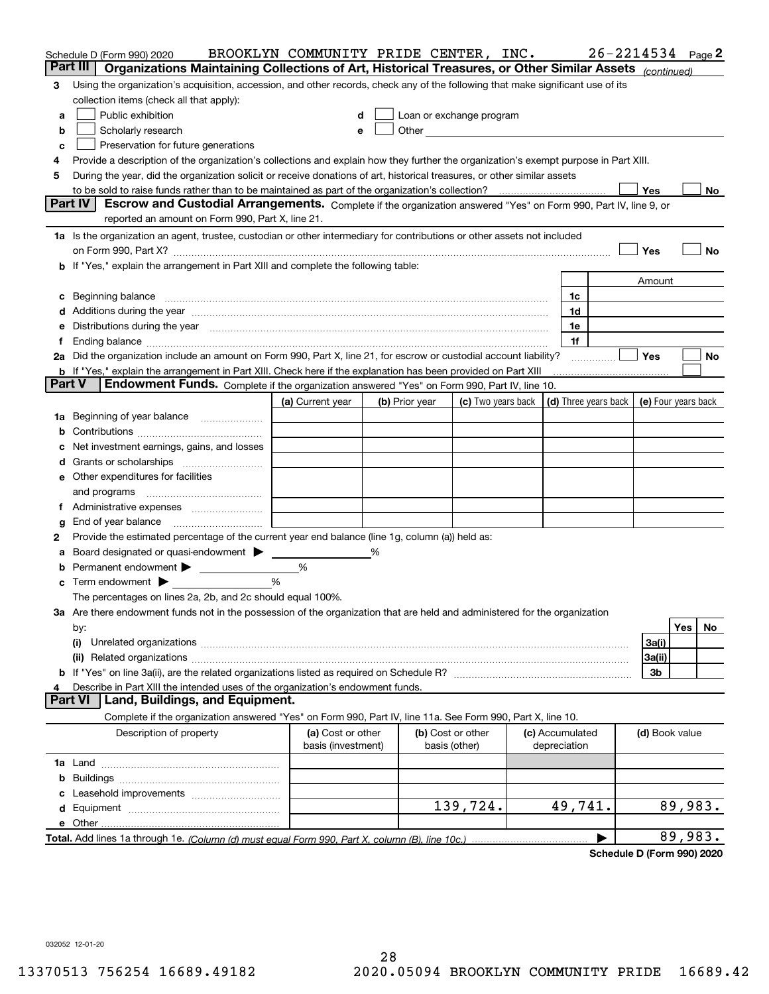|        | Schedule D (Form 990) 2020                                                                                                                                                                                                     | BROOKLYN COMMUNITY PRIDE CENTER, INC.   |   |                |                                                                                                                                                                                                                                |                                 | $26 - 2214534$ Page 2 |                     |         |    |
|--------|--------------------------------------------------------------------------------------------------------------------------------------------------------------------------------------------------------------------------------|-----------------------------------------|---|----------------|--------------------------------------------------------------------------------------------------------------------------------------------------------------------------------------------------------------------------------|---------------------------------|-----------------------|---------------------|---------|----|
|        | Organizations Maintaining Collections of Art, Historical Treasures, or Other Similar Assets (continued)<br>Part III                                                                                                            |                                         |   |                |                                                                                                                                                                                                                                |                                 |                       |                     |         |    |
| 3      | Using the organization's acquisition, accession, and other records, check any of the following that make significant use of its                                                                                                |                                         |   |                |                                                                                                                                                                                                                                |                                 |                       |                     |         |    |
|        | collection items (check all that apply):                                                                                                                                                                                       |                                         |   |                |                                                                                                                                                                                                                                |                                 |                       |                     |         |    |
| a      | Public exhibition                                                                                                                                                                                                              |                                         |   |                | Loan or exchange program                                                                                                                                                                                                       |                                 |                       |                     |         |    |
| b      | Scholarly research                                                                                                                                                                                                             | е                                       |   |                | Other and the control of the control of the control of the control of the control of the control of the control of the control of the control of the control of the control of the control of the control of the control of th |                                 |                       |                     |         |    |
| c      | Preservation for future generations                                                                                                                                                                                            |                                         |   |                |                                                                                                                                                                                                                                |                                 |                       |                     |         |    |
| 4      | Provide a description of the organization's collections and explain how they further the organization's exempt purpose in Part XIII.                                                                                           |                                         |   |                |                                                                                                                                                                                                                                |                                 |                       |                     |         |    |
| 5      | During the year, did the organization solicit or receive donations of art, historical treasures, or other similar assets                                                                                                       |                                         |   |                |                                                                                                                                                                                                                                |                                 |                       |                     |         |    |
|        |                                                                                                                                                                                                                                |                                         |   |                |                                                                                                                                                                                                                                |                                 |                       | Yes                 |         | No |
|        | <b>Part IV</b><br>Escrow and Custodial Arrangements. Complete if the organization answered "Yes" on Form 990, Part IV, line 9, or                                                                                              |                                         |   |                |                                                                                                                                                                                                                                |                                 |                       |                     |         |    |
|        | reported an amount on Form 990, Part X, line 21.                                                                                                                                                                               |                                         |   |                |                                                                                                                                                                                                                                |                                 |                       |                     |         |    |
|        | 1a Is the organization an agent, trustee, custodian or other intermediary for contributions or other assets not included                                                                                                       |                                         |   |                |                                                                                                                                                                                                                                |                                 |                       |                     |         |    |
|        | on Form 990, Part X? [11] matter and the contract of the contract of the contract of the contract of the contract of the contract of the contract of the contract of the contract of the contract of the contract of the contr |                                         |   |                |                                                                                                                                                                                                                                |                                 |                       | Yes                 |         | No |
|        | b If "Yes," explain the arrangement in Part XIII and complete the following table:                                                                                                                                             |                                         |   |                |                                                                                                                                                                                                                                |                                 |                       |                     |         |    |
|        |                                                                                                                                                                                                                                |                                         |   |                |                                                                                                                                                                                                                                |                                 |                       | Amount              |         |    |
|        |                                                                                                                                                                                                                                |                                         |   |                |                                                                                                                                                                                                                                | 1c                              |                       |                     |         |    |
|        | Additions during the year manufactured and an annual contract of the year manufactured and a set of the year manufactured and a set of the year manufactured and a set of the year manufactured and a set of the year manufact |                                         |   |                |                                                                                                                                                                                                                                | 1d                              |                       |                     |         |    |
|        | Distributions during the year manufactured and continuum and contained and the year manufactured and contained                                                                                                                 |                                         |   |                |                                                                                                                                                                                                                                | 1e                              |                       |                     |         |    |
|        |                                                                                                                                                                                                                                |                                         |   |                |                                                                                                                                                                                                                                | 1f                              |                       |                     |         |    |
|        | 2a Did the organization include an amount on Form 990, Part X, line 21, for escrow or custodial account liability?                                                                                                             |                                         |   |                |                                                                                                                                                                                                                                |                                 |                       | Yes                 |         | No |
| Part V | <b>b</b> If "Yes," explain the arrangement in Part XIII. Check here if the explanation has been provided on Part XIII<br>Endowment Funds. Complete if the organization answered "Yes" on Form 990, Part IV, line 10.           |                                         |   |                |                                                                                                                                                                                                                                |                                 |                       |                     |         |    |
|        |                                                                                                                                                                                                                                | (a) Current year                        |   | (b) Prior year | (c) Two years back                                                                                                                                                                                                             | (d) Three years back            |                       | (e) Four years back |         |    |
| 1a     | Beginning of year balance                                                                                                                                                                                                      |                                         |   |                |                                                                                                                                                                                                                                |                                 |                       |                     |         |    |
|        |                                                                                                                                                                                                                                |                                         |   |                |                                                                                                                                                                                                                                |                                 |                       |                     |         |    |
|        | Net investment earnings, gains, and losses                                                                                                                                                                                     |                                         |   |                |                                                                                                                                                                                                                                |                                 |                       |                     |         |    |
|        |                                                                                                                                                                                                                                |                                         |   |                |                                                                                                                                                                                                                                |                                 |                       |                     |         |    |
| е      | Other expenditures for facilities                                                                                                                                                                                              |                                         |   |                |                                                                                                                                                                                                                                |                                 |                       |                     |         |    |
|        | and programs                                                                                                                                                                                                                   |                                         |   |                |                                                                                                                                                                                                                                |                                 |                       |                     |         |    |
|        |                                                                                                                                                                                                                                |                                         |   |                |                                                                                                                                                                                                                                |                                 |                       |                     |         |    |
| g      | End of year balance                                                                                                                                                                                                            |                                         |   |                |                                                                                                                                                                                                                                |                                 |                       |                     |         |    |
| 2      | Provide the estimated percentage of the current year end balance (line 1g, column (a)) held as:                                                                                                                                |                                         |   |                |                                                                                                                                                                                                                                |                                 |                       |                     |         |    |
|        | Board designated or quasi-endowment                                                                                                                                                                                            |                                         | % |                |                                                                                                                                                                                                                                |                                 |                       |                     |         |    |
|        | Permanent endowment                                                                                                                                                                                                            | %                                       |   |                |                                                                                                                                                                                                                                |                                 |                       |                     |         |    |
| с      | Term endowment $\blacktriangleright$                                                                                                                                                                                           | %                                       |   |                |                                                                                                                                                                                                                                |                                 |                       |                     |         |    |
|        | The percentages on lines 2a, 2b, and 2c should equal 100%.                                                                                                                                                                     |                                         |   |                |                                                                                                                                                                                                                                |                                 |                       |                     |         |    |
|        | 3a Are there endowment funds not in the possession of the organization that are held and administered for the organization                                                                                                     |                                         |   |                |                                                                                                                                                                                                                                |                                 |                       |                     |         |    |
|        | by:                                                                                                                                                                                                                            |                                         |   |                |                                                                                                                                                                                                                                |                                 |                       |                     | Yes     | No |
|        | (i)                                                                                                                                                                                                                            |                                         |   |                |                                                                                                                                                                                                                                |                                 |                       | 3a(i)               |         |    |
|        |                                                                                                                                                                                                                                |                                         |   |                |                                                                                                                                                                                                                                |                                 |                       | 3a(ii)              |         |    |
|        |                                                                                                                                                                                                                                |                                         |   |                |                                                                                                                                                                                                                                |                                 |                       | 3b                  |         |    |
|        | Describe in Part XIII the intended uses of the organization's endowment funds.                                                                                                                                                 |                                         |   |                |                                                                                                                                                                                                                                |                                 |                       |                     |         |    |
|        | Land, Buildings, and Equipment.<br>Part VI                                                                                                                                                                                     |                                         |   |                |                                                                                                                                                                                                                                |                                 |                       |                     |         |    |
|        | Complete if the organization answered "Yes" on Form 990, Part IV, line 11a. See Form 990, Part X, line 10.                                                                                                                     |                                         |   |                |                                                                                                                                                                                                                                |                                 |                       |                     |         |    |
|        | Description of property                                                                                                                                                                                                        | (a) Cost or other<br>basis (investment) |   |                | (b) Cost or other<br>basis (other)                                                                                                                                                                                             | (c) Accumulated<br>depreciation |                       | (d) Book value      |         |    |
|        |                                                                                                                                                                                                                                |                                         |   |                |                                                                                                                                                                                                                                |                                 |                       |                     |         |    |
| b      |                                                                                                                                                                                                                                |                                         |   |                |                                                                                                                                                                                                                                |                                 |                       |                     |         |    |
|        |                                                                                                                                                                                                                                |                                         |   |                |                                                                                                                                                                                                                                |                                 |                       |                     |         |    |
| d      |                                                                                                                                                                                                                                |                                         |   |                | 139,724.                                                                                                                                                                                                                       | 49,741.                         |                       |                     | 89,983. |    |
|        | e Other                                                                                                                                                                                                                        |                                         |   |                |                                                                                                                                                                                                                                |                                 |                       |                     |         |    |
|        |                                                                                                                                                                                                                                |                                         |   |                |                                                                                                                                                                                                                                |                                 |                       |                     | 89,983. |    |

**Schedule D (Form 990) 2020**

032052 12-01-20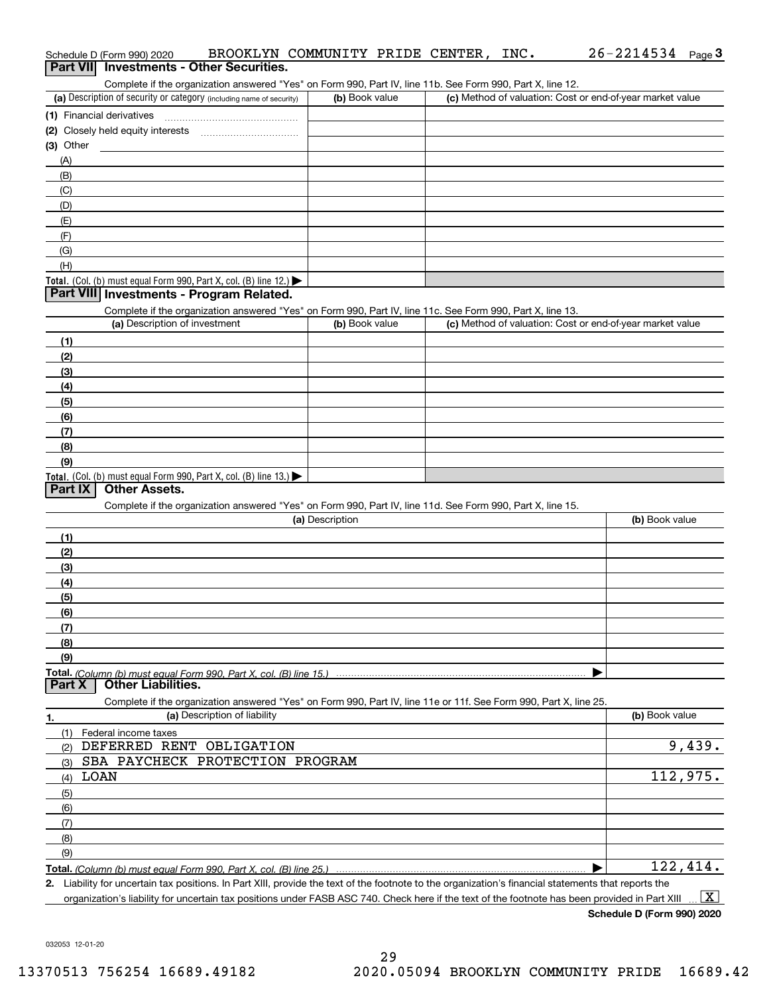| Schedule D (Form 990) 2020<br>Part VII Investments - Other Securities.                                                                                 | BROOKLYN COMMUNITY PRIDE CENTER, INC. |                                                           | $26 - 2214534$ Page 3    |
|--------------------------------------------------------------------------------------------------------------------------------------------------------|---------------------------------------|-----------------------------------------------------------|--------------------------|
| Complete if the organization answered "Yes" on Form 990, Part IV, line 11b. See Form 990, Part X, line 12.                                             |                                       |                                                           |                          |
| (a) Description of security or category (including name of security)                                                                                   | (b) Book value                        | (c) Method of valuation: Cost or end-of-year market value |                          |
|                                                                                                                                                        |                                       |                                                           |                          |
|                                                                                                                                                        |                                       |                                                           |                          |
| (3) Other                                                                                                                                              |                                       |                                                           |                          |
| (A)                                                                                                                                                    |                                       |                                                           |                          |
| (B)                                                                                                                                                    |                                       |                                                           |                          |
| (C)                                                                                                                                                    |                                       |                                                           |                          |
| (D)                                                                                                                                                    |                                       |                                                           |                          |
| (E)                                                                                                                                                    |                                       |                                                           |                          |
| (F)<br>(G)                                                                                                                                             |                                       |                                                           |                          |
| (H)                                                                                                                                                    |                                       |                                                           |                          |
| Total. (Col. (b) must equal Form 990, Part X, col. (B) line 12.) $\blacktriangleright$                                                                 |                                       |                                                           |                          |
| Part VIII Investments - Program Related.<br>Complete if the organization answered "Yes" on Form 990, Part IV, line 11c. See Form 990, Part X, line 13. |                                       |                                                           |                          |
| (a) Description of investment                                                                                                                          | (b) Book value                        | (c) Method of valuation: Cost or end-of-year market value |                          |
| (1)                                                                                                                                                    |                                       |                                                           |                          |
| (2)                                                                                                                                                    |                                       |                                                           |                          |
| (3)                                                                                                                                                    |                                       |                                                           |                          |
| (4)                                                                                                                                                    |                                       |                                                           |                          |
| (5)                                                                                                                                                    |                                       |                                                           |                          |
| (6)                                                                                                                                                    |                                       |                                                           |                          |
| (7)                                                                                                                                                    |                                       |                                                           |                          |
| (8)                                                                                                                                                    |                                       |                                                           |                          |
| (9)                                                                                                                                                    |                                       |                                                           |                          |
| Total. (Col. (b) must equal Form 990, Part X, col. (B) line 13.)                                                                                       |                                       |                                                           |                          |
| <b>Other Assets.</b><br>Part IX                                                                                                                        |                                       |                                                           |                          |
| Complete if the organization answered "Yes" on Form 990, Part IV, line 11d. See Form 990, Part X, line 15.                                             |                                       |                                                           |                          |
|                                                                                                                                                        | (a) Description                       |                                                           | (b) Book value           |
| (1)                                                                                                                                                    |                                       |                                                           |                          |
| (2)                                                                                                                                                    |                                       |                                                           |                          |
| (3)                                                                                                                                                    |                                       |                                                           |                          |
| (4)                                                                                                                                                    |                                       |                                                           |                          |
| (5)                                                                                                                                                    |                                       |                                                           |                          |
| (6)                                                                                                                                                    |                                       |                                                           |                          |
| (7)                                                                                                                                                    |                                       |                                                           |                          |
| (8)                                                                                                                                                    |                                       |                                                           |                          |
| (9)                                                                                                                                                    |                                       |                                                           |                          |
| <b>Other Liabilities.</b><br>Part X                                                                                                                    |                                       |                                                           |                          |
| Complete if the organization answered "Yes" on Form 990, Part IV, line 11e or 11f. See Form 990, Part X, line 25.<br>(a) Description of liability      |                                       |                                                           | (b) Book value           |
| 1.                                                                                                                                                     |                                       |                                                           |                          |
| (1)<br>Federal income taxes<br>DEFERRED RENT OBLIGATION                                                                                                |                                       |                                                           | 9,439.                   |
| (2)<br>SBA PAYCHECK PROTECTION PROGRAM                                                                                                                 |                                       |                                                           |                          |
| (3)<br><b>LOAN</b>                                                                                                                                     |                                       |                                                           | 112,975.                 |
| (4)                                                                                                                                                    |                                       |                                                           |                          |
| (5)                                                                                                                                                    |                                       |                                                           |                          |
| (6)                                                                                                                                                    |                                       |                                                           |                          |
| (7)                                                                                                                                                    |                                       |                                                           |                          |
| (8)<br>(9)                                                                                                                                             |                                       |                                                           |                          |
| Total. (Column (b) must equal Form 990, Part X, col. (B) line 25.)                                                                                     |                                       |                                                           | 122,414.                 |
| 2. Liability for uncertain tax positions. In Part XIII, provide the text of the footnote to the organization's financial statements that reports the   |                                       |                                                           | $\overline{\phantom{a}}$ |

organization's liability for uncertain tax positions under FASB ASC 740. Check here if the text of the footnote has been provided in Part XIII  $\,$  ...  $\overline{\rm X}$ 

**Schedule D (Form 990) 2020**

26-2214534 Page 3

032053 12-01-20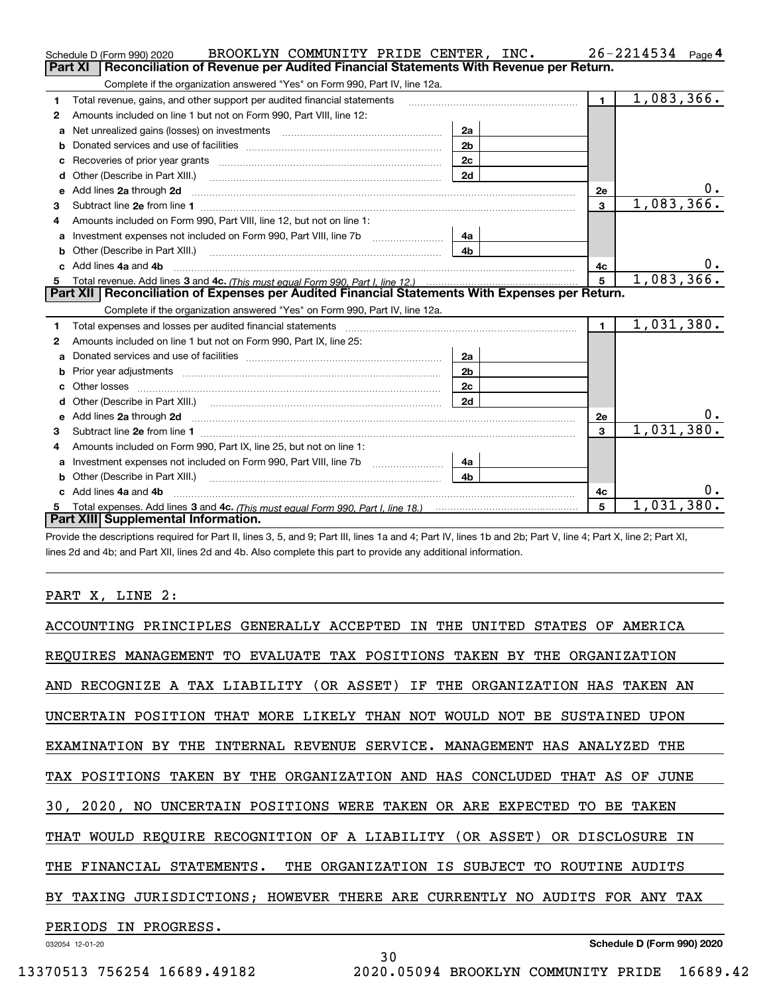|    | BROOKLYN COMMUNITY PRIDE CENTER, INC.<br>Schedule D (Form 990) 2020                                                                                                                                                            |                |                | $26 - 2214534$ Page 4 |
|----|--------------------------------------------------------------------------------------------------------------------------------------------------------------------------------------------------------------------------------|----------------|----------------|-----------------------|
|    | Reconciliation of Revenue per Audited Financial Statements With Revenue per Return.<br>Part XI                                                                                                                                 |                |                |                       |
|    | Complete if the organization answered "Yes" on Form 990, Part IV, line 12a.                                                                                                                                                    |                |                |                       |
| 1  | Total revenue, gains, and other support per audited financial statements                                                                                                                                                       |                | $\blacksquare$ | 1,083,366.            |
| 2  | Amounts included on line 1 but not on Form 990, Part VIII, line 12:                                                                                                                                                            |                |                |                       |
| a  |                                                                                                                                                                                                                                | 2a             |                |                       |
|    |                                                                                                                                                                                                                                | 2 <sub>b</sub> |                |                       |
|    | Recoveries of prior year grants [11] matter contracts and prior year grants [11] matter contracts and prior year grants and all the contracts and all the contracts of prior year grants and all the contracts of the contract | 2c             |                |                       |
| d  | Other (Describe in Part XIII.) <b>Construction Contract Construction</b> Chern Construction Construction Construction                                                                                                          | 2d             |                |                       |
| е  | Add lines 2a through 2d                                                                                                                                                                                                        |                | 2e             | υ.                    |
| з  |                                                                                                                                                                                                                                |                | $\mathbf{3}$   | 1,083,366.            |
| 4  | Amounts included on Form 990, Part VIII, line 12, but not on line 1:                                                                                                                                                           |                |                |                       |
|    |                                                                                                                                                                                                                                | 4a             |                |                       |
| b  |                                                                                                                                                                                                                                | 4 <sub>b</sub> |                |                       |
| c. | Add lines 4a and 4b                                                                                                                                                                                                            |                | 4с             | $0 \cdot$             |
|    |                                                                                                                                                                                                                                | 5              | 1,083,366.     |                       |
|    |                                                                                                                                                                                                                                |                |                |                       |
|    | Part XII   Reconciliation of Expenses per Audited Financial Statements With Expenses per Return.                                                                                                                               |                |                |                       |
|    | Complete if the organization answered "Yes" on Form 990, Part IV, line 12a.                                                                                                                                                    |                |                |                       |
| 1  | Total expenses and losses per audited financial statements [11] [12] manuscription and contract the statements [13] manuscription and the statements [13] manuscription and the statements and the statements and the statemen |                | $\blacksquare$ | 1,031,380.            |
| 2  | Amounts included on line 1 but not on Form 990, Part IX, line 25:                                                                                                                                                              |                |                |                       |
| a  |                                                                                                                                                                                                                                | 2a             |                |                       |
| b  |                                                                                                                                                                                                                                | 2 <sub>b</sub> |                |                       |
| c  |                                                                                                                                                                                                                                | 2c             |                |                       |
|    |                                                                                                                                                                                                                                | 2d             |                |                       |
|    |                                                                                                                                                                                                                                |                | 2e             | $0 \cdot$             |
| 3  |                                                                                                                                                                                                                                |                | 3              | 1,031,380.            |
| 4  | Amounts included on Form 990, Part IX, line 25, but not on line 1:                                                                                                                                                             |                |                |                       |
| a  | Investment expenses not included on Form 990, Part VIII, line 7b [1000000000000000000000000000000000                                                                                                                           | 4a             |                |                       |
| b  |                                                                                                                                                                                                                                | 4b             |                |                       |
|    | c Add lines 4a and 4b                                                                                                                                                                                                          |                | 4c             | υ.                    |
|    | Part XIII Supplemental Information.                                                                                                                                                                                            |                | 5              | 1,031,380.            |

Provide the descriptions required for Part II, lines 3, 5, and 9; Part III, lines 1a and 4; Part IV, lines 1b and 2b; Part V, line 4; Part X, line 2; Part XI, lines 2d and 4b; and Part XII, lines 2d and 4b. Also complete this part to provide any additional information.

## PART X, LINE 2:

| ACCOUNTING PRINCIPLES GENERALLY ACCEPTED IN THE<br>UNITED<br>STATES OF<br>AMERICA                         |
|-----------------------------------------------------------------------------------------------------------|
| REOUIRES MANAGEMENT TO EVALUATE TAX POSITIONS TAKEN BY THE ORGANIZATION                                   |
| AND RECOGNIZE A TAX LIABILITY (OR ASSET) IF THE ORGANIZATION HAS TAKEN AN                                 |
| UNCERTAIN POSITION THAT MORE LIKELY THAN NOT WOULD NOT BE SUSTAINED<br>UPON                               |
| INTERNAL REVENUE SERVICE. MANAGEMENT HAS ANALYZED<br>EXAMINATION BY THE<br>THE                            |
| TAX POSITIONS<br>TAKEN<br>BY<br>THE ORGANIZATION AND HAS CONCLUDED<br>THAT<br>JUNE<br>AS<br>OF            |
| 30 <sub>1</sub><br>NO UNCERTAIN POSITIONS WERE TAKEN OR ARE EXPECTED<br>$2020$ ,<br>TO<br><b>BE TAKEN</b> |
| THAT WOULD REQUIRE RECOGNITION OF A LIABILITY (OR ASSET)<br>OR DISCLOSURE<br>IN                           |
| THE FINANCIAL STATEMENTS. THE ORGANIZATION IS SUBJECT TO<br>ROUTINE AUDITS                                |
| BY TAXING JURISDICTIONS: HOWEVER THERE ARE CURRENTLY NO AUDITS FOR ANY TAX                                |
| PERIODS<br>IN PROGRESS.                                                                                   |
| Schedule D (Form 990) 2020<br>032054 12-01-20                                                             |

30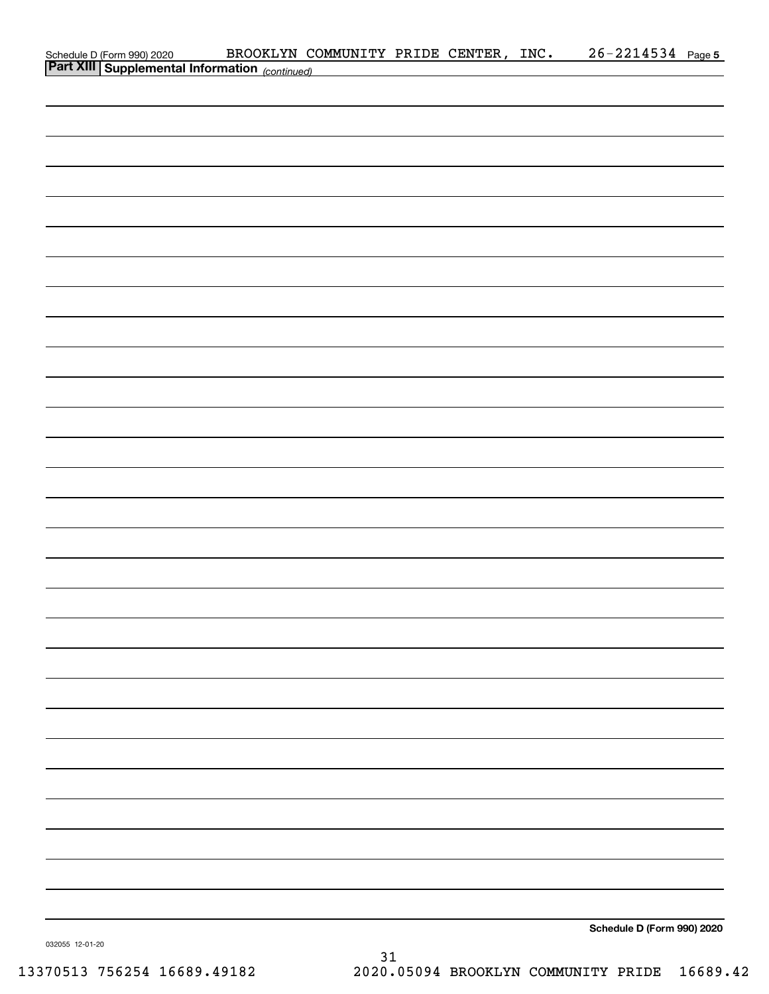| Schedule D (Form 990) 2020 BROOKLYN CONNECT Part XIII Supplemental Information (continued) | BROOKLYN COMMUNITY PRIDE CENTER, INC. |  | $26 - 2214534$ Page 5      |  |
|--------------------------------------------------------------------------------------------|---------------------------------------|--|----------------------------|--|
|                                                                                            |                                       |  |                            |  |
|                                                                                            |                                       |  |                            |  |
|                                                                                            |                                       |  |                            |  |
|                                                                                            |                                       |  |                            |  |
|                                                                                            |                                       |  |                            |  |
|                                                                                            |                                       |  |                            |  |
|                                                                                            |                                       |  |                            |  |
|                                                                                            |                                       |  |                            |  |
|                                                                                            |                                       |  |                            |  |
|                                                                                            |                                       |  |                            |  |
|                                                                                            |                                       |  |                            |  |
|                                                                                            |                                       |  |                            |  |
|                                                                                            |                                       |  |                            |  |
|                                                                                            |                                       |  |                            |  |
|                                                                                            |                                       |  |                            |  |
|                                                                                            |                                       |  |                            |  |
|                                                                                            |                                       |  |                            |  |
|                                                                                            |                                       |  |                            |  |
|                                                                                            |                                       |  |                            |  |
|                                                                                            |                                       |  |                            |  |
|                                                                                            |                                       |  |                            |  |
|                                                                                            |                                       |  |                            |  |
|                                                                                            |                                       |  |                            |  |
|                                                                                            |                                       |  |                            |  |
|                                                                                            |                                       |  |                            |  |
|                                                                                            |                                       |  |                            |  |
|                                                                                            |                                       |  |                            |  |
|                                                                                            |                                       |  |                            |  |
|                                                                                            |                                       |  |                            |  |
|                                                                                            |                                       |  |                            |  |
|                                                                                            |                                       |  |                            |  |
|                                                                                            |                                       |  |                            |  |
|                                                                                            |                                       |  |                            |  |
|                                                                                            |                                       |  |                            |  |
|                                                                                            |                                       |  |                            |  |
|                                                                                            |                                       |  |                            |  |
|                                                                                            |                                       |  |                            |  |
|                                                                                            |                                       |  |                            |  |
|                                                                                            |                                       |  |                            |  |
|                                                                                            |                                       |  | Schedule D (Form 990) 2020 |  |

032055 12-01-20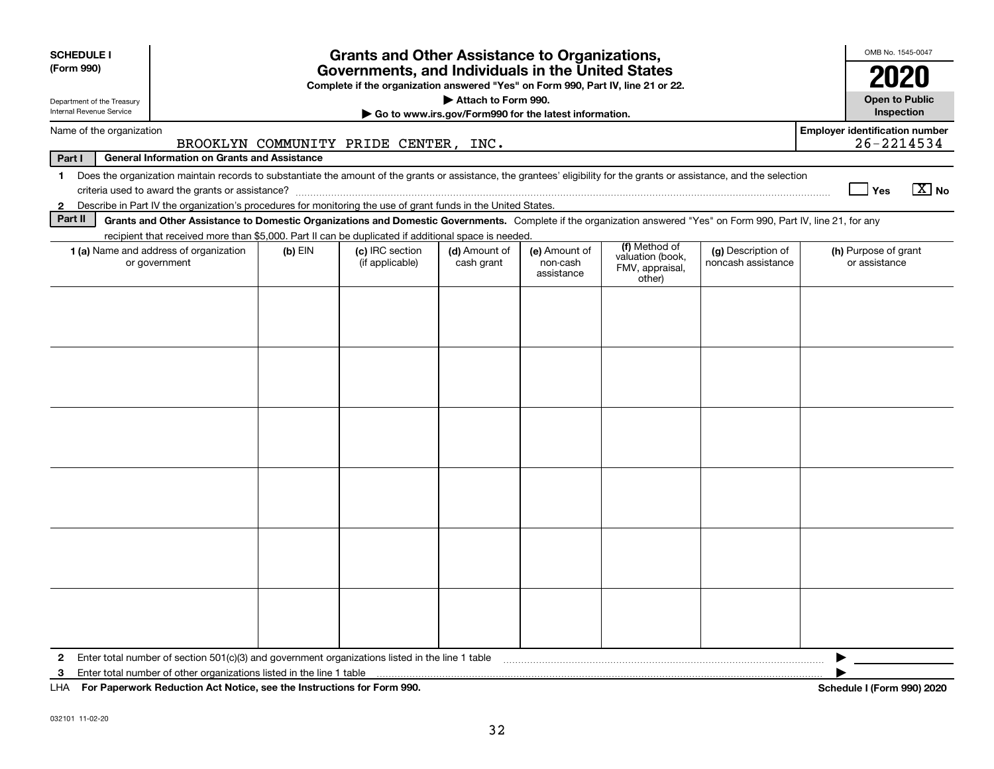| <b>SCHEDULE I</b><br>(Form 990)                                                                                                                                                                                                                                                                                                                                                                           | <b>Grants and Other Assistance to Organizations,</b><br>Governments, and Individuals in the United States<br>Complete if the organization answered "Yes" on Form 990, Part IV, line 21 or 22.                                                                                             |  |                                       |                                                                              |  |  |  |                                                     |
|-----------------------------------------------------------------------------------------------------------------------------------------------------------------------------------------------------------------------------------------------------------------------------------------------------------------------------------------------------------------------------------------------------------|-------------------------------------------------------------------------------------------------------------------------------------------------------------------------------------------------------------------------------------------------------------------------------------------|--|---------------------------------------|------------------------------------------------------------------------------|--|--|--|-----------------------------------------------------|
| Department of the Treasury<br>Internal Revenue Service                                                                                                                                                                                                                                                                                                                                                    |                                                                                                                                                                                                                                                                                           |  |                                       | Attach to Form 990.<br>Go to www.irs.gov/Form990 for the latest information. |  |  |  | <b>Open to Public</b><br>Inspection                 |
| Name of the organization<br>Part I                                                                                                                                                                                                                                                                                                                                                                        | <b>General Information on Grants and Assistance</b>                                                                                                                                                                                                                                       |  | BROOKLYN COMMUNITY PRIDE CENTER, INC. |                                                                              |  |  |  | <b>Employer identification number</b><br>26-2214534 |
| $\mathbf{1}$<br>$\mathbf{2}$<br>Part II                                                                                                                                                                                                                                                                                                                                                                   | Does the organization maintain records to substantiate the amount of the grants or assistance, the grantees' eligibility for the grants or assistance, and the selection<br>Describe in Part IV the organization's procedures for monitoring the use of grant funds in the United States. |  |                                       |                                                                              |  |  |  | $\boxed{\text{X}}$ No<br>∣ Yes                      |
|                                                                                                                                                                                                                                                                                                                                                                                                           | Grants and Other Assistance to Domestic Organizations and Domestic Governments. Complete if the organization answered "Yes" on Form 990, Part IV, line 21, for any                                                                                                                        |  |                                       |                                                                              |  |  |  |                                                     |
| recipient that received more than \$5,000. Part II can be duplicated if additional space is needed.<br>(f) Method of<br>1 (a) Name and address of organization<br>(c) IRC section<br>(d) Amount of<br>$(b)$ EIN<br>(e) Amount of<br>(g) Description of<br>valuation (book,<br>or government<br>(if applicable)<br>cash grant<br>non-cash<br>noncash assistance<br>FMV, appraisal,<br>assistance<br>other) |                                                                                                                                                                                                                                                                                           |  |                                       |                                                                              |  |  |  | (h) Purpose of grant<br>or assistance               |
|                                                                                                                                                                                                                                                                                                                                                                                                           |                                                                                                                                                                                                                                                                                           |  |                                       |                                                                              |  |  |  |                                                     |
|                                                                                                                                                                                                                                                                                                                                                                                                           |                                                                                                                                                                                                                                                                                           |  |                                       |                                                                              |  |  |  |                                                     |
|                                                                                                                                                                                                                                                                                                                                                                                                           |                                                                                                                                                                                                                                                                                           |  |                                       |                                                                              |  |  |  |                                                     |
| $\mathbf{2}$<br>3<br>LHA For Paperwork Reduction Act Notice, see the Instructions for Form 990.                                                                                                                                                                                                                                                                                                           | Enter total number of section $501(c)(3)$ and government organizations listed in the line 1 table<br>Enter total number of other organizations listed in the line 1 table                                                                                                                 |  |                                       |                                                                              |  |  |  | Schedule I (Form 990) 2020                          |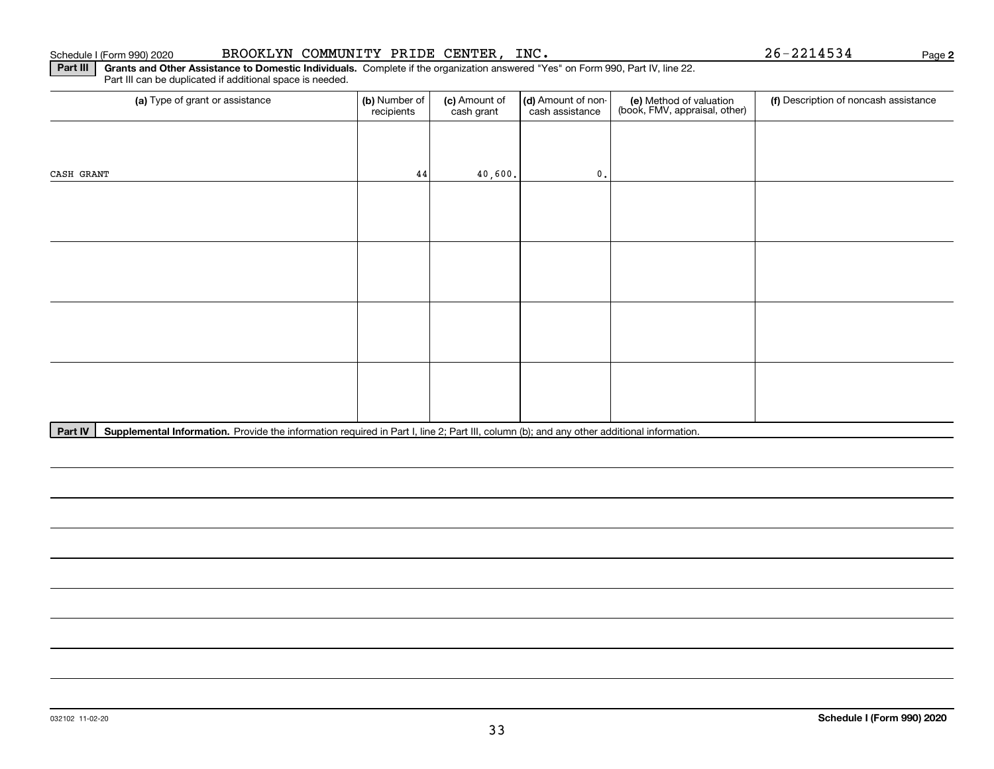**Part III** | Grants and Other Assistance to Domestic Individuals. Complete if the organization answered "Yes" on Form 990, Part IV, line 22. Part III can be duplicated if additional space is needed.

| (a) Type of grant or assistance | (b) Number of<br>recipients | (c) Amount of<br>cash grant | (d) Amount of non-<br>cash assistance | (e) Method of valuation<br>(book, FMV, appraisal, other) | (f) Description of noncash assistance |
|---------------------------------|-----------------------------|-----------------------------|---------------------------------------|----------------------------------------------------------|---------------------------------------|
|                                 |                             |                             |                                       |                                                          |                                       |
| CASH GRANT                      | 44                          | 40,600.                     | $\mathfrak{o}$ .                      |                                                          |                                       |
|                                 |                             |                             |                                       |                                                          |                                       |
|                                 |                             |                             |                                       |                                                          |                                       |
|                                 |                             |                             |                                       |                                                          |                                       |
|                                 |                             |                             |                                       |                                                          |                                       |
|                                 |                             |                             |                                       |                                                          |                                       |
|                                 |                             |                             |                                       |                                                          |                                       |
|                                 |                             |                             |                                       |                                                          |                                       |
|                                 |                             |                             |                                       |                                                          |                                       |

Part IV | Supplemental Information. Provide the information required in Part I, line 2; Part III, column (b); and any other additional information.

**2**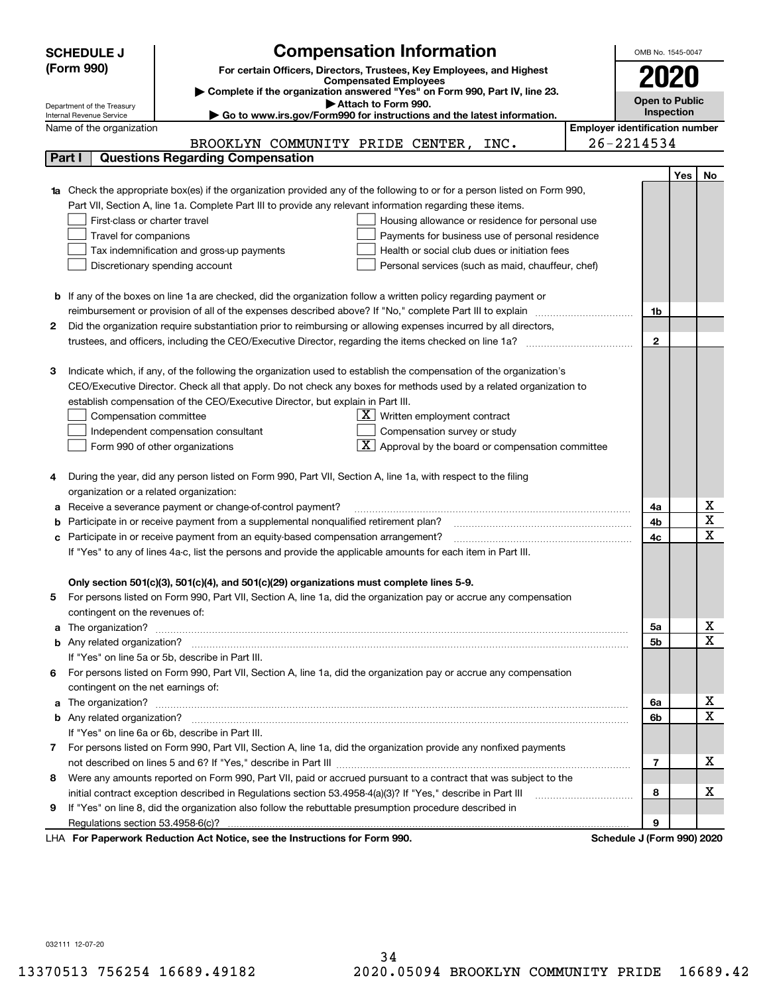|    | <b>SCHEDULE J</b>                                      | <b>Compensation Information</b>                                                                                             |                                       | OMB No. 1545-0047     |     |                                     |  |  |
|----|--------------------------------------------------------|-----------------------------------------------------------------------------------------------------------------------------|---------------------------------------|-----------------------|-----|-------------------------------------|--|--|
|    | (Form 990)                                             | For certain Officers, Directors, Trustees, Key Employees, and Highest                                                       |                                       |                       |     |                                     |  |  |
|    |                                                        | <b>Compensated Employees</b>                                                                                                |                                       |                       |     |                                     |  |  |
|    |                                                        | Complete if the organization answered "Yes" on Form 990, Part IV, line 23.                                                  |                                       | Open to Public        |     |                                     |  |  |
|    | Department of the Treasury<br>Internal Revenue Service | Attach to Form 990.<br>Go to www.irs.gov/Form990 for instructions and the latest information.                               |                                       | Inspection            |     |                                     |  |  |
|    | Name of the organization                               |                                                                                                                             | <b>Employer identification number</b> |                       |     |                                     |  |  |
|    |                                                        | BROOKLYN COMMUNITY PRIDE CENTER, INC.                                                                                       |                                       | 26-2214534            |     |                                     |  |  |
|    | Part I                                                 | <b>Questions Regarding Compensation</b>                                                                                     |                                       |                       |     |                                     |  |  |
|    |                                                        |                                                                                                                             |                                       |                       | Yes | No                                  |  |  |
|    |                                                        | 1a Check the appropriate box(es) if the organization provided any of the following to or for a person listed on Form 990,   |                                       |                       |     |                                     |  |  |
|    |                                                        | Part VII, Section A, line 1a. Complete Part III to provide any relevant information regarding these items.                  |                                       |                       |     |                                     |  |  |
|    | First-class or charter travel                          | Housing allowance or residence for personal use                                                                             |                                       |                       |     |                                     |  |  |
|    | Travel for companions                                  | Payments for business use of personal residence                                                                             |                                       |                       |     |                                     |  |  |
|    |                                                        | Tax indemnification and gross-up payments<br>Health or social club dues or initiation fees                                  |                                       |                       |     |                                     |  |  |
|    |                                                        | Discretionary spending account<br>Personal services (such as maid, chauffeur, chef)                                         |                                       |                       |     |                                     |  |  |
|    |                                                        |                                                                                                                             |                                       |                       |     |                                     |  |  |
|    |                                                        | <b>b</b> If any of the boxes on line 1a are checked, did the organization follow a written policy regarding payment or      |                                       |                       |     |                                     |  |  |
|    |                                                        | reimbursement or provision of all of the expenses described above? If "No," complete Part III to explain                    |                                       | 1b                    |     |                                     |  |  |
| 2  |                                                        | Did the organization require substantiation prior to reimbursing or allowing expenses incurred by all directors,            |                                       |                       |     |                                     |  |  |
|    |                                                        |                                                                                                                             |                                       | $\mathbf{2}$          |     |                                     |  |  |
|    |                                                        |                                                                                                                             |                                       |                       |     |                                     |  |  |
| з  |                                                        | Indicate which, if any, of the following the organization used to establish the compensation of the organization's          |                                       |                       |     |                                     |  |  |
|    |                                                        | CEO/Executive Director. Check all that apply. Do not check any boxes for methods used by a related organization to          |                                       |                       |     |                                     |  |  |
|    |                                                        | establish compensation of the CEO/Executive Director, but explain in Part III.                                              |                                       |                       |     |                                     |  |  |
|    | Compensation committee                                 | $X$ Written employment contract                                                                                             |                                       |                       |     |                                     |  |  |
|    |                                                        | Compensation survey or study<br>Independent compensation consultant                                                         |                                       |                       |     |                                     |  |  |
|    |                                                        | Approval by the board or compensation committee<br>Form 990 of other organizations                                          |                                       |                       |     |                                     |  |  |
|    |                                                        |                                                                                                                             |                                       |                       |     |                                     |  |  |
|    |                                                        | During the year, did any person listed on Form 990, Part VII, Section A, line 1a, with respect to the filing                |                                       |                       |     |                                     |  |  |
|    | organization or a related organization:                |                                                                                                                             |                                       |                       |     |                                     |  |  |
|    |                                                        | Receive a severance payment or change-of-control payment?                                                                   |                                       | 4a                    |     | $\overline{\mathbf{X}}$             |  |  |
|    |                                                        | Participate in or receive payment from a supplemental nonqualified retirement plan?                                         |                                       | 4b                    |     | $\overline{\mathtt{x}}$             |  |  |
| с  |                                                        | Participate in or receive payment from an equity-based compensation arrangement?                                            |                                       | 4c                    |     | $\overline{\text{x}}$               |  |  |
|    |                                                        | If "Yes" to any of lines 4a-c, list the persons and provide the applicable amounts for each item in Part III.               |                                       |                       |     |                                     |  |  |
|    |                                                        |                                                                                                                             |                                       |                       |     |                                     |  |  |
|    |                                                        | Only section 501(c)(3), 501(c)(4), and 501(c)(29) organizations must complete lines 5-9.                                    |                                       |                       |     |                                     |  |  |
| 5  |                                                        | For persons listed on Form 990, Part VII, Section A, line 1a, did the organization pay or accrue any compensation           |                                       |                       |     |                                     |  |  |
|    | contingent on the revenues of:                         |                                                                                                                             |                                       |                       |     |                                     |  |  |
|    |                                                        | a The organization? <b>Manual Community Community</b> Community Community Community Community Community Community Community |                                       | 5а                    |     | $\overline{\mathbf{x}}$             |  |  |
|    |                                                        |                                                                                                                             |                                       | <b>5b</b>             |     | $\overline{\text{x}}$               |  |  |
|    |                                                        | If "Yes" on line 5a or 5b, describe in Part III.                                                                            |                                       |                       |     |                                     |  |  |
| 6. |                                                        | For persons listed on Form 990, Part VII, Section A, line 1a, did the organization pay or accrue any compensation           |                                       |                       |     |                                     |  |  |
|    | contingent on the net earnings of:                     |                                                                                                                             |                                       |                       |     |                                     |  |  |
|    |                                                        |                                                                                                                             |                                       | 6a                    |     | <u>x</u><br>$\overline{\mathtt{x}}$ |  |  |
|    |                                                        |                                                                                                                             |                                       | 6b                    |     |                                     |  |  |
|    |                                                        | If "Yes" on line 6a or 6b, describe in Part III.                                                                            |                                       |                       |     |                                     |  |  |
|    |                                                        | 7 For persons listed on Form 990, Part VII, Section A, line 1a, did the organization provide any nonfixed payments          |                                       |                       |     |                                     |  |  |
|    |                                                        |                                                                                                                             |                                       | 7                     |     | x                                   |  |  |
| 8  |                                                        | Were any amounts reported on Form 990, Part VII, paid or accrued pursuant to a contract that was subject to the             |                                       |                       |     |                                     |  |  |
|    |                                                        | initial contract exception described in Regulations section 53.4958-4(a)(3)? If "Yes," describe in Part III                 |                                       | 8                     |     | x                                   |  |  |
| 9  |                                                        | If "Yes" on line 8, did the organization also follow the rebuttable presumption procedure described in                      |                                       |                       |     |                                     |  |  |
|    |                                                        | suelly Deduction Act Notice, one the Instructions for Form 000                                                              |                                       | 9<br>Cahadula I (Faun |     |                                     |  |  |

LHA For Paperwork Reduction Act Notice, see the Instructions for Form 990. Schedule J (Form 990) 2020

032111 12-07-20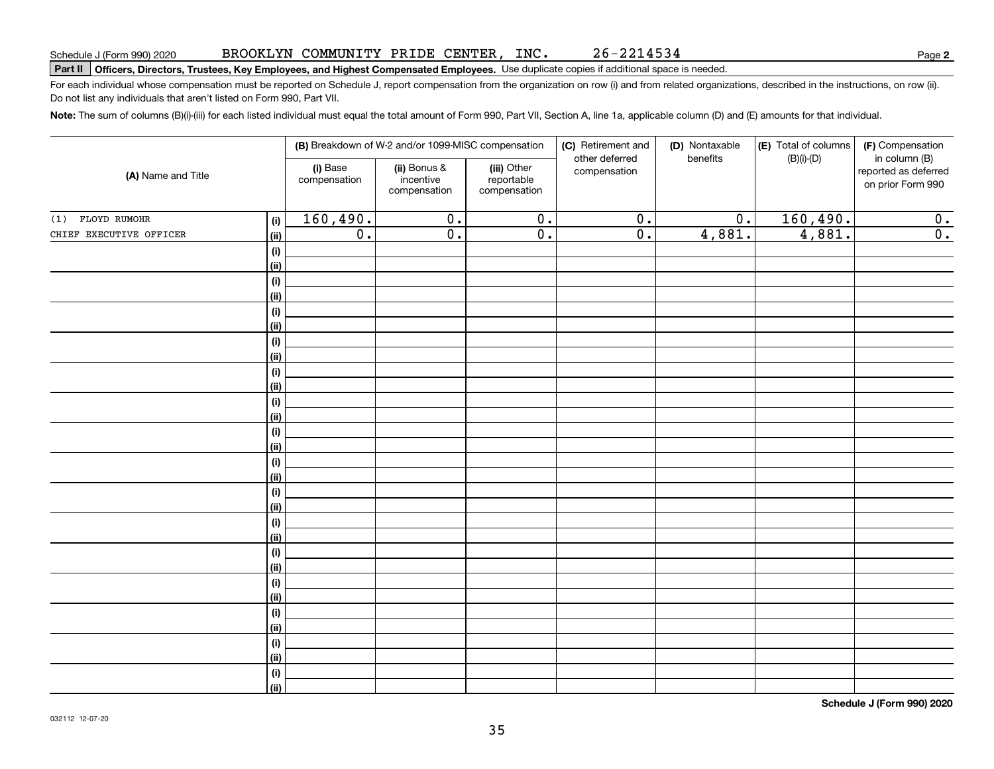#### BROOKLYN COMMUNITY PRIDE CENTER, INC. 26-2214534

**2**

# **Part II Officers, Directors, Trustees, Key Employees, and Highest Compensated Employees.**  Schedule J (Form 990) 2020 Page Use duplicate copies if additional space is needed.

For each individual whose compensation must be reported on Schedule J, report compensation from the organization on row (i) and from related organizations, described in the instructions, on row (ii). Do not list any individuals that aren't listed on Form 990, Part VII.

**Note:**  The sum of columns (B)(i)-(iii) for each listed individual must equal the total amount of Form 990, Part VII, Section A, line 1a, applicable column (D) and (E) amounts for that individual.

|                         |                          |                                           | (B) Breakdown of W-2 and/or 1099-MISC compensation |                                | (C) Retirement and | (D) Nontaxable   | (E) Total of columns                                       | (F) Compensation |
|-------------------------|--------------------------|-------------------------------------------|----------------------------------------------------|--------------------------------|--------------------|------------------|------------------------------------------------------------|------------------|
| (A) Name and Title      | (i) Base<br>compensation | (ii) Bonus &<br>incentive<br>compensation | (iii) Other<br>reportable<br>compensation          | other deferred<br>compensation | benefits           | $(B)(i)$ - $(D)$ | in column (B)<br>reported as deferred<br>on prior Form 990 |                  |
| FLOYD RUMOHR<br>(1)     | (i)                      | 160,490.                                  | $\overline{0}$ .                                   | $\overline{0}$ .               | $\overline{0}$ .   | $\overline{0}$ . | 160,490.                                                   | $\overline{0}$ . |
| CHIEF EXECUTIVE OFFICER | (ii)                     | $\overline{0}$ .                          | $\overline{0}$ .                                   | $\overline{0}$ .               | $\overline{0}$ .   | 4,881.           | 4,881.                                                     | $\overline{0}$ . |
|                         | $(\sf{i})$               |                                           |                                                    |                                |                    |                  |                                                            |                  |
|                         | (ii)                     |                                           |                                                    |                                |                    |                  |                                                            |                  |
|                         | $(\sf{i})$               |                                           |                                                    |                                |                    |                  |                                                            |                  |
|                         | (ii)                     |                                           |                                                    |                                |                    |                  |                                                            |                  |
|                         | $(\sf{i})$               |                                           |                                                    |                                |                    |                  |                                                            |                  |
|                         | (ii)                     |                                           |                                                    |                                |                    |                  |                                                            |                  |
|                         | (i)                      |                                           |                                                    |                                |                    |                  |                                                            |                  |
|                         | (ii)                     |                                           |                                                    |                                |                    |                  |                                                            |                  |
|                         | (i)                      |                                           |                                                    |                                |                    |                  |                                                            |                  |
|                         | (ii)                     |                                           |                                                    |                                |                    |                  |                                                            |                  |
|                         | (i)                      |                                           |                                                    |                                |                    |                  |                                                            |                  |
|                         | (ii)                     |                                           |                                                    |                                |                    |                  |                                                            |                  |
|                         | $(\sf{i})$<br>(ii)       |                                           |                                                    |                                |                    |                  |                                                            |                  |
|                         | $(\sf{i})$               |                                           |                                                    |                                |                    |                  |                                                            |                  |
|                         | (ii)                     |                                           |                                                    |                                |                    |                  |                                                            |                  |
|                         | $(\sf{i})$               |                                           |                                                    |                                |                    |                  |                                                            |                  |
|                         | (ii)                     |                                           |                                                    |                                |                    |                  |                                                            |                  |
|                         | (i)                      |                                           |                                                    |                                |                    |                  |                                                            |                  |
|                         | (ii)                     |                                           |                                                    |                                |                    |                  |                                                            |                  |
|                         | (i)                      |                                           |                                                    |                                |                    |                  |                                                            |                  |
|                         | (ii)                     |                                           |                                                    |                                |                    |                  |                                                            |                  |
|                         | (i)                      |                                           |                                                    |                                |                    |                  |                                                            |                  |
|                         | (ii)                     |                                           |                                                    |                                |                    |                  |                                                            |                  |
|                         | (i)                      |                                           |                                                    |                                |                    |                  |                                                            |                  |
|                         | (ii)                     |                                           |                                                    |                                |                    |                  |                                                            |                  |
|                         | (i)                      |                                           |                                                    |                                |                    |                  |                                                            |                  |
|                         | (ii)                     |                                           |                                                    |                                |                    |                  |                                                            |                  |
|                         | $(\sf{i})$               |                                           |                                                    |                                |                    |                  |                                                            |                  |
|                         | (ii)                     |                                           |                                                    |                                |                    |                  |                                                            |                  |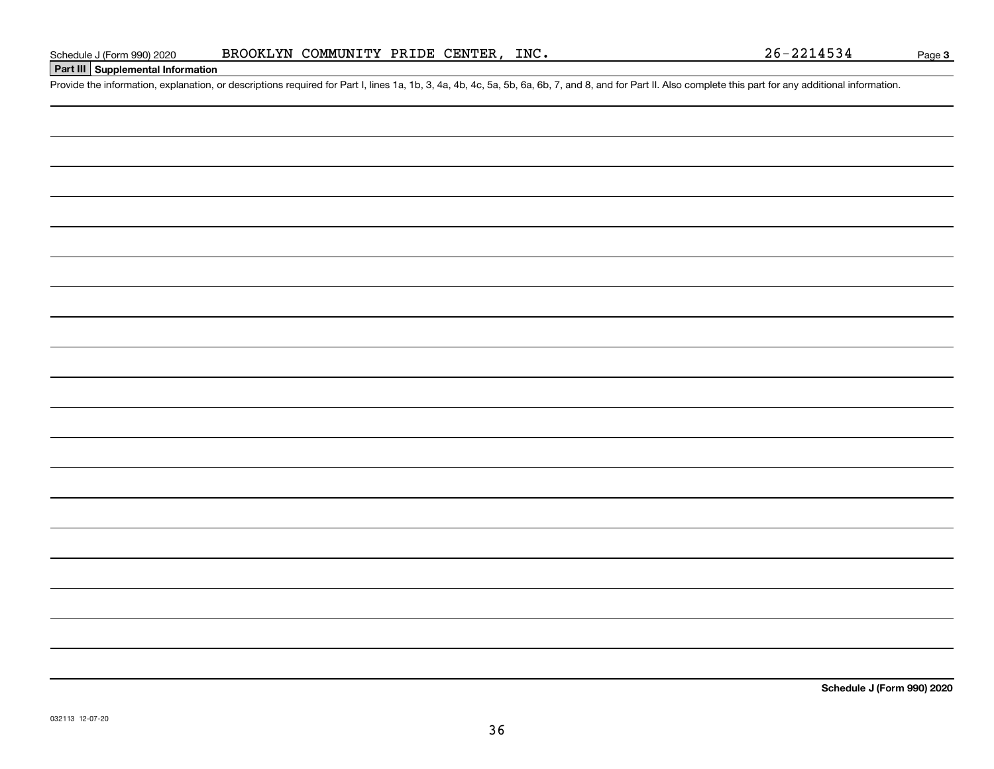## **Part III Supplemental Information**

Schedule J (Form 990) 2020 BROOKLYN COMMUNITY PRIDE CENTER, INC.<br>Part III Supplemental Information<br>Provide the information, explanation, or descriptions required for Part I, lines 1a, 1b, 3, 4a, 4b, 4c, 5a, 5b, 6a, 6b, 7,

**Schedule J (Form 990) 2020**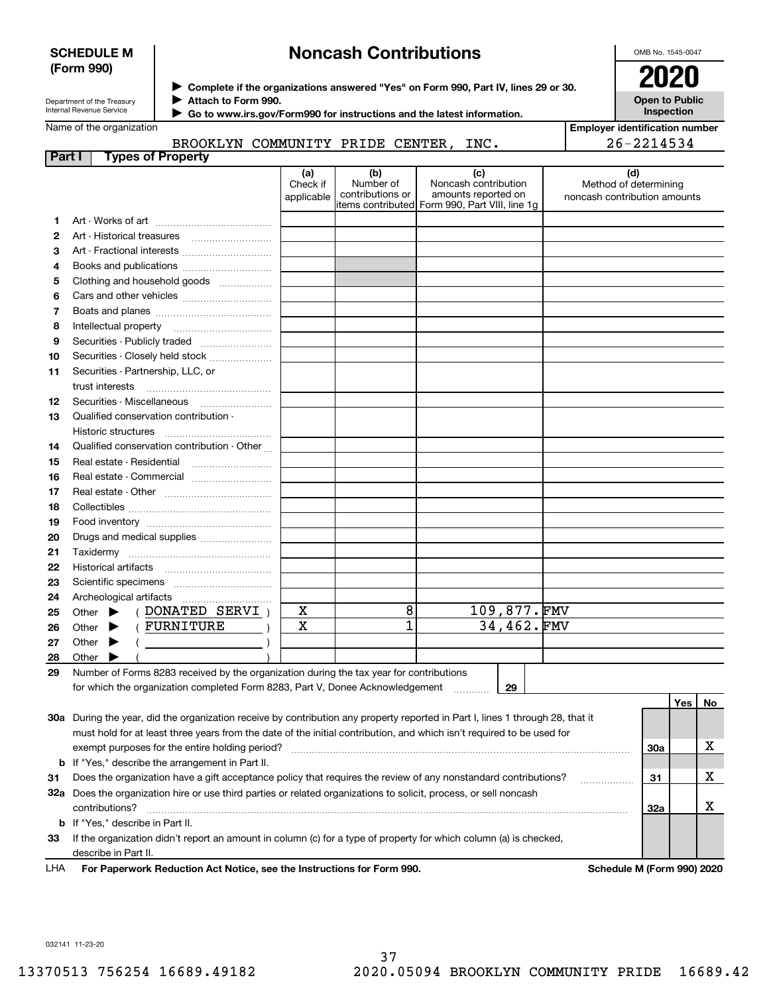### **SCHEDULE M (Form 990)**

# **Noncash Contributions**

OMB No. 1545-0047

**Open to Public Inspection**

| Department of the Treasury |
|----------------------------|
| Internal Revenue Service   |

**Complete if the organizations answered "Yes" on Form 990, Part IV, lines 29 or 30.** <sup>J</sup>**2020**

**Attach to Form 990.** J

 **Go to www.irs.gov/Form990 for instructions and the latest information.** J

Name of the organization

**Employer identification number** 26-2214534

|                            | BROOKLYN COMMUNITY PRIDE CENTER, |  | INC. |
|----------------------------|----------------------------------|--|------|
| <b>Turned of Dreamants</b> |                                  |  |      |

| Part i | Types of Property                                                                                                              |                               |                                                                                        |                                                    |             |                                                              |     |     |    |
|--------|--------------------------------------------------------------------------------------------------------------------------------|-------------------------------|----------------------------------------------------------------------------------------|----------------------------------------------------|-------------|--------------------------------------------------------------|-----|-----|----|
|        |                                                                                                                                | (a)<br>Check if<br>applicable | (b)<br>Number of<br>contributions or<br>items contributed Form 990, Part VIII, line 1g | (c)<br>Noncash contribution<br>amounts reported on |             | (d)<br>Method of determining<br>noncash contribution amounts |     |     |    |
| 1.     |                                                                                                                                |                               |                                                                                        |                                                    |             |                                                              |     |     |    |
| 2      |                                                                                                                                |                               |                                                                                        |                                                    |             |                                                              |     |     |    |
| 3      | Art - Fractional interests                                                                                                     |                               |                                                                                        |                                                    |             |                                                              |     |     |    |
| 4      |                                                                                                                                |                               |                                                                                        |                                                    |             |                                                              |     |     |    |
| 5      | Clothing and household goods                                                                                                   |                               |                                                                                        |                                                    |             |                                                              |     |     |    |
| 6      |                                                                                                                                |                               |                                                                                        |                                                    |             |                                                              |     |     |    |
| 7      |                                                                                                                                |                               |                                                                                        |                                                    |             |                                                              |     |     |    |
| 8      |                                                                                                                                |                               |                                                                                        |                                                    |             |                                                              |     |     |    |
| 9      |                                                                                                                                |                               |                                                                                        |                                                    |             |                                                              |     |     |    |
| 10     | Securities - Closely held stock                                                                                                |                               |                                                                                        |                                                    |             |                                                              |     |     |    |
| 11     | Securities - Partnership, LLC, or                                                                                              |                               |                                                                                        |                                                    |             |                                                              |     |     |    |
|        | trust interests                                                                                                                |                               |                                                                                        |                                                    |             |                                                              |     |     |    |
| 12     |                                                                                                                                |                               |                                                                                        |                                                    |             |                                                              |     |     |    |
| 13     | Qualified conservation contribution -                                                                                          |                               |                                                                                        |                                                    |             |                                                              |     |     |    |
|        | Historic structures                                                                                                            |                               |                                                                                        |                                                    |             |                                                              |     |     |    |
| 14     | Qualified conservation contribution - Other                                                                                    |                               |                                                                                        |                                                    |             |                                                              |     |     |    |
| 15     | Real estate - Residential                                                                                                      |                               |                                                                                        |                                                    |             |                                                              |     |     |    |
| 16     | Real estate - Commercial                                                                                                       |                               |                                                                                        |                                                    |             |                                                              |     |     |    |
| 17     |                                                                                                                                |                               |                                                                                        |                                                    |             |                                                              |     |     |    |
| 18     |                                                                                                                                |                               |                                                                                        |                                                    |             |                                                              |     |     |    |
| 19     |                                                                                                                                |                               |                                                                                        |                                                    |             |                                                              |     |     |    |
| 20     | Drugs and medical supplies                                                                                                     |                               |                                                                                        |                                                    |             |                                                              |     |     |    |
| 21     |                                                                                                                                |                               |                                                                                        |                                                    |             |                                                              |     |     |    |
| 22     |                                                                                                                                |                               |                                                                                        |                                                    |             |                                                              |     |     |    |
| 23     |                                                                                                                                |                               |                                                                                        |                                                    |             |                                                              |     |     |    |
| 24     |                                                                                                                                |                               |                                                                                        |                                                    |             |                                                              |     |     |    |
| 25     | (DONATED SERVI)<br>Other $\blacktriangleright$                                                                                 | х                             | 8                                                                                      |                                                    | 109,877.FMV |                                                              |     |     |    |
| 26     | (FURNITURE)<br>Other $\blacktriangleright$                                                                                     | X                             | $\overline{1}$                                                                         |                                                    | 34,462.FMV  |                                                              |     |     |    |
| 27     | Other $\blacktriangleright$<br>$($ )                                                                                           |                               |                                                                                        |                                                    |             |                                                              |     |     |    |
| 28     | Other $\blacktriangleright$                                                                                                    |                               |                                                                                        |                                                    |             |                                                              |     |     |    |
| 29     | Number of Forms 8283 received by the organization during the tax year for contributions                                        |                               |                                                                                        |                                                    |             |                                                              |     |     |    |
|        | for which the organization completed Form 8283, Part V, Donee Acknowledgement                                                  |                               |                                                                                        | .                                                  | 29          |                                                              |     |     |    |
|        |                                                                                                                                |                               |                                                                                        |                                                    |             |                                                              |     | Yes | No |
|        | 30a During the year, did the organization receive by contribution any property reported in Part I, lines 1 through 28, that it |                               |                                                                                        |                                                    |             |                                                              |     |     |    |
|        | must hold for at least three years from the date of the initial contribution, and which isn't required to be used for          |                               |                                                                                        |                                                    |             |                                                              |     |     |    |
|        |                                                                                                                                |                               |                                                                                        |                                                    |             |                                                              | 30a |     | х  |
| b      | If "Yes," describe the arrangement in Part II.                                                                                 |                               |                                                                                        |                                                    |             |                                                              |     |     |    |
| 31     | Does the organization have a gift acceptance policy that requires the review of any nonstandard contributions?                 |                               |                                                                                        |                                                    |             |                                                              | 31  |     | х  |
| 32a    | Does the organization hire or use third parties or related organizations to solicit, process, or sell noncash                  |                               |                                                                                        |                                                    |             |                                                              |     |     |    |
|        | contributions?                                                                                                                 |                               |                                                                                        |                                                    |             |                                                              | 32a |     | X  |
| b      | If "Yes," describe in Part II.                                                                                                 |                               |                                                                                        |                                                    |             |                                                              |     |     |    |
| 33     | If the organization didn't report an amount in column (c) for a type of property for which column (a) is checked,              |                               |                                                                                        |                                                    |             |                                                              |     |     |    |
|        | describe in Part II.                                                                                                           |                               |                                                                                        |                                                    |             |                                                              |     |     |    |
|        |                                                                                                                                |                               |                                                                                        |                                                    |             |                                                              |     |     |    |

For Paperwork Reduction Act Notice, see the Instructions for Form 990. **Schedule M** (Form 990) 2020 LHA

032141 11-23-20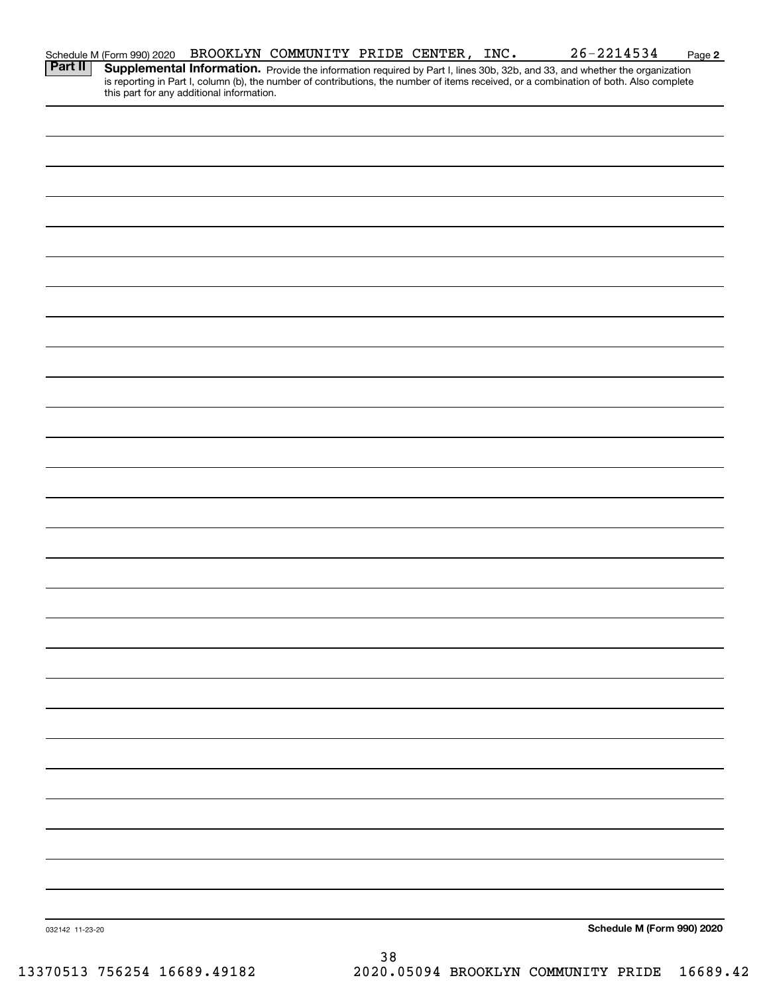|                 | Schedule M (Form 990) 2020                | BROOKLYN COMMUNITY PRIDE CENTER, INC. |     |  | $26 - 2214534$                                                                                                                                                                                                                      | Page 2 |
|-----------------|-------------------------------------------|---------------------------------------|-----|--|-------------------------------------------------------------------------------------------------------------------------------------------------------------------------------------------------------------------------------------|--------|
| <b>Part II</b>  | this part for any additional information. |                                       |     |  | <b>Supplemental Information.</b> Provide the information required by Part I, lines 30b, 32b, and 33, and whether the organization is reporting in Part I, column (b), the number of contributions, the number of items received, or |        |
|                 |                                           |                                       |     |  |                                                                                                                                                                                                                                     |        |
|                 |                                           |                                       |     |  |                                                                                                                                                                                                                                     |        |
|                 |                                           |                                       |     |  |                                                                                                                                                                                                                                     |        |
|                 |                                           |                                       |     |  |                                                                                                                                                                                                                                     |        |
|                 |                                           |                                       |     |  |                                                                                                                                                                                                                                     |        |
|                 |                                           |                                       |     |  |                                                                                                                                                                                                                                     |        |
|                 |                                           |                                       |     |  |                                                                                                                                                                                                                                     |        |
|                 |                                           |                                       |     |  |                                                                                                                                                                                                                                     |        |
|                 |                                           |                                       |     |  |                                                                                                                                                                                                                                     |        |
|                 |                                           |                                       |     |  |                                                                                                                                                                                                                                     |        |
|                 |                                           |                                       |     |  |                                                                                                                                                                                                                                     |        |
|                 |                                           |                                       |     |  |                                                                                                                                                                                                                                     |        |
|                 |                                           |                                       |     |  |                                                                                                                                                                                                                                     |        |
|                 |                                           |                                       |     |  |                                                                                                                                                                                                                                     |        |
|                 |                                           |                                       |     |  |                                                                                                                                                                                                                                     |        |
|                 |                                           |                                       |     |  |                                                                                                                                                                                                                                     |        |
|                 |                                           |                                       |     |  |                                                                                                                                                                                                                                     |        |
|                 |                                           |                                       |     |  |                                                                                                                                                                                                                                     |        |
|                 |                                           |                                       |     |  |                                                                                                                                                                                                                                     |        |
|                 |                                           |                                       |     |  |                                                                                                                                                                                                                                     |        |
|                 |                                           |                                       |     |  |                                                                                                                                                                                                                                     |        |
|                 |                                           |                                       |     |  |                                                                                                                                                                                                                                     |        |
|                 |                                           |                                       |     |  |                                                                                                                                                                                                                                     |        |
|                 |                                           |                                       |     |  |                                                                                                                                                                                                                                     |        |
|                 |                                           |                                       |     |  |                                                                                                                                                                                                                                     |        |
|                 |                                           |                                       |     |  |                                                                                                                                                                                                                                     |        |
|                 |                                           |                                       |     |  |                                                                                                                                                                                                                                     |        |
|                 |                                           |                                       |     |  |                                                                                                                                                                                                                                     |        |
|                 |                                           |                                       |     |  |                                                                                                                                                                                                                                     |        |
|                 |                                           |                                       |     |  |                                                                                                                                                                                                                                     |        |
|                 |                                           |                                       |     |  |                                                                                                                                                                                                                                     |        |
| 032142 11-23-20 |                                           |                                       |     |  | Schedule M (Form 990) 2020                                                                                                                                                                                                          |        |
|                 |                                           |                                       | ၁ ၀ |  |                                                                                                                                                                                                                                     |        |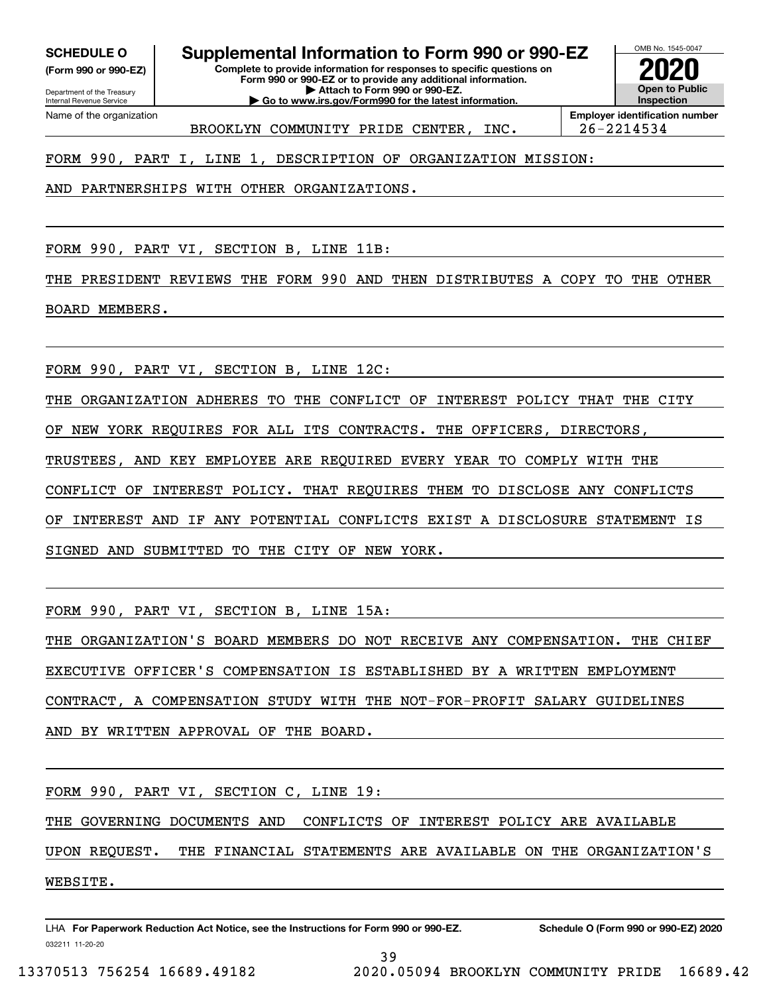**(Form 990 or 990-EZ)**

Department of the Treasury Internal Revenue Service Name of the organization

**SCHEDULE O Supplemental Information to Form 990 or 990-EZ**

**Complete to provide information for responses to specific questions on Form 990 or 990-EZ or to provide any additional information. | Attach to Form 990 or 990-EZ.**

**| Go to www.irs.gov/Form990 for the latest information.**



BROOKLYN COMMUNITY PRIDE CENTER, INC. 26-2214534

FORM 990, PART I, LINE 1, DESCRIPTION OF ORGANIZATION MISSION:

AND PARTNERSHIPS WITH OTHER ORGANIZATIONS.

FORM 990, PART VI, SECTION B, LINE 11B:

THE PRESIDENT REVIEWS THE FORM 990 AND THEN DISTRIBUTES A COPY TO THE OTHER BOARD MEMBERS.

FORM 990, PART VI, SECTION B, LINE 12C:

THE ORGANIZATION ADHERES TO THE CONFLICT OF INTEREST POLICY THAT THE CITY OF NEW YORK REQUIRES FOR ALL ITS CONTRACTS. THE OFFICERS, DIRECTORS,

TRUSTEES, AND KEY EMPLOYEE ARE REQUIRED EVERY YEAR TO COMPLY WITH THE

CONFLICT OF INTEREST POLICY. THAT REQUIRES THEM TO DISCLOSE ANY CONFLICTS

OF INTEREST AND IF ANY POTENTIAL CONFLICTS EXIST A DISCLOSURE STATEMENT IS

SIGNED AND SUBMITTED TO THE CITY OF NEW YORK.

FORM 990, PART VI, SECTION B, LINE 15A:

THE ORGANIZATION'S BOARD MEMBERS DO NOT RECEIVE ANY COMPENSATION. THE CHIEF EXECUTIVE OFFICER'S COMPENSATION IS ESTABLISHED BY A WRITTEN EMPLOYMENT

CONTRACT, A COMPENSATION STUDY WITH THE NOT-FOR-PROFIT SALARY GUIDELINES

AND BY WRITTEN APPROVAL OF THE BOARD.

FORM 990, PART VI, SECTION C, LINE 19:

THE GOVERNING DOCUMENTS AND CONFLICTS OF INTEREST POLICY ARE AVAILABLE

UPON REQUEST. THE FINANCIAL STATEMENTS ARE AVAILABLE ON THE ORGANIZATION'S WEBSITE.

032211 11-20-20 LHA For Paperwork Reduction Act Notice, see the Instructions for Form 990 or 990-EZ. Schedule O (Form 990 or 990-EZ) 2020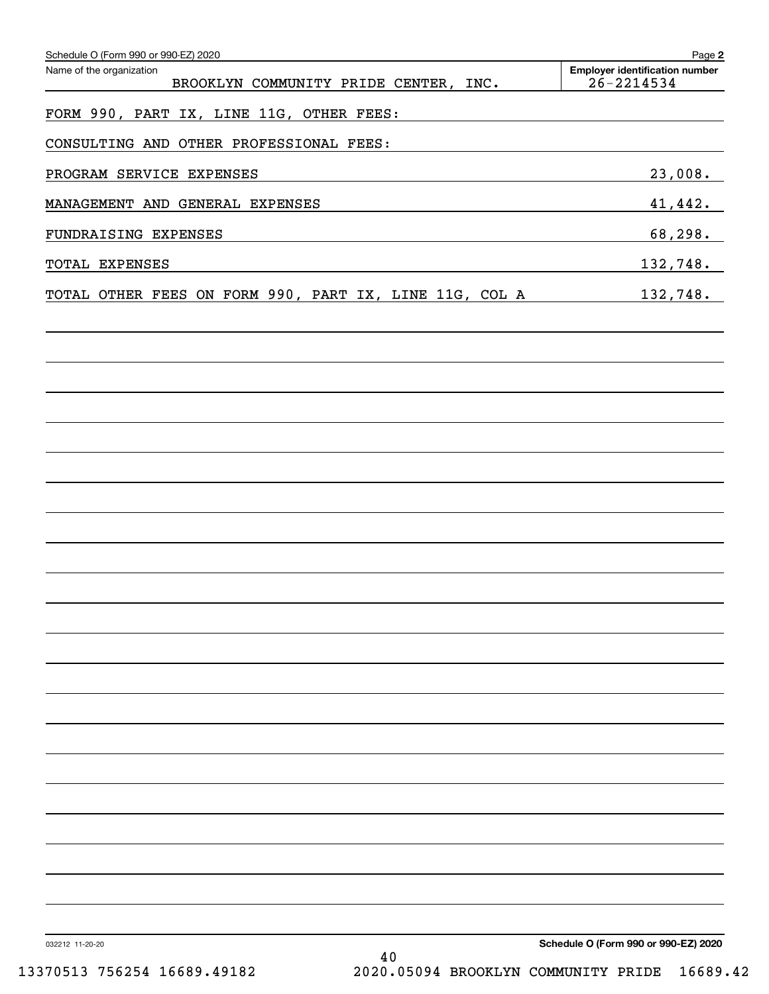| Schedule O (Form 990 or 990-EZ) 2020<br>Name of the organization<br>BROOKLYN COMMUNITY PRIDE CENTER, INC.                                                                                                                                       | Page 2<br><b>Employer identification number</b><br>$26 - 2214534$ |
|-------------------------------------------------------------------------------------------------------------------------------------------------------------------------------------------------------------------------------------------------|-------------------------------------------------------------------|
| FORM 990, PART IX, LINE 11G, OTHER FEES:                                                                                                                                                                                                        |                                                                   |
| CONSULTING AND OTHER PROFESSIONAL FEES:                                                                                                                                                                                                         |                                                                   |
| PROGRAM SERVICE EXPENSES                                                                                                                                                                                                                        | 23,008.                                                           |
| MANAGEMENT AND GENERAL EXPENSES                                                                                                                                                                                                                 | 41,442.                                                           |
| FUNDRAISING EXPENSES<br>and the control of the control of the control of the control of the control of the control of the control of the                                                                                                        | 68,298.                                                           |
| TOTAL EXPENSES<br>the control of the control of the control of the control of the control of the control of the control of the control of the control of the control of the control of the control of the control of the control of the control | 132,748.                                                          |
| TOTAL OTHER FEES ON FORM 990, PART IX, LINE 11G, COL A                                                                                                                                                                                          | 132,748.                                                          |
|                                                                                                                                                                                                                                                 |                                                                   |
|                                                                                                                                                                                                                                                 |                                                                   |
|                                                                                                                                                                                                                                                 |                                                                   |
|                                                                                                                                                                                                                                                 |                                                                   |
|                                                                                                                                                                                                                                                 |                                                                   |
|                                                                                                                                                                                                                                                 |                                                                   |
|                                                                                                                                                                                                                                                 |                                                                   |
|                                                                                                                                                                                                                                                 |                                                                   |
|                                                                                                                                                                                                                                                 |                                                                   |
|                                                                                                                                                                                                                                                 |                                                                   |
|                                                                                                                                                                                                                                                 |                                                                   |
|                                                                                                                                                                                                                                                 |                                                                   |
|                                                                                                                                                                                                                                                 |                                                                   |
|                                                                                                                                                                                                                                                 |                                                                   |
|                                                                                                                                                                                                                                                 |                                                                   |
|                                                                                                                                                                                                                                                 |                                                                   |
|                                                                                                                                                                                                                                                 |                                                                   |
|                                                                                                                                                                                                                                                 |                                                                   |
| 032212 11-20-20                                                                                                                                                                                                                                 | Schedule O (Form 990 or 990-EZ) 2020                              |
| 40<br>2020.05094 BROOKLYN COMMUNITY PRIDE<br>13370513 756254 16689.49182                                                                                                                                                                        | 16689.42                                                          |